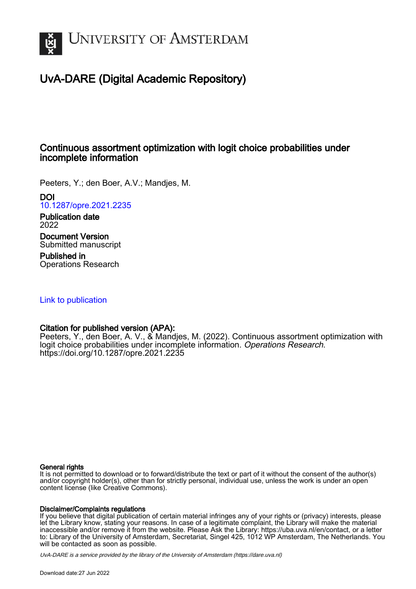

## UvA-DARE (Digital Academic Repository)

## Continuous assortment optimization with logit choice probabilities under incomplete information

Peeters, Y.; den Boer, A.V.; Mandjes, M.

DOI

[10.1287/opre.2021.2235](https://doi.org/10.1287/opre.2021.2235)

Publication date 2022

Document Version Submitted manuscript

Published in Operations Research

[Link to publication](https://dare.uva.nl/personal/pure/en/publications/continuous-assortment-optimization-with-logit-choice-probabilities-under-incomplete-information(c3d72ed3-ebc5-4494-b92f-f8993f5d67c1).html)

## Citation for published version (APA):

Peeters, Y., den Boer, A. V., & Mandjes, M. (2022). Continuous assortment optimization with logit choice probabilities under incomplete information. Operations Research. <https://doi.org/10.1287/opre.2021.2235>

#### General rights

It is not permitted to download or to forward/distribute the text or part of it without the consent of the author(s) and/or copyright holder(s), other than for strictly personal, individual use, unless the work is under an open content license (like Creative Commons).

#### Disclaimer/Complaints regulations

If you believe that digital publication of certain material infringes any of your rights or (privacy) interests, please let the Library know, stating your reasons. In case of a legitimate complaint, the Library will make the material inaccessible and/or remove it from the website. Please Ask the Library: https://uba.uva.nl/en/contact, or a letter to: Library of the University of Amsterdam, Secretariat, Singel 425, 1012 WP Amsterdam, The Netherlands. You will be contacted as soon as possible.

UvA-DARE is a service provided by the library of the University of Amsterdam (http*s*://dare.uva.nl)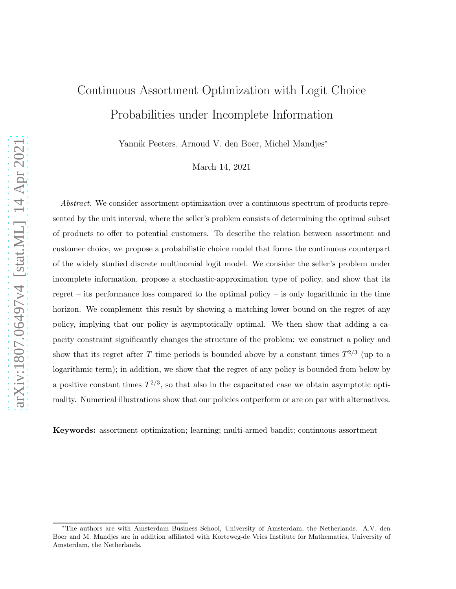# Continuous Assortment Optimization with Logit Choice Probabilities under Incomplete Information

Yannik Peeters, Arnoud V. den Boer, Michel Mandjes<sup>∗</sup>

March 14, 2021

Abstract. We consider assortment optimization over a continuous spectrum of products represented by the unit interval, where the seller's problem consists of determining the optimal subset of products to offer to potential customers. To describe the relation between assortment and customer choice, we propose a probabilistic choice model that forms the continuous counterpart of the widely studied discrete multinomial logit model. We consider the seller's problem under incomplete information, propose a stochastic-approximation type of policy, and show that its regret – its performance loss compared to the optimal policy – is only logarithmic in the time horizon. We complement this result by showing a matching lower bound on the regret of any policy, implying that our policy is asymptotically optimal. We then show that adding a capacity constraint significantly changes the structure of the problem: we construct a policy and show that its regret after T time periods is bounded above by a constant times  $T^{2/3}$  (up to a logarithmic term); in addition, we show that the regret of any policy is bounded from below by a positive constant times  $T^{2/3}$ , so that also in the capacitated case we obtain asymptotic optimality. Numerical illustrations show that our policies outperform or are on par with alternatives.

Keywords: assortment optimization; learning; multi-armed bandit; continuous assortment

<sup>∗</sup>The authors are with Amsterdam Business School, University of Amsterdam, the Netherlands. A.V. den Boer and M. Mandjes are in addition affiliated with Korteweg-de Vries Institute for Mathematics, University of Amsterdam, the Netherlands.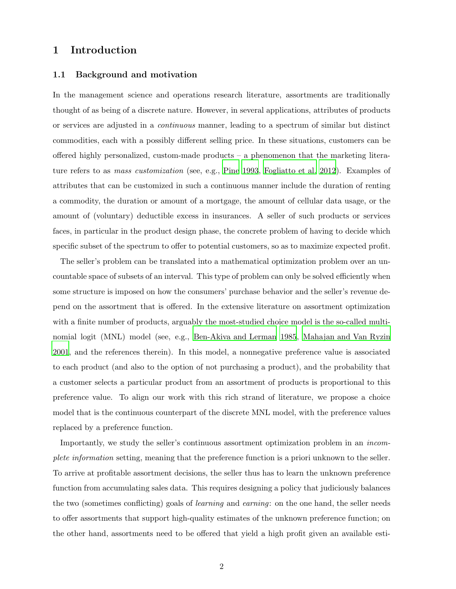## 1 Introduction

#### 1.1 Background and motivation

In the management science and operations research literature, assortments are traditionally thought of as being of a discrete nature. However, in several applications, attributes of products or services are adjusted in a continuous manner, leading to a spectrum of similar but distinct commodities, each with a possibly different selling price. In these situations, customers can be offered highly personalized, custom-made products – a phenomenon that the marketing literature refers to as mass customization (see, e.g., [Pine 1993](#page-33-0), [Fogliatto et al. 2012](#page-32-0)). Examples of attributes that can be customized in such a continuous manner include the duration of renting a commodity, the duration or amount of a mortgage, the amount of cellular data usage, or the amount of (voluntary) deductible excess in insurances. A seller of such products or services faces, in particular in the product design phase, the concrete problem of having to decide which specific subset of the spectrum to offer to potential customers, so as to maximize expected profit.

The seller's problem can be translated into a mathematical optimization problem over an uncountable space of subsets of an interval. This type of problem can only be solved efficiently when some structure is imposed on how the consumers' purchase behavior and the seller's revenue depend on the assortment that is offered. In the extensive literature on assortment optimization with a finite number of products, arguably the most-studied choice model is the so-called multinomial logit (MNL) model (see, e.g., [Ben-Akiva and Lerman 1985](#page-32-1), [Mahajan and Van Ryzin](#page-33-1) [2001,](#page-33-1) and the references therein). In this model, a nonnegative preference value is associated to each product (and also to the option of not purchasing a product), and the probability that a customer selects a particular product from an assortment of products is proportional to this preference value. To align our work with this rich strand of literature, we propose a choice model that is the continuous counterpart of the discrete MNL model, with the preference values replaced by a preference function.

Importantly, we study the seller's continuous assortment optimization problem in an incomplete information setting, meaning that the preference function is a priori unknown to the seller. To arrive at profitable assortment decisions, the seller thus has to learn the unknown preference function from accumulating sales data. This requires designing a policy that judiciously balances the two (sometimes conflicting) goals of *learning* and *earning*: on the one hand, the seller needs to offer assortments that support high-quality estimates of the unknown preference function; on the other hand, assortments need to be offered that yield a high profit given an available esti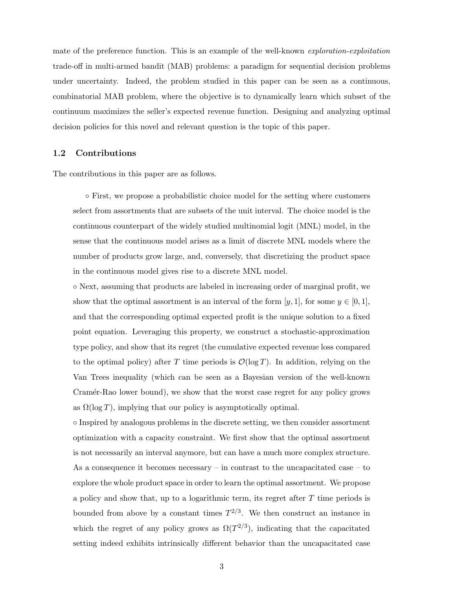mate of the preference function. This is an example of the well-known *exploration-exploitation* trade-off in multi-armed bandit (MAB) problems: a paradigm for sequential decision problems under uncertainty. Indeed, the problem studied in this paper can be seen as a continuous, combinatorial MAB problem, where the objective is to dynamically learn which subset of the continuum maximizes the seller's expected revenue function. Designing and analyzing optimal decision policies for this novel and relevant question is the topic of this paper.

#### 1.2 Contributions

The contributions in this paper are as follows.

◦ First, we propose a probabilistic choice model for the setting where customers select from assortments that are subsets of the unit interval. The choice model is the continuous counterpart of the widely studied multinomial logit (MNL) model, in the sense that the continuous model arises as a limit of discrete MNL models where the number of products grow large, and, conversely, that discretizing the product space in the continuous model gives rise to a discrete MNL model.

◦ Next, assuming that products are labeled in increasing order of marginal profit, we show that the optimal assortment is an interval of the form [y, 1], for some  $y \in [0, 1]$ , and that the corresponding optimal expected profit is the unique solution to a fixed point equation. Leveraging this property, we construct a stochastic-approximation type policy, and show that its regret (the cumulative expected revenue loss compared to the optimal policy) after T time periods is  $\mathcal{O}(\log T)$ . In addition, relying on the Van Trees inequality (which can be seen as a Bayesian version of the well-known Cramér-Rao lower bound), we show that the worst case regret for any policy grows as  $\Omega(\log T)$ , implying that our policy is asymptotically optimal.

◦ Inspired by analogous problems in the discrete setting, we then consider assortment optimization with a capacity constraint. We first show that the optimal assortment is not necessarily an interval anymore, but can have a much more complex structure. As a consequence it becomes necessary – in contrast to the uncapacitated case – to explore the whole product space in order to learn the optimal assortment. We propose a policy and show that, up to a logarithmic term, its regret after  $T$  time periods is bounded from above by a constant times  $T^{2/3}$ . We then construct an instance in which the regret of any policy grows as  $\Omega(T^{2/3})$ , indicating that the capacitated setting indeed exhibits intrinsically different behavior than the uncapacitated case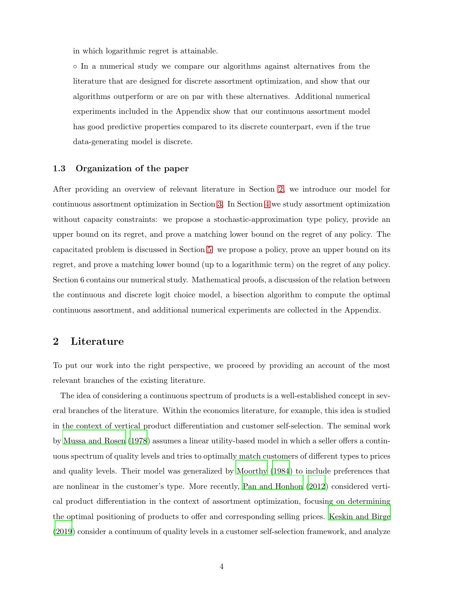in which logarithmic regret is attainable.

◦ In a numerical study we compare our algorithms against alternatives from the literature that are designed for discrete assortment optimization, and show that our algorithms outperform or are on par with these alternatives. Additional numerical experiments included in the Appendix show that our continuous assortment model has good predictive properties compared to its discrete counterpart, even if the true data-generating model is discrete.

#### 1.3 Organization of the paper

After providing an overview of relevant literature in Section [2,](#page-4-0) we introduce our model for continuous assortment optimization in Section [3.](#page-6-0) In Section [4](#page-10-0) we study assortment optimization without capacity constraints: we propose a stochastic-approximation type policy, provide an upper bound on its regret, and prove a matching lower bound on the regret of any policy. The capacitated problem is discussed in Section [5:](#page-13-0) we propose a policy, prove an upper bound on its regret, and prove a matching lower bound (up to a logarithmic term) on the regret of any policy. Section 6 contains our numerical study. Mathematical proofs, a discussion of the relation between the continuous and discrete logit choice model, a bisection algorithm to compute the optimal continuous assortment, and additional numerical experiments are collected in the Appendix.

## <span id="page-4-0"></span>2 Literature

To put our work into the right perspective, we proceed by providing an account of the most relevant branches of the existing literature.

The idea of considering a continuous spectrum of products is a well-established concept in several branches of the literature. Within the economics literature, for example, this idea is studied in the context of vertical product differentiation and customer self-selection. The seminal work by [Mussa and Rosen \(1978](#page-33-2)) assumes a linear utility-based model in which a seller offers a continuous spectrum of quality levels and tries to optimally match customers of different types to prices and quality levels. Their model was generalized by [Moorthy \(1984](#page-33-3)) to include preferences that are nonlinear in the customer's type. More recently, [Pan and](#page-33-4) Honhon [\(2012](#page-33-4)) considered vertical product differentiation in the context of assortment optimization, focusing on determining the optimal positioning of products to offer and corresponding selling prices. [Keskin and Birge](#page-33-5) [\(2019\)](#page-33-5) consider a continuum of quality levels in a customer self-selection framework, and analyze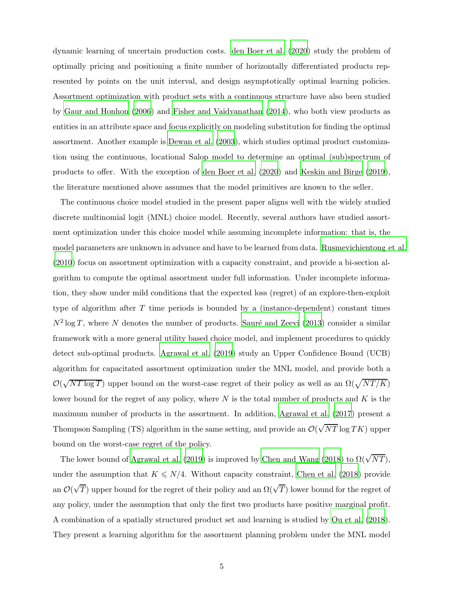dynamic learning of uncertain production costs. [den Boer et](#page-32-2) al. [\(2020\)](#page-32-2) study the problem of optimally pricing and positioning a finite number of horizontally differentiated products represented by points on the unit interval, and design asymptotically optimal learning policies. Assortment optimization with product sets with a continuous structure have also been studied by [Gaur and Honhon \(2006\)](#page-33-6) and [Fisher and Vaidyanathan \(2014](#page-32-3)), who both view products as entities in an attribute space and focus explicitly on modeling substitution for finding the optimal assortment. Another example is [Dewan et al. \(2003](#page-32-4)), which studies optimal product customization using the continuous, locational Salop model to determine an optimal (sub)spectrum of products to offer. With the exception of [den Boer et al. \(2020](#page-32-2)) and [Keskin and Birge \(2019](#page-33-5)), the literature mentioned above assumes that the model primitives are known to the seller.

The continuous choice model studied in the present paper aligns well with the widely studied discrete multinomial logit (MNL) choice model. Recently, several authors have studied assortment optimization under this choice model while assuming incomplete information: that is, the model parameters are unknown in advance and have to be learned from data. [Rusmevichientong et al.](#page-33-7) [\(2010\)](#page-33-7) focus on assortment optimization with a capacity constraint, and provide a bi-section algorithm to compute the optimal assortment under full information. Under incomplete information, they show under mild conditions that the expected loss (regret) of an explore-then-exploit type of algorithm after T time periods is bounded by a (instance-dependent) constant times  $N^2 \log T$ , where N denotes the number of products. Sauré and Zeevi (2013) consider a similar framework with a more general utility based choice model, and implement procedures to quickly detect sub-optimal products. [Agrawal et al. \(2019](#page-31-0)) study an Upper Confidence Bound (UCB) algorithm for capacitated assortment optimization under the MNL model, and provide both a  $\mathcal{O}(\sqrt{NT\log T})$  upper bound on the worst-case regret of their policy as well as an  $\Omega(\sqrt{NT/K})$ lower bound for the regret of any policy, where  $N$  is the total number of products and  $K$  is the maximum number of products in the assortment. In addition, [Agrawal et al. \(2017](#page-31-1)) present a Thompson Sampling (TS) algorithm in the same setting, and provide an  $\mathcal{O}(\sqrt{NT}\log TK)$  upper bound on the worst-case regret of the policy.

The lower bound of [Agrawal et al. \(2019](#page-31-0)) is improved by [Chen and Wang \(2018\)](#page-32-5) to  $\Omega(\sqrt{NT})$ , under the assumption that  $K \le N/4$ . Without capacity constraint, [Chen et al. \(2018](#page-32-6)) provide an  $\mathcal{O}(\sqrt{T})$  upper bound for the regret of their policy and an  $\Omega(\sqrt{T})$  lower bound for the regret of any policy, under the assumption that only the first two products have positive marginal profit. A combination of a spatially structured product set and learning is studied by [Ou et al. \(2018](#page-33-9)). They present a learning algorithm for the assortment planning problem under the MNL model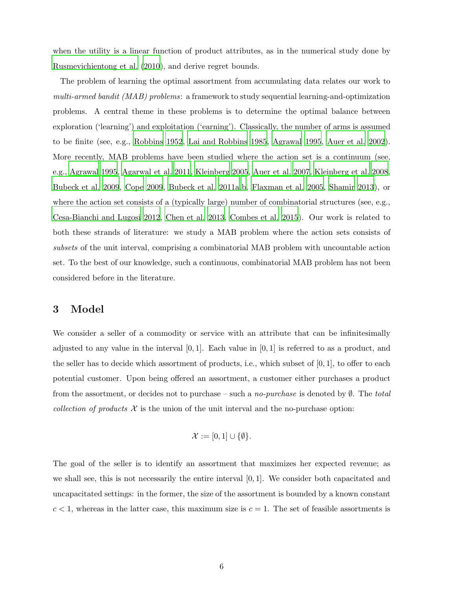when the utility is a linear function of product attributes, as in the numerical study done by [Rusmevichientong et al. \(2010](#page-33-7)), and derive regret bounds.

The problem of learning the optimal assortment from accumulating data relates our work to multi-armed bandit (MAB) problems: a framework to study sequential learning-and-optimization problems. A central theme in these problems is to determine the optimal balance between exploration ('learning') and exploitation ('earning'). Classically, the number of arms is assumed to be finite (see, e.g., [Robbins 1952](#page-33-10), [Lai and Robbins 1985](#page-33-11), [Agrawal 1995,](#page-31-2) [Auer et al. 2002](#page-31-3)). More recently, MAB problems have been studied where the action set is a continuum (see, e.g., [Agrawal 1995](#page-31-2), [Agarwal et al. 2011](#page-31-4), [Kleinberg 2005](#page-33-12), [Auer et al. 2007](#page-31-5), [Kleinberg et al. 2008](#page-33-13), [Bubeck et al. 2009](#page-32-7), [Cope 2009,](#page-32-8) [Bubeck et al. 2011a](#page-32-9)[,b,](#page-32-10) [Flaxman](#page-32-11) et al. [2005](#page-32-11), [Shamir 2013](#page-34-0)), or where the action set consists of a (typically large) number of combinatorial structures (see, e.g., [Cesa-Bianchi and Lugosi 2012](#page-32-12), [Chen et al. 2013](#page-32-13), [Combes et al.](#page-32-14) [2015](#page-32-14)). Our work is related to both these strands of literature: we study a MAB problem where the action sets consists of subsets of the unit interval, comprising a combinatorial MAB problem with uncountable action set. To the best of our knowledge, such a continuous, combinatorial MAB problem has not been considered before in the literature.

## <span id="page-6-0"></span>3 Model

We consider a seller of a commodity or service with an attribute that can be infinitesimally adjusted to any value in the interval  $[0, 1]$ . Each value in  $[0, 1]$  is referred to as a product, and the seller has to decide which assortment of products, i.e., which subset of  $[0, 1]$ , to offer to each potential customer. Upon being offered an assortment, a customer either purchases a product from the assortment, or decides not to purchase – such a *no-purchase* is denoted by  $\emptyset$ . The *total collection of products*  $X$  is the union of the unit interval and the no-purchase option:

$$
\mathcal{X} := [0,1] \cup \{\emptyset\}.
$$

The goal of the seller is to identify an assortment that maximizes her expected revenue; as we shall see, this is not necessarily the entire interval  $[0, 1]$ . We consider both capacitated and uncapacitated settings: in the former, the size of the assortment is bounded by a known constant  $c < 1$ , whereas in the latter case, this maximum size is  $c = 1$ . The set of feasible assortments is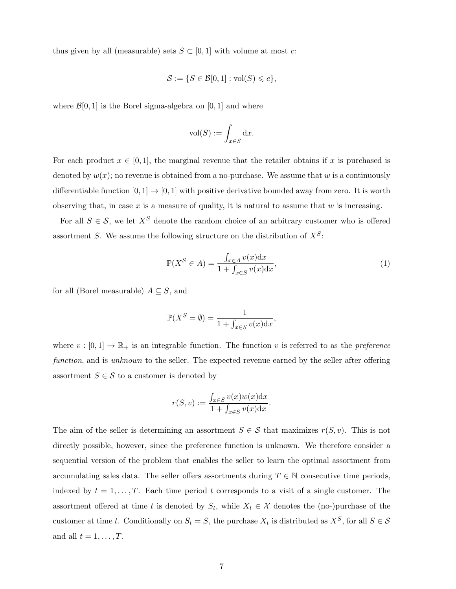thus given by all (measurable) sets  $S \subset [0,1]$  with volume at most c:

$$
\mathcal{S}:=\{S\in \mathcal{B}[0,1]: \mathrm{vol}(S)\leqslant c\},
$$

where  $\mathcal{B}[0,1]$  is the Borel sigma-algebra on [0, 1] and where

$$
\text{vol}(S) := \int_{x \in S} \mathrm{d}x.
$$

For each product  $x \in [0, 1]$ , the marginal revenue that the retailer obtains if x is purchased is denoted by  $w(x)$ ; no revenue is obtained from a no-purchase. We assume that w is a continuously differentiable function  $[0,1] \rightarrow [0,1]$  with positive derivative bounded away from zero. It is worth observing that, in case x is a measure of quality, it is natural to assume that  $w$  is increasing.

For all  $S \in \mathcal{S}$ , we let  $X^S$  denote the random choice of an arbitrary customer who is offered assortment S. We assume the following structure on the distribution of  $X^S$ :

$$
\mathbb{P}(X^S \in A) = \frac{\int_{x \in A} v(x) dx}{1 + \int_{x \in S} v(x) dx},\tag{1}
$$

for all (Borel measurable)  $A \subseteq S$ , and

$$
\mathbb{P}(X^S = \emptyset) = \frac{1}{1 + \int_{x \in S} v(x) \mathrm{d}x},
$$

where  $v : [0,1] \to \mathbb{R}_+$  is an integrable function. The function v is referred to as the preference function, and is unknown to the seller. The expected revenue earned by the seller after offering assortment  $S \in \mathcal{S}$  to a customer is denoted by

$$
r(S, v) := \frac{\int_{x \in S} v(x)w(x) \mathrm{d}x}{1 + \int_{x \in S} v(x) \mathrm{d}x}.
$$

The aim of the seller is determining an assortment  $S \in \mathcal{S}$  that maximizes  $r(S, v)$ . This is not directly possible, however, since the preference function is unknown. We therefore consider a sequential version of the problem that enables the seller to learn the optimal assortment from accumulating sales data. The seller offers assortments during  $T \in \mathbb{N}$  consecutive time periods, indexed by  $t = 1, \ldots, T$ . Each time period t corresponds to a visit of a single customer. The assortment offered at time t is denoted by  $S_t$ , while  $X_t \in \mathcal{X}$  denotes the (no-)purchase of the customer at time t. Conditionally on  $S_t = S$ , the purchase  $X_t$  is distributed as  $X^S$ , for all  $S \in \mathcal{S}$ and all  $t = 1, \ldots, T$ .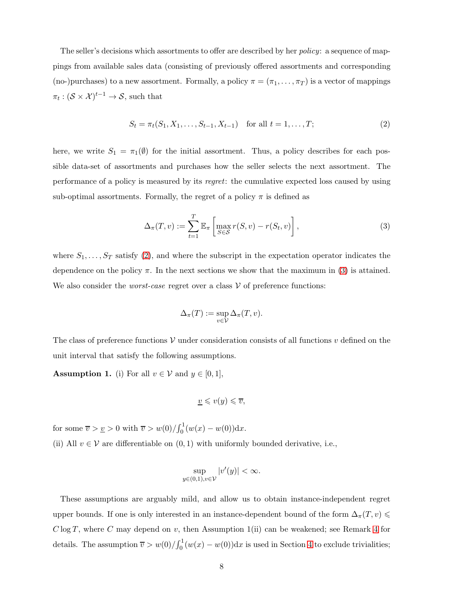The seller's decisions which assortments to offer are described by her *policy*: a sequence of mappings from available sales data (consisting of previously offered assortments and corresponding (no-)purchases) to a new assortment. Formally, a policy  $\pi = (\pi_1, \ldots, \pi_T)$  is a vector of mappings  $\pi_t: (\mathcal{S} \times \mathcal{X})^{t-1} \to \mathcal{S}$ , such that

<span id="page-8-0"></span>
$$
S_t = \pi_t(S_1, X_1, \dots, S_{t-1}, X_{t-1}) \quad \text{for all } t = 1, \dots, T; \tag{2}
$$

here, we write  $S_1 = \pi_1(\emptyset)$  for the initial assortment. Thus, a policy describes for each possible data-set of assortments and purchases how the seller selects the next assortment. The performance of a policy is measured by its regret: the cumulative expected loss caused by using sub-optimal assortments. Formally, the regret of a policy  $\pi$  is defined as

$$
\Delta_{\pi}(T,v) := \sum_{t=1}^{T} \mathbb{E}_{\pi} \left[ \max_{S \in \mathcal{S}} r(S,v) - r(S_t,v) \right],\tag{3}
$$

where  $S_1, \ldots, S_T$  satisfy [\(2\)](#page-8-0), and where the subscript in the expectation operator indicates the dependence on the policy  $\pi$ . In the next sections we show that the maximum in [\(3\)](#page-8-1) is attained. We also consider the *worst-case* regret over a class  $V$  of preference functions:

<span id="page-8-1"></span>
$$
\Delta_\pi(T):=\sup_{v\in\mathcal{V}}\Delta_\pi(T,v).
$$

The class of preference functions  $V$  under consideration consists of all functions  $v$  defined on the unit interval that satisfy the following assumptions.

<span id="page-8-2"></span>**Assumption 1.** (i) For all  $v \in V$  and  $y \in [0, 1]$ ,

$$
\underline{v} \leqslant v(y) \leqslant \overline{v},
$$

for some  $\overline{v} > \underline{v} > 0$  with  $\overline{v} > w(0) / \int_0^1 (w(x) - w(0)) dx$ .

(ii) All  $v \in V$  are differentiable on  $(0, 1)$  with uniformly bounded derivative, i.e.,

$$
\sup_{y\in(0,1),v\in\mathcal{V}}|v'(y)|<\infty.
$$

These assumptions are arguably mild, and allow us to obtain instance-independent regret upper bounds. If one is only interested in an instance-dependent bound of the form  $\Delta_{\pi}(T, v) \le$  $C \log T$ , where C may depend on v, then Assumption 1(ii) can be weakened; see Remark [4](#page-12-0) for details. The assumption  $\overline{v} > w(0) / \int_0^1 (w(x) - w(0)) dx$  is used in Section [4](#page-10-0) to exclude trivialities;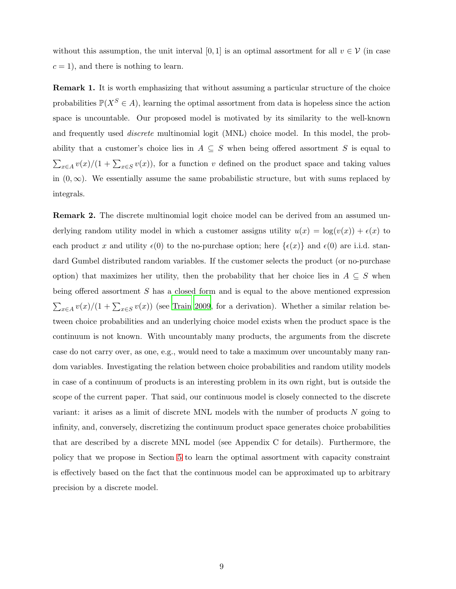without this assumption, the unit interval [0, 1] is an optimal assortment for all  $v \in V$  (in case  $c = 1$ , and there is nothing to learn.

Remark 1. It is worth emphasizing that without assuming a particular structure of the choice probabilities  $\mathbb{P}(X^S \in A)$ , learning the optimal assortment from data is hopeless since the action space is uncountable. Our proposed model is motivated by its similarity to the well-known and frequently used *discrete* multinomial logit (MNL) choice model. In this model, the probability that a customer's choice lies in  $A \subseteq S$  when being offered assortment S is equal to  $\sum_{x \in A} v(x)/(1 + \sum_{x \in S} v(x))$ , for a function v defined on the product space and taking values in  $(0, \infty)$ . We essentially assume the same probabilistic structure, but with sums replaced by integrals.

Remark 2. The discrete multinomial logit choice model can be derived from an assumed underlying random utility model in which a customer assigns utility  $u(x) = \log(v(x)) + \epsilon(x)$  to each product x and utility  $\epsilon(0)$  to the no-purchase option; here  $\{\epsilon(x)\}\$  and  $\epsilon(0)$  are i.i.d. standard Gumbel distributed random variables. If the customer selects the product (or no-purchase option) that maximizes her utility, then the probability that her choice lies in  $A \subseteq S$  when being offered assortment  $S$  has a closed form and is equal to the above mentioned expression  $\sum_{x \in A} v(x)/(1 + \sum_{x \in S} v(x))$  (see [Train 2009](#page-34-1), for a derivation). Whether a similar relation between choice probabilities and an underlying choice model exists when the product space is the continuum is not known. With uncountably many products, the arguments from the discrete case do not carry over, as one, e.g., would need to take a maximum over uncountably many random variables. Investigating the relation between choice probabilities and random utility models in case of a continuum of products is an interesting problem in its own right, but is outside the scope of the current paper. That said, our continuous model is closely connected to the discrete variant: it arises as a limit of discrete MNL models with the number of products  $N$  going to infinity, and, conversely, discretizing the continuum product space generates choice probabilities that are described by a discrete MNL model (see Appendix C for details). Furthermore, the policy that we propose in Section [5](#page-13-0) to learn the optimal assortment with capacity constraint is effectively based on the fact that the continuous model can be approximated up to arbitrary precision by a discrete model.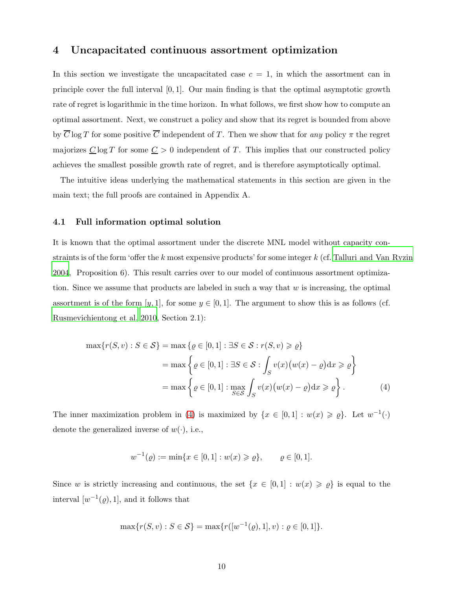### <span id="page-10-0"></span>4 Uncapacitated continuous assortment optimization

In this section we investigate the uncapacitated case  $c = 1$ , in which the assortment can in principle cover the full interval [0, 1]. Our main finding is that the optimal asymptotic growth rate of regret is logarithmic in the time horizon. In what follows, we first show how to compute an optimal assortment. Next, we construct a policy and show that its regret is bounded from above by  $\overline{C}$  log T for some positive  $\overline{C}$  independent of T. Then we show that for any policy  $\pi$  the regret majorizes  $\underline{C}$  log T for some  $\underline{C} > 0$  independent of T. This implies that our constructed policy achieves the smallest possible growth rate of regret, and is therefore asymptotically optimal.

<span id="page-10-2"></span>The intuitive ideas underlying the mathematical statements in this section are given in the main text; the full proofs are contained in Appendix A.

#### 4.1 Full information optimal solution

It is known that the optimal assortment under the discrete MNL model without capacity constraints is of the form 'offer the  $k$  most expensive products' for some integer  $k$  (cf. [Talluri and Van Ryzin](#page-34-2) [2004,](#page-34-2) Proposition 6). This result carries over to our model of continuous assortment optimization. Since we assume that products are labeled in such a way that  $w$  is increasing, the optimal assortment is of the form [y, 1], for some  $y \in [0, 1]$ . The argument to show this is as follows (cf. [Rusmevichientong et al. 2010,](#page-33-7) Section 2.1):

$$
\max\{r(S, v) : S \in \mathcal{S}\} = \max\left\{\varrho \in [0, 1] : \exists S \in \mathcal{S} : r(S, v) \ge \varrho\right\}
$$

$$
= \max\left\{\varrho \in [0, 1] : \exists S \in \mathcal{S} : \int_{S} v(x)(w(x) - \varrho) dx \ge \varrho\right\}
$$

$$
= \max\left\{\varrho \in [0, 1] : \max_{S \in \mathcal{S}} \int_{S} v(x)(w(x) - \varrho) dx \ge \varrho\right\}.
$$
(4)

The inner maximization problem in [\(4\)](#page-10-1) is maximized by  $\{x \in [0,1] : w(x) \geq \varrho\}$ . Let  $w^{-1}(\cdot)$ denote the generalized inverse of  $w(\cdot)$ , i.e.,

<span id="page-10-1"></span>
$$
w^{-1}(\varrho) := \min\{x \in [0,1] : w(x) \geq \varrho\}, \qquad \varrho \in [0,1].
$$

Since w is strictly increasing and continuous, the set  $\{x \in [0,1] : w(x) \geqslant \varrho\}$  is equal to the interval  $[w^{-1}(\varrho), 1]$ , and it follows that

$$
\max\{r(S,v): S \in \mathcal{S}\} = \max\{r([w^{-1}(\varrho), 1], v): \varrho \in [0, 1]\}.
$$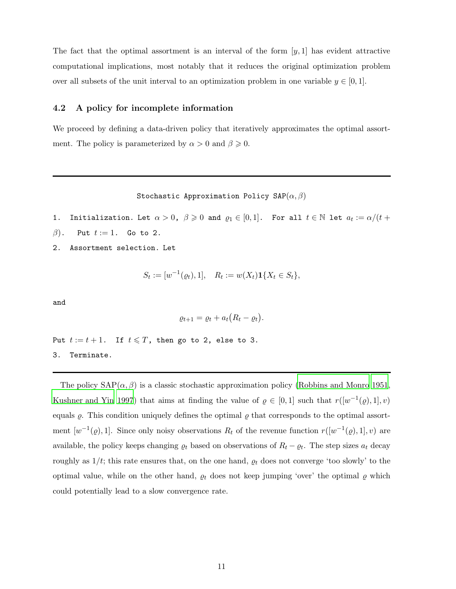The fact that the optimal assortment is an interval of the form  $[y, 1]$  has evident attractive computational implications, most notably that it reduces the original optimization problem over all subsets of the unit interval to an optimization problem in one variable  $y \in [0,1]$ .

#### 4.2 A policy for incomplete information

We proceed by defining a data-driven policy that iteratively approximates the optimal assortment. The policy is parameterized by  $\alpha > 0$  and  $\beta \geq 0$ .

Stochastic Approximation Policy  $\text{SAP}(\alpha, \beta)$ 

1. Initialization. Let  $\alpha > 0$ ,  $\beta \geqslant 0$  and  $\varrho_1 \in [0,1]$ . For all  $t \in \mathbb{N}$  let  $a_t := \alpha/(t +$ 

 $\beta$ ). Put  $t := 1$ . Go to 2.

2. Assortment selection. Let

$$
S_t := [w^{-1}(\varrho_t), 1], \quad R_t := w(X_t) \mathbf{1}\{X_t \in S_t\},
$$

and

$$
\varrho_{t+1} = \varrho_t + a_t (R_t - \varrho_t).
$$

Put  $t := t + 1$ . If  $t \leq T$ , then go to 2, else to 3.

3. Terminate.

The policy  $SAP(\alpha, \beta)$  is a classic stochastic approximation policy [\(Robbins and](#page-33-14) Monro [1951](#page-33-14), [Kushner and Yin 1997](#page-33-15)) that aims at finding the value of  $\rho \in [0,1]$  such that  $r([w^{-1}(\rho),1],v)$ equals  $\varrho$ . This condition uniquely defines the optimal  $\varrho$  that corresponds to the optimal assortment  $[w^{-1}(\varrho),1]$ . Since only noisy observations  $R_t$  of the revenue function  $r([w^{-1}(\varrho),1],v)$  are available, the policy keeps changing  $\varrho_t$  based on observations of  $R_t - \varrho_t$ . The step sizes  $a_t$  decay roughly as  $1/t$ ; this rate ensures that, on the one hand,  $\varrho_t$  does not converge 'too slowly' to the optimal value, while on the other hand,  $\varrho_t$  does not keep jumping 'over' the optimal  $\varrho$  which could potentially lead to a slow convergence rate.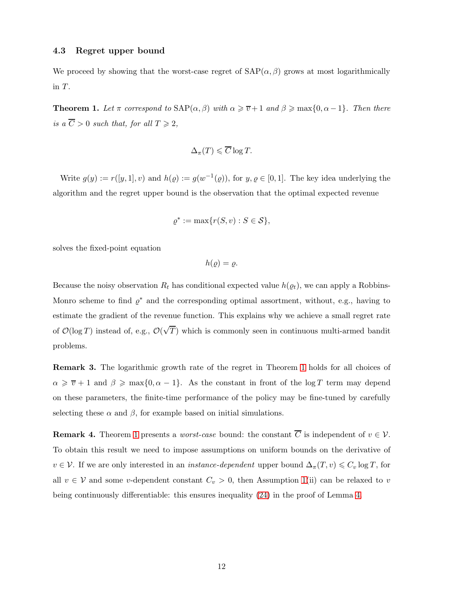#### <span id="page-12-2"></span>4.3 Regret upper bound

We proceed by showing that the worst-case regret of  $SAP(\alpha, \beta)$  grows at most logarithmically in T.

<span id="page-12-1"></span>**Theorem 1.** Let  $\pi$  correspond to  $\text{SAP}(\alpha, \beta)$  with  $\alpha \geq \overline{v} + 1$  and  $\beta \geq \max\{0, \alpha - 1\}$ . Then there is a  $\overline{C} > 0$  such that, for all  $T \geq 2$ ,

$$
\Delta_{\pi}(T) \leqslant \overline{C} \log T.
$$

Write  $g(y) := r([y, 1], v)$  and  $h(\varrho) := g(w^{-1}(\varrho))$ , for  $y, \varrho \in [0, 1]$ . The key idea underlying the algorithm and the regret upper bound is the observation that the optimal expected revenue

$$
\varrho^* := \max\{r(S, v) : S \in \mathcal{S}\},\
$$

solves the fixed-point equation

$$
h(\varrho)=\varrho.
$$

Because the noisy observation  $R_t$  has conditional expected value  $h(\varrho_t)$ , we can apply a Robbins-Monro scheme to find  $\varrho^*$  and the corresponding optimal assortment, without, e.g., having to estimate the gradient of the revenue function. This explains why we achieve a small regret rate of  $\mathcal{O}(\log T)$  instead of, e.g.,  $\mathcal{O}(\sqrt{T})$  which is commonly seen in continuous multi-armed bandit problems.

Remark 3. The logarithmic growth rate of the regret in Theorem [1](#page-12-1) holds for all choices of  $\alpha \geq \overline{v} + 1$  and  $\beta \geq \max\{0, \alpha - 1\}$ . As the constant in front of the log T term may depend on these parameters, the finite-time performance of the policy may be fine-tuned by carefully selecting these  $\alpha$  and  $\beta$ , for example based on initial simulations.

<span id="page-12-0"></span>**Remark 4.** Theorem [1](#page-12-1) presents a *worst-case* bound: the constant  $\overline{C}$  is independent of  $v \in V$ . To obtain this result we need to impose assumptions on uniform bounds on the derivative of  $v \in V$ . If we are only interested in an *instance-dependent* upper bound  $\Delta_{\pi}(T, v) \leq C_v \log T$ , for all  $v \in V$  and some v-dependent constant  $C_v > 0$ , then Assumption [1\(](#page-8-2)ii) can be relaxed to v being continuously differentiable: this ensures inequality [\(24\)](#page-35-0) in the proof of Lemma [4.](#page-35-1)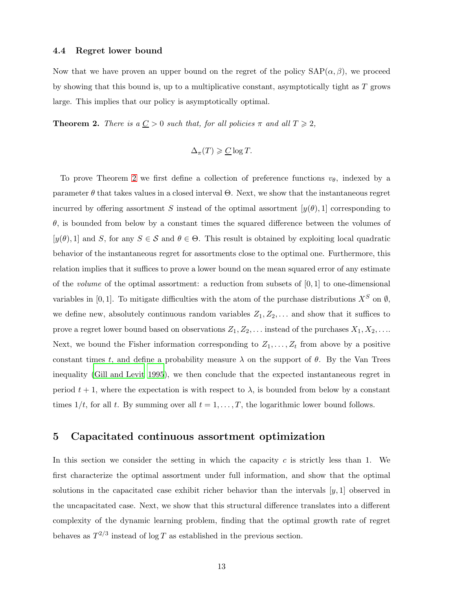#### 4.4 Regret lower bound

Now that we have proven an upper bound on the regret of the policy  $SAP(\alpha, \beta)$ , we proceed by showing that this bound is, up to a multiplicative constant, asymptotically tight as  $T$  grows large. This implies that our policy is asymptotically optimal.

<span id="page-13-1"></span>**Theorem 2.** There is a  $C > 0$  such that, for all policies  $\pi$  and all  $T \ge 2$ ,

$$
\Delta_{\pi}(T) \geqslant \underline{C} \log T.
$$

To prove Theorem [2](#page-13-1) we first define a collection of preference functions  $v_{\theta}$ , indexed by a parameter  $\theta$  that takes values in a closed interval  $\Theta$ . Next, we show that the instantaneous regret incurred by offering assortment S instead of the optimal assortment  $[y(\theta), 1]$  corresponding to  $\theta$ , is bounded from below by a constant times the squared difference between the volumes of  $[y(\theta), 1]$  and S, for any  $S \in \mathcal{S}$  and  $\theta \in \Theta$ . This result is obtained by exploiting local quadratic behavior of the instantaneous regret for assortments close to the optimal one. Furthermore, this relation implies that it suffices to prove a lower bound on the mean squared error of any estimate of the *volume* of the optimal assortment: a reduction from subsets of  $[0, 1]$  to one-dimensional variables in [0, 1]. To mitigate difficulties with the atom of the purchase distributions  $X^S$  on  $\emptyset$ , we define new, absolutely continuous random variables  $Z_1, Z_2, \ldots$  and show that it suffices to prove a regret lower bound based on observations  $Z_1, Z_2, \ldots$  instead of the purchases  $X_1, X_2, \ldots$ Next, we bound the Fisher information corresponding to  $Z_1, \ldots, Z_t$  from above by a positive constant times t, and define a probability measure  $\lambda$  on the support of  $\theta$ . By the Van Trees inequality [\(Gill and Levit 1995](#page-33-16)), we then conclude that the expected instantaneous regret in period  $t + 1$ , where the expectation is with respect to  $\lambda$ , is bounded from below by a constant times  $1/t$ , for all t. By summing over all  $t = 1, ..., T$ , the logarithmic lower bound follows.

#### <span id="page-13-0"></span>5 Capacitated continuous assortment optimization

In this section we consider the setting in which the capacity c is strictly less than 1. We first characterize the optimal assortment under full information, and show that the optimal solutions in the capacitated case exhibit richer behavior than the intervals  $[y, 1]$  observed in the uncapacitated case. Next, we show that this structural difference translates into a different complexity of the dynamic learning problem, finding that the optimal growth rate of regret behaves as  $T^{2/3}$  instead of  $\log T$  as established in the previous section.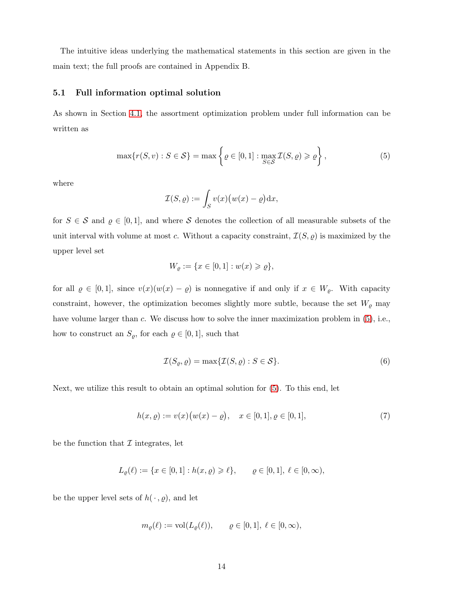<span id="page-14-3"></span>The intuitive ideas underlying the mathematical statements in this section are given in the main text; the full proofs are contained in Appendix B.

#### 5.1 Full information optimal solution

As shown in Section [4.1,](#page-10-2) the assortment optimization problem under full information can be written as

$$
\max\{r(S, v) : S \in \mathcal{S}\} = \max\left\{\varrho \in [0, 1] : \max_{S \in \mathcal{S}} \mathcal{I}(S, \varrho) \geqslant \varrho\right\},\tag{5}
$$

where

<span id="page-14-0"></span>
$$
\mathcal{I}(S,\varrho):=\int_S v(x)\big(w(x)-\varrho\big){\rm d} x,
$$

for  $S \in \mathcal{S}$  and  $\varrho \in [0,1]$ , and where  $\mathcal{S}$  denotes the collection of all measurable subsets of the unit interval with volume at most c. Without a capacity constraint,  $\mathcal{I}(S, \varrho)$  is maximized by the upper level set

$$
W_{\varrho} := \{ x \in [0,1] : w(x) \geq \varrho \},\
$$

for all  $\varrho \in [0,1]$ , since  $v(x)(w(x) - \varrho)$  is nonnegative if and only if  $x \in W_{\varrho}$ . With capacity constraint, however, the optimization becomes slightly more subtle, because the set  $W_{\varrho}$  may have volume larger than c. We discuss how to solve the inner maximization problem in  $(5)$ , i.e., how to construct an  $S_{\varrho}$ , for each  $\varrho \in [0,1]$ , such that

<span id="page-14-2"></span><span id="page-14-1"></span>
$$
\mathcal{I}(S_{\varrho}, \varrho) = \max\{\mathcal{I}(S, \varrho) : S \in \mathcal{S}\}.
$$
\n<sup>(6)</sup>

Next, we utilize this result to obtain an optimal solution for [\(5\)](#page-14-0). To this end, let

$$
h(x, \varrho) := v(x) (w(x) - \varrho), \quad x \in [0, 1], \varrho \in [0, 1], \tag{7}
$$

be the function that  $\mathcal I$  integrates, let

$$
L_{\varrho}(\ell) := \{ x \in [0, 1] : h(x, \varrho) \geq \ell \}, \qquad \varrho \in [0, 1], \ \ell \in [0, \infty),
$$

be the upper level sets of  $h(\cdot, \varrho)$ , and let

$$
m_{\varrho}(\ell) := \text{vol}(L_{\varrho}(\ell)), \qquad \varrho \in [0, 1], \ \ell \in [0, \infty),
$$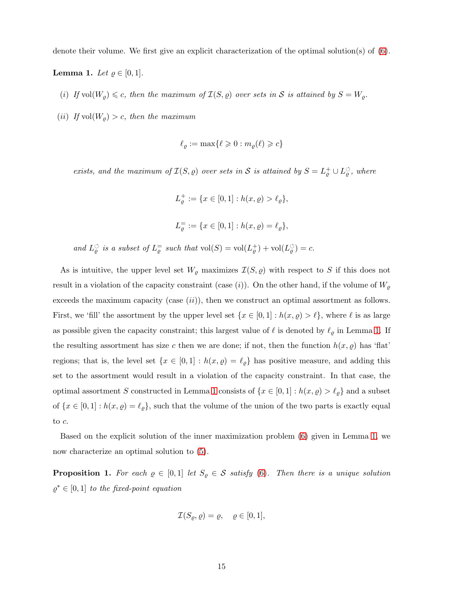denote their volume. We first give an explicit characterization of the optimal solution(s) of [\(6\)](#page-14-1).

<span id="page-15-0"></span>Lemma 1. Let  $\varrho \in [0,1]$ .

- (i) If  $vol(W_{\varrho}) \leqslant c$ , then the maximum of  $\mathcal{I}(S, \varrho)$  over sets in S is attained by  $S = W_{\varrho}$ .
- (ii) If  $vol(W_{\varrho}) > c$ , then the maximum

$$
\ell_\varrho:=\max\{\ell\geqslant 0: m_\varrho(\ell)\geqslant c\}
$$

exists, and the maximum of  $\mathcal{I}(S, \varrho)$  over sets in S is attained by  $S = L_{\varrho}^{+} \cup L_{\varrho}^{\circ}$ , where

$$
L_{\varrho}^{+} := \{x \in [0,1] : h(x,\varrho) > \ell_{\varrho}\},
$$
  

$$
L_{\varrho}^{-} := \{x \in [0,1] : h(x,\varrho) = \ell_{\varrho}\},
$$
  
and  $L_{\varrho}^{\circ}$  is a subset of  $L_{\varrho}^{-}$  such that  $vol(S) = vol(L_{\varrho}^{+}) + vol(L_{\varrho}^{\circ}) = c$ .

As is intuitive, the upper level set  $W_{\varrho}$  maximizes  $\mathcal{I}(S, \varrho)$  with respect to S if this does not result in a violation of the capacity constraint (case  $(i)$ ). On the other hand, if the volume of  $W_{\varrho}$ exceeds the maximum capacity (case  $(ii)$ ), then we construct an optimal assortment as follows. First, we 'fill' the assortment by the upper level set  $\{x \in [0,1]: h(x, \varrho) > \ell\}$ , where  $\ell$  is as large as possible given the capacity constraint; this largest value of  $\ell$  is denoted by  $\ell_{\varrho}$  in Lemma [1.](#page-15-0) If the resulting assortment has size c then we are done; if not, then the function  $h(x, \rho)$  has 'flat' regions; that is, the level set  $\{x \in [0,1] : h(x, \varrho) = \ell_{\varrho}\}\$  has positive measure, and adding this set to the assortment would result in a violation of the capacity constraint. In that case, the optimal assortment S constructed in Lemma [1](#page-15-0) consists of  $\{x \in [0,1] : h(x, \varrho) > \ell_{\varrho}\}\$  and a subset of  $\{x \in [0,1]: h(x, \varrho) = \ell_{\varrho}\}$ , such that the volume of the union of the two parts is exactly equal to c.

Based on the explicit solution of the inner maximization problem [\(6\)](#page-14-1) given in Lemma [1,](#page-15-0) we now characterize an optimal solution to [\(5\)](#page-14-0).

**Proposition 1.** For each  $\varrho \in [0,1]$  let  $S_{\varrho} \in \mathcal{S}$  satisfy [\(6\)](#page-14-1). Then there is a unique solution  $\varrho^* \in [0,1]$  to the fixed-point equation

$$
\mathcal{I}(S_{\varrho}, \varrho) = \varrho, \quad \varrho \in [0, 1],
$$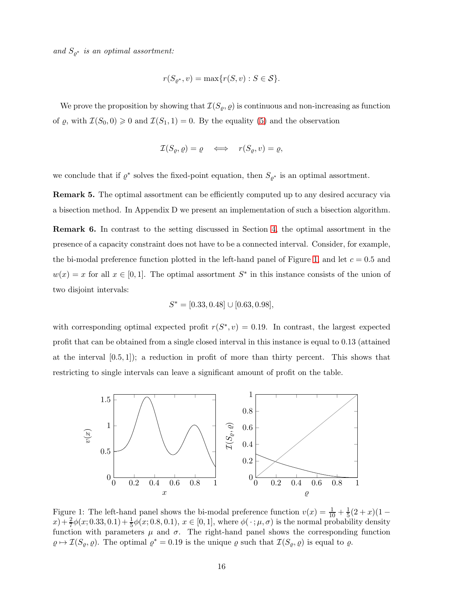and  $S_{\varrho^*}$  is an optimal assortment:

$$
r(S_{\varrho^*}, v) = \max\{r(S, v) : S \in \mathcal{S}\}.
$$

We prove the proposition by showing that  $\mathcal{I}(S_{\rho}, \rho)$  is continuous and non-increasing as function of  $\varrho$ , with  $\mathcal{I}(S_0, 0) \geq 0$  and  $\mathcal{I}(S_1, 1) = 0$ . By the equality [\(5\)](#page-14-0) and the observation

$$
\mathcal{I}(S_{\varrho}, \varrho) = \varrho \iff r(S_{\varrho}, v) = \varrho
$$

we conclude that if  $\varrho^*$  solves the fixed-point equation, then  $S_{\varrho^*}$  is an optimal assortment.

Remark 5. The optimal assortment can be efficiently computed up to any desired accuracy via a bisection method. In Appendix D we present an implementation of such a bisection algorithm.

Remark 6. In contrast to the setting discussed in Section [4,](#page-10-0) the optimal assortment in the presence of a capacity constraint does not have to be a connected interval. Consider, for example, the bi-modal preference function plotted in the left-hand panel of Figure [1,](#page-16-0) and let  $c = 0.5$  and  $w(x) = x$  for all  $x \in [0, 1]$ . The optimal assortment  $S^*$  in this instance consists of the union of two disjoint intervals:

$$
S^* = [0.33, 0.48] \cup [0.63, 0.98],
$$

with corresponding optimal expected profit  $r(S^*, v) = 0.19$ . In contrast, the largest expected profit that can be obtained from a single closed interval in this instance is equal to 0.13 (attained at the interval  $[0.5, 1]$ ; a reduction in profit of more than thirty percent. This shows that restricting to single intervals can leave a significant amount of profit on the table.



<span id="page-16-0"></span>Figure 1: The left-hand panel shows the bi-modal preference function  $v(x) = \frac{1}{10} + \frac{1}{5}$  $rac{1}{5}(2+x)(1 (x) + \frac{2}{7}\phi(x; 0.33, 0.1) + \frac{1}{5}\phi(x; 0.8, 0.1), x \in [0, 1],$  where  $\phi(\cdot; \mu, \sigma)$  is the normal probability density function with parameters  $\mu$  and  $\sigma$ . The right-hand panel shows the corresponding function  $\varrho \mapsto \mathcal{I}(S_{\varrho}, \varrho)$ . The optimal  $\varrho^* = 0.19$  is the unique  $\varrho$  such that  $\mathcal{I}(S_{\varrho}, \varrho)$  is equal to  $\varrho$ .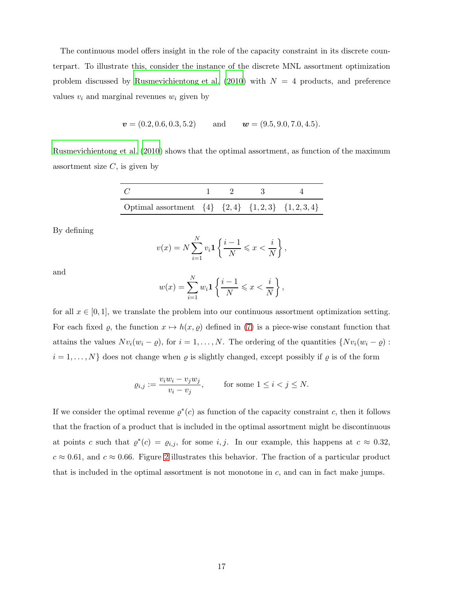The continuous model offers insight in the role of the capacity constraint in its discrete counterpart. To illustrate this, consider the instance of the discrete MNL assortment optimization problem discussed by [Rusmevichientong et al. \(2010](#page-33-7)) with  $N = 4$  products, and preference values  $v_i$  and marginal revenues  $w_i$  given by

$$
\mathbf{v} = (0.2, 0.6, 0.3, 5.2)
$$
 and  $\mathbf{w} = (9.5, 9.0, 7.0, 4.5).$ 

[Rusmevichientong et al. \(2010](#page-33-7)) shows that the optimal assortment, as function of the maximum assortment size  $C$ , is given by

| Optimal assortment $\{4\}$ $\{2,4\}$ $\{1,2,3\}$ $\{1,2,3,4\}$ |  |  |
|----------------------------------------------------------------|--|--|

By defining

$$
v(x) = N \sum_{i=1}^{N} v_i \mathbf{1} \left\{ \frac{i-1}{N} \leqslant x < \frac{i}{N} \right\},\,
$$

and

$$
w(x) = \sum_{i=1}^{N} w_i \mathbf{1} \left\{ \frac{i-1}{N} \leq x < \frac{i}{N} \right\},\,
$$

for all  $x \in [0, 1]$ , we translate the problem into our continuous assortment optimization setting. For each fixed  $\varrho$ , the function  $x \mapsto h(x, \varrho)$  defined in [\(7\)](#page-14-2) is a piece-wise constant function that attains the values  $Nv_i(w_i - \varrho)$ , for  $i = 1, ..., N$ . The ordering of the quantities  $\{Nv_i(w_i - \varrho)$ :  $i = 1, \ldots, N$  does not change when  $\varrho$  is slightly changed, except possibly if  $\varrho$  is of the form

$$
\varrho_{i,j} := \frac{v_i w_i - v_j w_j}{v_i - v_j}, \qquad \text{for some } 1 \le i < j \le N.
$$

If we consider the optimal revenue  $\varrho^*(c)$  as function of the capacity constraint c, then it follows that the fraction of a product that is included in the optimal assortment might be discontinuous at points c such that  $\varrho^*(c) = \varrho_{i,j}$ , for some i, j. In our example, this happens at  $c \approx 0.32$ ,  $c \approx 0.61$ , and  $c \approx 0.66$ . Figure [2](#page-18-0) illustrates this behavior. The fraction of a particular product that is included in the optimal assortment is not monotone in c, and can in fact make jumps.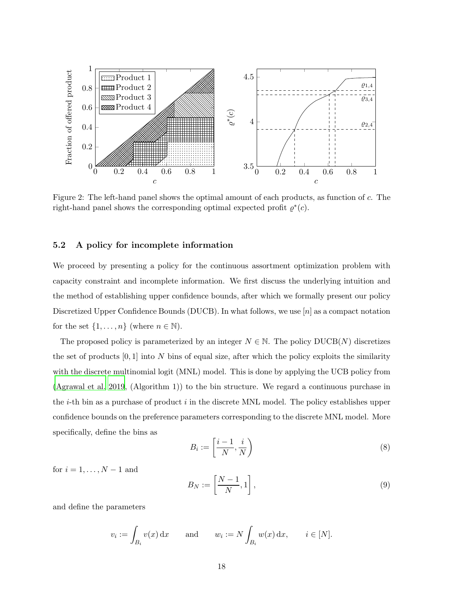

<span id="page-18-0"></span>Figure 2: The left-hand panel shows the optimal amount of each products, as function of c. The right-hand panel shows the corresponding optimal expected profit  $\varrho^*(c)$ .

#### <span id="page-18-3"></span>5.2 A policy for incomplete information

We proceed by presenting a policy for the continuous assortment optimization problem with capacity constraint and incomplete information. We first discuss the underlying intuition and the method of establishing upper confidence bounds, after which we formally present our policy Discretized Upper Confidence Bounds (DUCB). In what follows, we use  $[n]$  as a compact notation for the set  $\{1, \ldots, n\}$  (where  $n \in \mathbb{N}$ ).

The proposed policy is parameterized by an integer  $N \in \mathbb{N}$ . The policy  $DUCB(N)$  discretizes the set of products  $[0, 1]$  into N bins of equal size, after which the policy exploits the similarity with the discrete multinomial logit (MNL) model. This is done by applying the UCB policy from [\(Agrawal et al. 2019,](#page-31-0) (Algorithm 1)) to the bin structure. We regard a continuous purchase in the *i*-th bin as a purchase of product  $i$  in the discrete MNL model. The policy establishes upper confidence bounds on the preference parameters corresponding to the discrete MNL model. More specifically, define the bins as

<span id="page-18-1"></span>
$$
B_i := \left[\frac{i-1}{N}, \frac{i}{N}\right) \tag{8}
$$

for  $i = 1, \ldots, N-1$  and

<span id="page-18-2"></span>
$$
B_N := \left[\frac{N-1}{N}, 1\right],\tag{9}
$$

and define the parameters

$$
v_i := \int_{B_i} v(x) dx \quad \text{and} \quad w_i := N \int_{B_i} w(x) dx, \quad i \in [N].
$$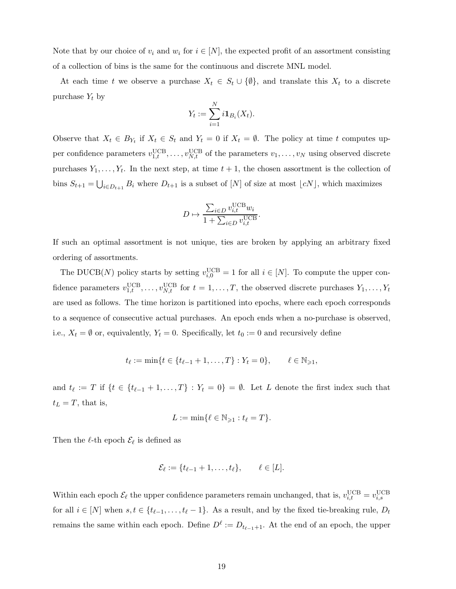Note that by our choice of  $v_i$  and  $w_i$  for  $i \in [N]$ , the expected profit of an assortment consisting of a collection of bins is the same for the continuous and discrete MNL model.

At each time t we observe a purchase  $X_t \in S_t \cup \{\emptyset\}$ , and translate this  $X_t$  to a discrete purchase  $Y_t$  by

$$
Y_t := \sum_{i=1}^N i \mathbf{1}_{B_i}(X_t).
$$

Observe that  $X_t \in B_{Y_t}$  if  $X_t \in S_t$  and  $Y_t = 0$  if  $X_t = \emptyset$ . The policy at time t computes upper confidence parameters  $v_{1,t}^{\text{UCB}}, \ldots, v_{N,t}^{\text{UCB}}$  of the parameters  $v_1, \ldots, v_N$  using observed discrete purchases  $Y_1, \ldots, Y_t$ . In the next step, at time  $t + 1$ , the chosen assortment is the collection of bins  $S_{t+1} = \bigcup_{i \in D_{t+1}} B_i$  where  $D_{t+1}$  is a subset of  $[N]$  of size at most  $\lfloor cN \rfloor$ , which maximizes

$$
D \mapsto \frac{\sum_{i \in D} v_{i,t}^{\text{UCB}} w_i}{1 + \sum_{i \in D} v_{i,t}^{\text{UCB}}}.
$$

If such an optimal assortment is not unique, ties are broken by applying an arbitrary fixed ordering of assortments.

The DUCB(N) policy starts by setting  $v_{i,0}^{\text{UCB}} = 1$  for all  $i \in [N]$ . To compute the upper confidence parameters  $v_{1,t}^{\text{UCB}}, \ldots, v_{N,t}^{\text{UCB}}$  for  $t = 1, \ldots, T$ , the observed discrete purchases  $Y_1, \ldots, Y_t$ are used as follows. The time horizon is partitioned into epochs, where each epoch corresponds to a sequence of consecutive actual purchases. An epoch ends when a no-purchase is observed, i.e.,  $X_t = \emptyset$  or, equivalently,  $Y_t = 0$ . Specifically, let  $t_0 := 0$  and recursively define

$$
t_{\ell} := \min\{t \in \{t_{\ell-1} + 1, ..., T\} : Y_t = 0\}, \qquad \ell \in \mathbb{N}_{\geq 1},
$$

and  $t_{\ell} := T$  if  $\{t \in \{t_{\ell-1} + 1, \ldots, T\} : Y_t = 0\} = \emptyset$ . Let L denote the first index such that  $t_L = T$ , that is,

$$
L:=\min\{\ell\in\mathbb{N}_{\geqslant 1}:t_{\ell}=T\}.
$$

Then the  $\ell$ -th epoch  $\mathcal{E}_{\ell}$  is defined as

$$
\mathcal{E}_{\ell} := \{t_{\ell-1}+1,\ldots,t_{\ell}\}, \qquad \ell \in [L].
$$

Within each epoch  $\mathcal{E}_{\ell}$  the upper confidence parameters remain unchanged, that is,  $v_{i,t}^{\text{UCB}} = v_{i,s}^{\text{UCB}}$ for all  $i \in [N]$  when  $s, t \in \{t_{\ell-1}, \ldots, t_{\ell} - 1\}$ . As a result, and by the fixed tie-breaking rule,  $D_t$ remains the same within each epoch. Define  $D^{\ell} := D_{t_{\ell-1}+1}$ . At the end of an epoch, the upper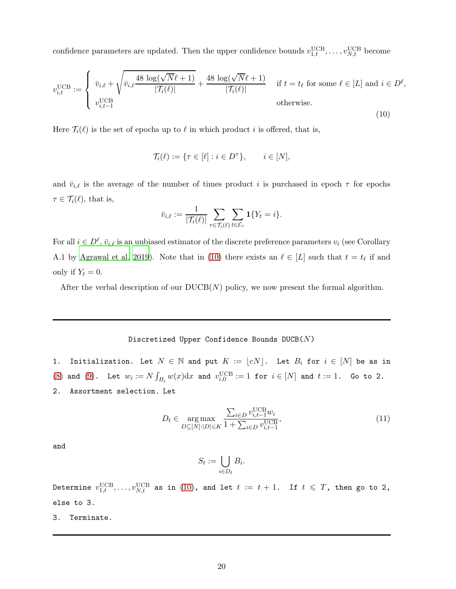confidence parameters are updated. Then the upper confidence bounds  $v_{1,t}^{\text{UCB}}, \ldots, v_{N,t}^{\text{UCB}}$  become

<span id="page-20-0"></span>
$$
v_{i,t}^{\text{UCB}} := \begin{cases} \bar{v}_{i,\ell} + \sqrt{\bar{v}_{i,\ell} \frac{48 \log(\sqrt{N}\ell + 1)}{|\mathcal{T}_i(\ell)|}} + \frac{48 \log(\sqrt{N}\ell + 1)}{|\mathcal{T}_i(\ell)|} & \text{if } t = t_\ell \text{ for some } \ell \in [L] \text{ and } i \in D^\ell, \\ v_{i,t-1}^{\text{UCB}} & \text{otherwise.} \end{cases}
$$
(10)

Here  $\mathcal{T}_i(\ell)$  is the set of epochs up to  $\ell$  in which product i is offered, that is,

$$
\mathcal{T}_i(\ell):=\{\tau\in [\ell]: i\in D^\tau\},\qquad i\in [N],
$$

and  $\bar{v}_{i,\ell}$  is the average of the number of times product i is purchased in epoch  $\tau$  for epochs  $\tau \in \mathcal{T}_i(\ell)$ , that is,

$$
\bar{v}_{i,\ell} := \frac{1}{|\mathcal{T}_i(\ell)|} \sum_{\tau \in \mathcal{T}_i(\ell)} \sum_{t \in \mathcal{E}_{\tau}} \mathbf{1}\{Y_t = i\}.
$$

For all  $i \in D^{\ell}$ ,  $\bar{v}_{i,\ell}$  is an unbiased estimator of the discrete preference parameters  $v_i$  (see Corollary A.1 by [Agrawal et al. 2019](#page-31-0)). Note that in [\(10\)](#page-20-0) there exists an  $\ell \in [L]$  such that  $t = t_{\ell}$  if and only if  $Y_t = 0$ .

After the verbal description of our  $DUCB(N)$  policy, we now present the formal algorithm.

#### Discretized Upper Confidence Bounds  $DUCB(N)$

1. Initialization. Let  $N \in \mathbb{N}$  and put  $K := \lfloor cN \rfloor$ . Let  $B_i$  for  $i \in [N]$  be as in [\(8\)](#page-18-1) and [\(9\)](#page-18-2). Let  $w_i := N \int_{B_i} w(x) dx$  and  $v_{i,0}^{\text{UCB}} := 1$  for  $i \in [N]$  and  $t := 1$ . Go to 2. 2. Assortment selection. Let

<span id="page-20-1"></span>
$$
D_{t} \in \mathop{\arg\max}_{D \subseteq [N]:|D| \leq K} \frac{\sum_{i \in D} v_{i,t-1}^{\text{UCB}} w_{i}}{1 + \sum_{i \in D} v_{i,t-1}^{\text{UCB}}},\tag{11}
$$

and

$$
S_t := \bigcup_{i \in D_t} B_i.
$$

Determine  $v_{1,t}^{\mathrm{UCB}}, \ldots, v_{N,t}^{\mathrm{UCB}}$  as in  $(10)$ , and let  $t$   $:=$   $t+1.$  If  $t$   $\leqslant$   $T$ , then go to 2, else to 3.

3. Terminate.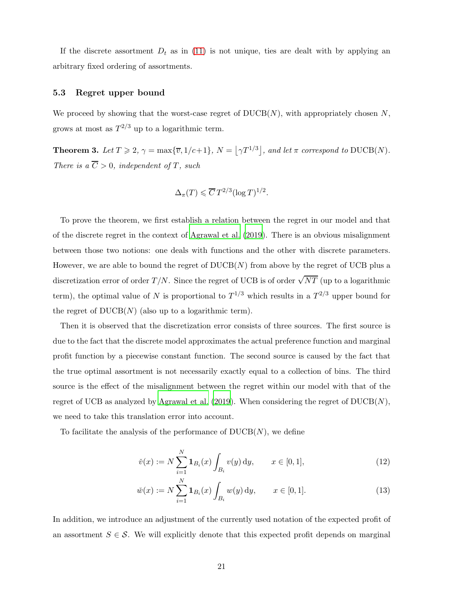<span id="page-21-3"></span>If the discrete assortment  $D_t$  as in [\(11\)](#page-20-1) is not unique, ties are dealt with by applying an arbitrary fixed ordering of assortments.

#### 5.3 Regret upper bound

We proceed by showing that the worst-case regret of  $\mathrm{DUCB}(N)$ , with appropriately chosen N, grows at most as  $T^{2/3}$  up to a logarithmic term.

<span id="page-21-2"></span>**Theorem 3.** Let  $T \ge 2$ ,  $\gamma = \max{\{\overline{v}, 1/c + 1\}}$ ,  $N = \lfloor \gamma T^{1/3} \rfloor$ , and let  $\pi$  correspond to  $\text{DUCB}(N)$ . There is a  $\overline{C} > 0$ , independent of T, such

$$
\Delta_{\pi}(T) \leqslant \overline{C} \, T^{2/3} (\log T)^{1/2}.
$$

To prove the theorem, we first establish a relation between the regret in our model and that of the discrete regret in the context of [Agrawal et al. \(2019](#page-31-0)). There is an obvious misalignment between those two notions: one deals with functions and the other with discrete parameters. However, we are able to bound the regret of  $DUCB(N)$  from above by the regret of UCB plus a discretization error of order  $T/N$ . Since the regret of UCB is of order  $\sqrt{NT}$  (up to a logarithmic term), the optimal value of N is proportional to  $T^{1/3}$  which results in a  $T^{2/3}$  upper bound for the regret of  $DUCB(N)$  (also up to a logarithmic term).

Then it is observed that the discretization error consists of three sources. The first source is due to the fact that the discrete model approximates the actual preference function and marginal profit function by a piecewise constant function. The second source is caused by the fact that the true optimal assortment is not necessarily exactly equal to a collection of bins. The third source is the effect of the misalignment between the regret within our model with that of the regret of UCB as analyzed by [Agrawal et al. \(2019](#page-31-0)). When considering the regret of  $DUCB(N)$ , we need to take this translation error into account.

To facilitate the analysis of the performance of  $\mathrm{DUCB}(N)$ , we define

<span id="page-21-0"></span>
$$
\check{v}(x) := N \sum_{i=1}^{N} \mathbf{1}_{B_i}(x) \int_{B_i} v(y) \, dy, \qquad x \in [0, 1], \tag{12}
$$

<span id="page-21-1"></span>
$$
\check{w}(x) := N \sum_{i=1}^{N} \mathbf{1}_{B_i}(x) \int_{B_i} w(y) \, dy, \qquad x \in [0, 1]. \tag{13}
$$

In addition, we introduce an adjustment of the currently used notation of the expected profit of an assortment  $S \in \mathcal{S}$ . We will explicitly denote that this expected profit depends on marginal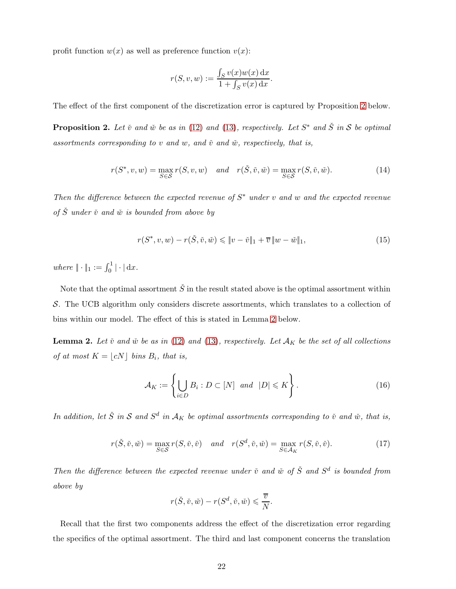profit function  $w(x)$  as well as preference function  $v(x)$ :

$$
r(S, v, w) := \frac{\int_S v(x)w(x) dx}{1 + \int_S v(x) dx}.
$$

The effect of the first component of the discretization error is captured by Proposition [2](#page-22-0) below.

**Proposition 2.** Let  $\check{v}$  and  $\check{w}$  be as in [\(12\)](#page-21-0) and [\(13\)](#page-21-1), respectively. Let  $S^*$  and  $\check{S}$  in  $S$  be optimal assortments corresponding to  $v$  and  $w$ , and  $\check{v}$  and  $\check{w}$ , respectively, that is,

<span id="page-22-3"></span>
$$
r(S^*, v, w) = \max_{S \in \mathcal{S}} r(S, v, w) \quad and \quad r(\check{S}, \check{v}, \check{w}) = \max_{S \in \mathcal{S}} r(S, \check{v}, \check{w}). \tag{14}
$$

Then the difference between the expected revenue of  $S^*$  under v and w and the expected revenue of  $\check{S}$  under  $\check{v}$  and  $\check{w}$  is bounded from above by

<span id="page-22-0"></span>
$$
r(S^*, v, w) - r(\check{S}, \check{v}, \check{w}) \le \|v - \check{v}\|_1 + \overline{v} \|w - \check{w}\|_1,
$$
\n(15)

where  $\|\cdot\|_1 := \int_0^1 |\cdot| \, dx.$ 

Note that the optimal assortment  $\check{S}$  in the result stated above is the optimal assortment within S. The UCB algorithm only considers discrete assortments, which translates to a collection of bins within our model. The effect of this is stated in Lemma [2](#page-22-1) below.

<span id="page-22-1"></span>**Lemma 2.** Let  $\check{v}$  and  $\check{w}$  be as in [\(12\)](#page-21-0) and [\(13\)](#page-21-1), respectively. Let  $\mathcal{A}_K$  be the set of all collections of at most  $K = \lfloor cN \rfloor$  bins  $B_i$ , that is,

<span id="page-22-2"></span>
$$
\mathcal{A}_K := \left\{ \bigcup_{i \in D} B_i : D \subset [N] \text{ and } |D| \leqslant K \right\}.
$$
 (16)

In addition, let  $\check{S}$  in  $S$  and  $S^d$  in  $\mathcal{A}_K$  be optimal assortments corresponding to  $\check{v}$  and  $\check{w}$ , that is,

<span id="page-22-4"></span>
$$
r(\check{S}, \check{v}, \check{w}) = \max_{S \in \mathcal{S}} r(S, \check{v}, \check{v}) \quad and \quad r(S^d, \check{v}, \check{w}) = \max_{S \in \mathcal{A}_K} r(S, \check{v}, \check{v}).
$$
\n(17)

Then the difference between the expected revenue under  $\check{v}$  and  $\check{w}$  of  $\check{S}$  and  $S^d$  is bounded from above by

$$
r(\check{S},\check{v},\check{w}) - r(S^d,\check{v},\check{w}) \leq \frac{\overline{v}}{N}.
$$

Recall that the first two components address the effect of the discretization error regarding the specifics of the optimal assortment. The third and last component concerns the translation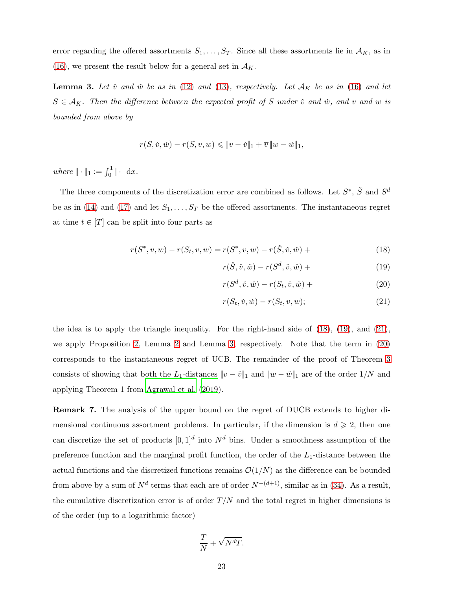error regarding the offered assortments  $S_1, \ldots, S_T$ . Since all these assortments lie in  $\mathcal{A}_K$ , as in [\(16\)](#page-22-2), we present the result below for a general set in  $A_K$ .

<span id="page-23-3"></span>**Lemma 3.** Let  $\check{v}$  and  $\check{w}$  be as in [\(12\)](#page-21-0) and [\(13\)](#page-21-1), respectively. Let  $\mathcal{A}_K$  be as in [\(16\)](#page-22-2) and let  $S \in \mathcal{A}_K$ . Then the difference between the expected profit of S under  $\check{v}$  and  $\check{w}$ , and v and w is bounded from above by

$$
r(S, \check{v}, \check{w}) - r(S, v, w) \leqslant \|v - \check{v}\|_1 + \overline{v} \|w - \check{w}\|_1,
$$

where  $\|\cdot\|_1 := \int_0^1 |\cdot| \, dx.$ 

The three components of the discretization error are combined as follows. Let  $S^*$ ,  $\check{S}$  and  $S^d$ be as in [\(14\)](#page-22-3) and [\(17\)](#page-22-4) and let  $S_1, \ldots, S_T$  be the offered assortments. The instantaneous regret at time  $t \in [T]$  can be split into four parts as

$$
r(S^*, v, w) - r(S_t, v, w) = r(S^*, v, w) - r(\check{S}, \check{v}, \check{w}) +
$$
\n(18)

<span id="page-23-0"></span>
$$
r(\check{S}, \check{v}, \check{w}) - r(S^d, \check{v}, \check{w}) + \tag{19}
$$

<span id="page-23-4"></span><span id="page-23-2"></span><span id="page-23-1"></span>
$$
r(S^d, \check{v}, \check{w}) - r(S_t, \check{v}, \check{w}) + \tag{20}
$$

$$
r(S_t, \check{\nu}, \check{\omega}) - r(S_t, \nu, w); \tag{21}
$$

the idea is to apply the triangle inequality. For the right-hand side of  $(18)$ ,  $(19)$ , and  $(21)$ , we apply Proposition [2,](#page-22-0) Lemma [2](#page-22-1) and Lemma [3,](#page-23-3) respectively. Note that the term in [\(20\)](#page-23-4) corresponds to the instantaneous regret of UCB. The remainder of the proof of Theorem [3](#page-21-2) consists of showing that both the L<sub>1</sub>-distances  $||v - \check{v}||_1$  and  $||w - \check{w}||_1$  are of the order 1/N and applying Theorem 1 from [Agrawal et al. \(2019](#page-31-0)).

Remark 7. The analysis of the upper bound on the regret of DUCB extends to higher dimensional continuous assortment problems. In particular, if the dimension is  $d \geq 2$ , then one can discretize the set of products  $[0, 1]^d$  into  $N^d$  bins. Under a smoothness assumption of the preference function and the marginal profit function, the order of the  $L_1$ -distance between the actual functions and the discretized functions remains  $\mathcal{O}(1/N)$  as the difference can be bounded from above by a sum of  $N^d$  terms that each are of order  $N^{-(d+1)}$ , similar as in [\(34\)](#page-51-0). As a result, the cumulative discretization error is of order  $T/N$  and the total regret in higher dimensions is of the order (up to a logarithmic factor)

$$
\frac{T}{N} + \sqrt{N^d T}.
$$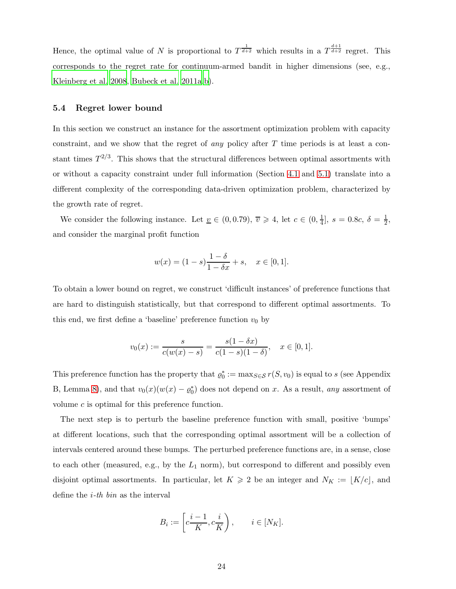Hence, the optimal value of N is proportional to  $T^{\frac{1}{d+2}}$  which results in a  $T^{\frac{d+1}{d+2}}$  regret. This corresponds to the regret rate for continuum-armed bandit in higher dimensions (see, e.g., [Kleinberg et al. 2008](#page-33-13), [Bubeck et al. 2011a](#page-32-9)[,b](#page-32-10)).

#### 5.4 Regret lower bound

In this section we construct an instance for the assortment optimization problem with capacity constraint, and we show that the regret of *any* policy after  $T$  time periods is at least a constant times  $T^{2/3}$ . This shows that the structural differences between optimal assortments with or without a capacity constraint under full information (Section [4.1](#page-10-2) and [5.1\)](#page-14-3) translate into a different complexity of the corresponding data-driven optimization problem, characterized by the growth rate of regret.

We consider the following instance. Let  $\underline{v} \in (0, 0.79), \overline{v} \geqslant 4$ , let  $c \in (0, \frac{1}{4})$  $\frac{1}{4}$ ,  $s = 0.8c, \delta = \frac{1}{2}$  $\frac{1}{2}$ , and consider the marginal profit function

$$
w(x) = (1 - s)\frac{1 - \delta}{1 - \delta x} + s, \quad x \in [0, 1].
$$

To obtain a lower bound on regret, we construct 'difficult instances' of preference functions that are hard to distinguish statistically, but that correspond to different optimal assortments. To this end, we first define a 'baseline' preference function  $v_0$  by

$$
v_0(x) := \frac{s}{c(w(x) - s)} = \frac{s(1 - \delta x)}{c(1 - s)(1 - \delta)}, \quad x \in [0, 1].
$$

This preference function has the property that  $\varrho_0^* := \max_{S \in \mathcal{S}} r(S, v_0)$  is equal to s (see Appendix B, Lemma [8\)](#page-55-0), and that  $v_0(x)(w(x) - \varrho_0^*)$  does not depend on x. As a result, any assortment of volume  $c$  is optimal for this preference function.

The next step is to perturb the baseline preference function with small, positive 'bumps' at different locations, such that the corresponding optimal assortment will be a collection of intervals centered around these bumps. The perturbed preference functions are, in a sense, close to each other (measured, e.g., by the  $L_1$  norm), but correspond to different and possibly even disjoint optimal assortments. In particular, let  $K \geq 2$  be an integer and  $N_K := \lfloor K/c \rfloor$ , and define the  $i$ -th bin as the interval

$$
B_i := \left[ c \frac{i-1}{K}, c \frac{i}{K} \right), \qquad i \in [N_K].
$$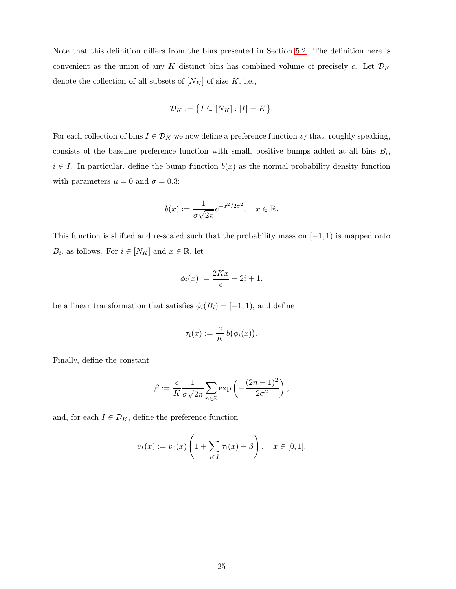Note that this definition differs from the bins presented in Section [5.2.](#page-18-3) The definition here is convenient as the union of any K distinct bins has combined volume of precisely c. Let  $\mathcal{D}_K$ denote the collection of all subsets of  $[N_K]$  of size K, i.e.,

$$
\mathcal{D}_K := \big\{ I \subseteq [N_K] : |I| = K \big\}.
$$

For each collection of bins  $I \in \mathcal{D}_K$  we now define a preference function  $v_I$  that, roughly speaking, consists of the baseline preference function with small, positive bumps added at all bins  $B_i$ ,  $i \in I$ . In particular, define the bump function  $b(x)$  as the normal probability density function with parameters  $\mu = 0$  and  $\sigma = 0.3$ :

$$
b(x) := \frac{1}{\sigma\sqrt{2\pi}}e^{-x^2/2\sigma^2}, \quad x \in \mathbb{R}.
$$

This function is shifted and re-scaled such that the probability mass on  $[-1, 1)$  is mapped onto  $B_i$ , as follows. For  $i \in [N_K]$  and  $x \in \mathbb{R}$ , let

$$
\phi_i(x) := \frac{2Kx}{c} - 2i + 1,
$$

be a linear transformation that satisfies  $\phi_i(B_i) = [-1, 1)$ , and define

$$
\tau_i(x) := \frac{c}{K} b(\phi_i(x)).
$$

Finally, define the constant

$$
\beta := \frac{c}{K} \frac{1}{\sigma \sqrt{2\pi}} \sum_{n \in \mathbb{Z}} \exp \left(-\frac{(2n-1)^2}{2\sigma^2}\right),\,
$$

and, for each  $I \in \mathcal{D}_K$ , define the preference function

$$
v_I(x) := v_0(x) \left( 1 + \sum_{i \in I} \tau_i(x) - \beta \right), \quad x \in [0, 1].
$$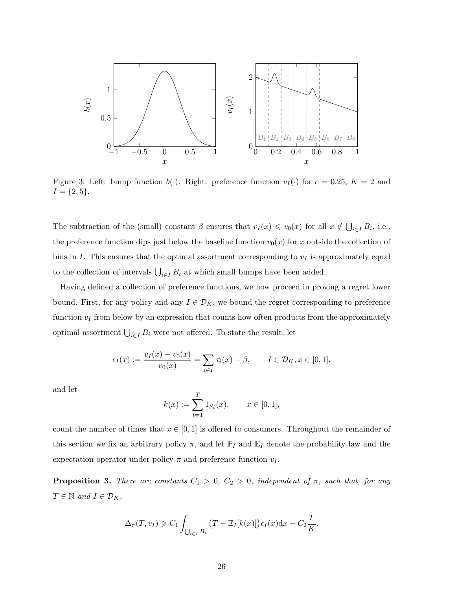

Figure 3: Left: bump function  $b(\cdot)$ . Right: preference function  $v_I(\cdot)$  for  $c = 0.25$ ,  $K = 2$  and  $I = \{2, 5\}.$ 

The subtraction of the (small) constant  $\beta$  ensures that  $v_I(x) \leq v_0(x)$  for all  $x \notin \bigcup_{i \in I} B_i$ , i.e., the preference function dips just below the baseline function  $v_0(x)$  for x outside the collection of bins in I. This ensures that the optimal assortment corresponding to  $v_I$  is approximately equal to the collection of intervals  $\bigcup_{i\in I} B_i$  at which small bumps have been added.

Having defined a collection of preference functions, we now proceed in proving a regret lower bound. First, for any policy and any  $I \in \mathcal{D}_K$ , we bound the regret corresponding to preference function  $v_I$  from below by an expression that counts how often products from the approximately optimal assortment  $\bigcup_{i\in I} B_i$  were not offered. To state the result, let

$$
\epsilon_I(x) := \frac{v_I(x) - v_0(x)}{v_0(x)} = \sum_{i \in I} \tau_i(x) - \beta, \qquad I \in \mathcal{D}_K, x \in [0, 1],
$$

and let

$$
k(x) := \sum_{t=1}^{T} 1_{S_t}(x), \qquad x \in [0, 1],
$$

count the number of times that  $x \in [0,1]$  is offered to consumers. Throughout the remainder of this section we fix an arbitrary policy  $\pi$ , and let  $\mathbb{P}_I$  and  $\mathbb{E}_I$  denote the probability law and the expectation operator under policy  $\pi$  and preference function  $v_I$ .

<span id="page-26-0"></span>**Proposition 3.** There are constants  $C_1 > 0$ ,  $C_2 > 0$ , independent of  $\pi$ , such that, for any  $T \in \mathbb{N}$  and  $I \in \mathcal{D}_K$ ,

$$
\Delta_{\pi}(T, v_I) \geqslant C_1 \int_{\bigcup_{i \in I} B_i} \left( T - \mathbb{E}_I[k(x)] \right) \epsilon_I(x) \mathrm{d}x - C_2 \frac{T}{K}.
$$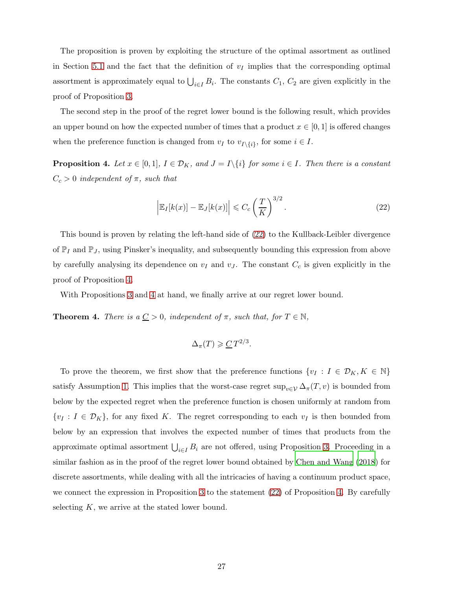The proposition is proven by exploiting the structure of the optimal assortment as outlined in Section [5.1](#page-14-3) and the fact that the definition of  $v_I$  implies that the corresponding optimal assortment is approximately equal to  $\bigcup_{i\in I} B_i$ . The constants  $C_1$ ,  $C_2$  are given explicitly in the proof of Proposition [3.](#page-26-0)

The second step in the proof of the regret lower bound is the following result, which provides an upper bound on how the expected number of times that a product  $x \in [0,1]$  is offered changes when the preference function is changed from  $v_I$  to  $v_{I\setminus\{i\}}$ , for some  $i \in I$ .

<span id="page-27-1"></span>**Proposition 4.** Let  $x \in [0,1]$ ,  $I \in \mathcal{D}_K$ , and  $J = I \setminus \{i\}$  for some  $i \in I$ . Then there is a constant  $C_c > 0$  independent of  $\pi$ , such that

<span id="page-27-0"></span>
$$
\left| \mathbb{E}_I[k(x)] - \mathbb{E}_J[k(x)] \right| \leqslant C_c \left( \frac{T}{K} \right)^{3/2}.
$$
\n(22)

This bound is proven by relating the left-hand side of [\(22\)](#page-27-0) to the Kullback-Leibler divergence of  $\mathbb{P}_I$  and  $\mathbb{P}_J$ , using Pinsker's inequality, and subsequently bounding this expression from above by carefully analysing its dependence on  $v_I$  and  $v_J$ . The constant  $C_c$  is given explicitly in the proof of Proposition [4.](#page-27-1)

With Propositions [3](#page-26-0) and [4](#page-27-1) at hand, we finally arrive at our regret lower bound.

**Theorem 4.** There is a  $\underline{C} > 0$ , independent of  $\pi$ , such that, for  $T \in \mathbb{N}$ ,

$$
\Delta_{\pi}(T) \geqslant \underline{C} T^{2/3}.
$$

To prove the theorem, we first show that the preference functions  $\{v_I : I \in \mathcal{D}_K, K \in \mathbb{N}\}\$ satisfy Assumption [1.](#page-8-2) This implies that the worst-case regret  $\sup_{v\in\mathcal{V}}\Delta_{\pi}(T,v)$  is bounded from below by the expected regret when the preference function is chosen uniformly at random from  $\{v_I : I \in \mathcal{D}_K\}$ , for any fixed K. The regret corresponding to each  $v_I$  is then bounded from below by an expression that involves the expected number of times that products from the approximate optimal assortment  $\bigcup_{i\in I} B_i$  are not offered, using Proposition [3.](#page-26-0) Proceeding in a similar fashion as in the proof of the regret lower bound obtained by [Chen and Wang \(2018\)](#page-32-5) for discrete assortments, while dealing with all the intricacies of having a continuum product space, we connect the expression in Proposition [3](#page-26-0) to the statement [\(22\)](#page-27-0) of Proposition [4.](#page-27-1) By carefully selecting  $K$ , we arrive at the stated lower bound.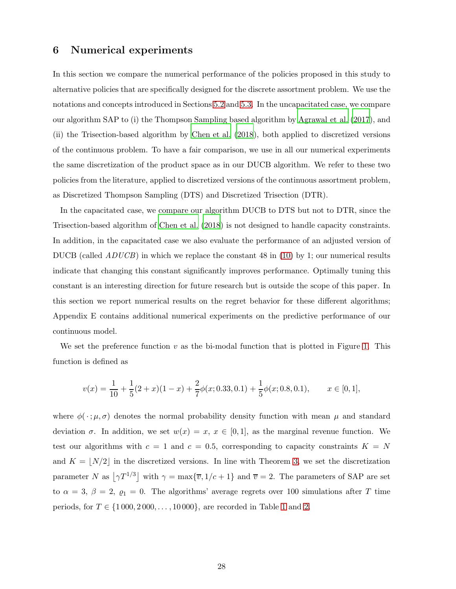## 6 Numerical experiments

In this section we compare the numerical performance of the policies proposed in this study to alternative policies that are specifically designed for the discrete assortment problem. We use the notations and concepts introduced in Sections [5.2](#page-18-3) and [5.3.](#page-21-3) In the uncapacitated case, we compare our algorithm SAP to (i) the Thompson Sampling based algorithm by [Agrawal et al. \(2017](#page-31-1)), and (ii) the Trisection-based algorithm by [Chen et al. \(2018](#page-32-6)), both applied to discretized versions of the continuous problem. To have a fair comparison, we use in all our numerical experiments the same discretization of the product space as in our DUCB algorithm. We refer to these two policies from the literature, applied to discretized versions of the continuous assortment problem, as Discretized Thompson Sampling (DTS) and Discretized Trisection (DTR).

In the capacitated case, we compare our algorithm DUCB to DTS but not to DTR, since the Trisection-based algorithm of [Chen et al. \(2018](#page-32-6)) is not designed to handle capacity constraints. In addition, in the capacitated case we also evaluate the performance of an adjusted version of DUCB (called  $ADUCB$ ) in which we replace the constant 48 in [\(10\)](#page-20-0) by 1; our numerical results indicate that changing this constant significantly improves performance. Optimally tuning this constant is an interesting direction for future research but is outside the scope of this paper. In this section we report numerical results on the regret behavior for these different algorithms; Appendix E contains additional numerical experiments on the predictive performance of our continuous model.

We set the preference function  $v$  as the bi-modal function that is plotted in Figure [1.](#page-16-0) This function is defined as

$$
v(x) = \frac{1}{10} + \frac{1}{5}(2+x)(1-x) + \frac{2}{7}\phi(x; 0.33, 0.1) + \frac{1}{5}\phi(x; 0.8, 0.1), \qquad x \in [0, 1],
$$

where  $\phi(\cdot;\mu,\sigma)$  denotes the normal probability density function with mean  $\mu$  and standard deviation  $\sigma$ . In addition, we set  $w(x) = x, x \in [0,1]$ , as the marginal revenue function. We test our algorithms with  $c = 1$  and  $c = 0.5$ , corresponding to capacity constraints  $K = N$ and  $K = \lfloor N/2 \rfloor$  in the discretized versions. In line with Theorem [3,](#page-21-2) we set the discretization parameter N as  $\left[\gamma T^{1/3}\right]$  with  $\gamma = \max\{\overline{v}, 1/c + 1\}$  and  $\overline{v} = 2$ . The parameters of SAP are set to  $\alpha = 3, \beta = 2, \rho_1 = 0$ . The algorithms' average regrets over 100 simulations after T time periods, for  $T \in \{1000, 2000, \ldots, 10000\}$  $T \in \{1000, 2000, \ldots, 10000\}$  $T \in \{1000, 2000, \ldots, 10000\}$ , are recorded in Table 1 and [2.](#page-29-1)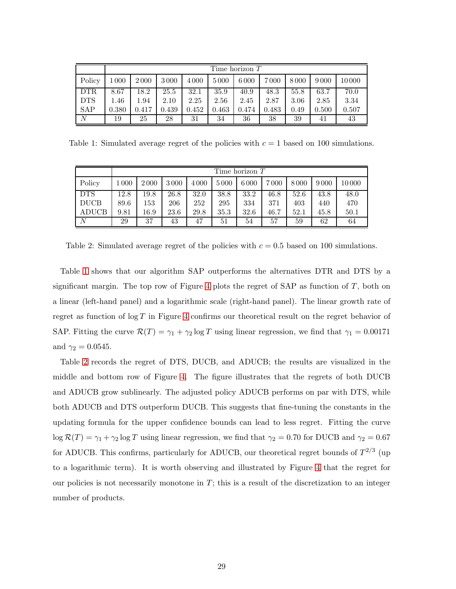|                  | Time horizon $T$ |       |       |         |       |       |       |      |       |       |
|------------------|------------------|-------|-------|---------|-------|-------|-------|------|-------|-------|
| Policy           | 1000             | 2000  | 3000  | 4 0 0 0 | 5000  | 6000  | 7000  | 8000 | 9000  | 10000 |
| <b>DTR</b>       | 8.67             | 18.2  | 25.5  | 32.1    | 35.9  | 40.9  | 48.3  | 55.8 | 63.7  | 70.0  |
| <b>DTS</b>       | 1.46             | 1.94  | 2.10  | 2.25    | 2.56  | 2.45  | 2.87  | 3.06 | 2.85  | 3.34  |
| <b>SAP</b>       | 0.380            | 0.417 | 0.439 | 0.452   | 0.463 | 0.474 | 0.483 | 0.49 | 0.500 | 0.507 |
| $\boldsymbol{N}$ | 19               | 25    | 28    | 31      | 34    | 36    | 38    | 39   | 41    | 43    |

Table 1: Simulated average regret of the policies with  $c = 1$  based on 100 simulations.

<span id="page-29-0"></span>

|              | Time horizon $T$ |      |      |         |      |      |      |          |         |       |
|--------------|------------------|------|------|---------|------|------|------|----------|---------|-------|
| Policy       | 1 0 0 0          | 2000 | 3000 | 4 0 0 0 | 5000 | 6000 | 7000 | 8000     | 9 0 0 0 | 10000 |
| <b>DTS</b>   | 12.8             | 19.8 | 26.8 | 32.0    | 38.8 | 33.2 | 46.8 | 52.6     | 43.8    | 48.0  |
| <b>DUCB</b>  | 89.6             | 153  | 206  | 252     | 295  | 334  | 371  | 403      | 440     | 470   |
| <b>ADUCB</b> | 9.81             | 16.9 | 23.6 | 29.8    | 35.3 | 32.6 | 46.7 | $52.1\,$ | 45.8    | 50.1  |
| N            | 29               | 37   | 43   | 47      | 51   | 54   | 57   | 59       | 62      | 64    |

<span id="page-29-1"></span>Table 2: Simulated average regret of the policies with  $c = 0.5$  based on 100 simulations.

Table [1](#page-29-0) shows that our algorithm SAP outperforms the alternatives DTR and DTS by a significant margin. The top row of Figure [4](#page-30-0) plots the regret of SAP as function of  $T$ , both on a linear (left-hand panel) and a logarithmic scale (right-hand panel). The linear growth rate of regret as function of  $\log T$  in Figure [4](#page-30-0) confirms our theoretical result on the regret behavior of SAP. Fitting the curve  $\mathcal{R}(T) = \gamma_1 + \gamma_2 \log T$  using linear regression, we find that  $\gamma_1 = 0.00171$ and  $\gamma_2 = 0.0545$ .

Table [2](#page-29-1) records the regret of DTS, DUCB, and ADUCB; the results are visualized in the middle and bottom row of Figure [4.](#page-30-0) The figure illustrates that the regrets of both DUCB and ADUCB grow sublinearly. The adjusted policy ADUCB performs on par with DTS, while both ADUCB and DTS outperform DUCB. This suggests that fine-tuning the constants in the updating formula for the upper confidence bounds can lead to less regret. Fitting the curve  $\log \mathcal{R}(T) = \gamma_1 + \gamma_2 \log T$  using linear regression, we find that  $\gamma_2 = 0.70$  for DUCB and  $\gamma_2 = 0.67$ for ADUCB. This confirms, particularly for ADUCB, our theoretical regret bounds of  $T^{2/3}$  (up to a logarithmic term). It is worth observing and illustrated by Figure [4](#page-30-0) that the regret for our policies is not necessarily monotone in  $T$ ; this is a result of the discretization to an integer number of products.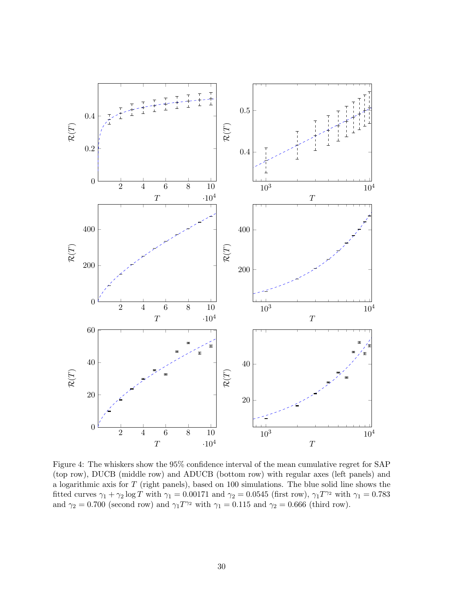

<span id="page-30-0"></span>Figure 4: The whiskers show the 95% confidence interval of the mean cumulative regret for SAP (top row), DUCB (middle row) and ADUCB (bottom row) with regular axes (left panels) and a logarithmic axis for T (right panels), based on 100 simulations. The blue solid line shows the fitted curves  $\gamma_1 + \gamma_2 \log T$  with  $\gamma_1 = 0.00171$  and  $\gamma_2 = 0.0545$  (first row),  $\gamma_1 T^{\gamma_2}$  with  $\gamma_1 = 0.783$ and  $\gamma_2 = 0.700$  (second row) and  $\gamma_1 T^{\gamma_2}$  with  $\gamma_1 = 0.115$  and  $\gamma_2 = 0.666$  (third row).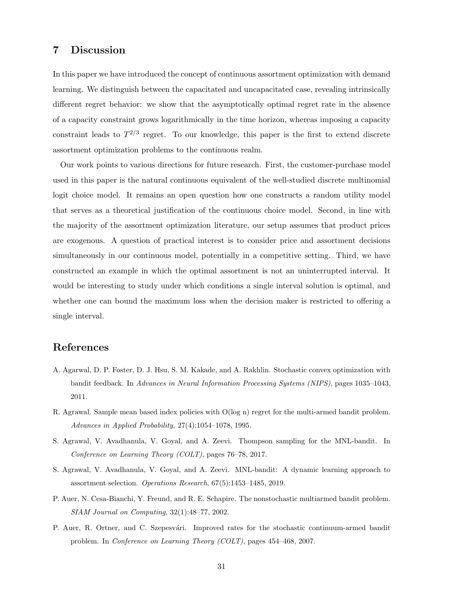## 7 Discussion

In this paper we have introduced the concept of continuous assortment optimization with demand learning. We distinguish between the capacitated and uncapacitated case, revealing intrinsically different regret behavior: we show that the asymptotically optimal regret rate in the absence of a capacity constraint grows logarithmically in the time horizon, whereas imposing a capacity constraint leads to  $T^{2/3}$  regret. To our knowledge, this paper is the first to extend discrete assortment optimization problems to the continuous realm.

Our work points to various directions for future research. First, the customer-purchase model used in this paper is the natural continuous equivalent of the well-studied discrete multinomial logit choice model. It remains an open question how one constructs a random utility model that serves as a theoretical justification of the continuous choice model. Second, in line with the majority of the assortment optimization literature, our setup assumes that product prices are exogenous. A question of practical interest is to consider price and assortment decisions simultaneously in our continuous model, potentially in a competitive setting. Third, we have constructed an example in which the optimal assortment is not an uninterrupted interval. It would be interesting to study under which conditions a single interval solution is optimal, and whether one can bound the maximum loss when the decision maker is restricted to offering a single interval.

## References

- <span id="page-31-4"></span>A. Agarwal, D. P. Foster, D. J. Hsu, S. M. Kakade, and A. Rakhlin. Stochastic convex optimization with bandit feedback. In Advances in Neural Information Processing Systems (NIPS), pages 1035–1043, 2011.
- <span id="page-31-2"></span>R. Agrawal. Sample mean based index policies with O(log n) regret for the multi-armed bandit problem. Advances in Applied Probability, 27(4):1054–1078, 1995.
- <span id="page-31-1"></span>S. Agrawal, V. Avadhanula, V. Goyal, and A. Zeevi. Thompson sampling for the MNL-bandit. In Conference on Learning Theory (COLT), pages 76–78, 2017.
- <span id="page-31-0"></span>S. Agrawal, V. Avadhanula, V. Goyal, and A. Zeevi. MNL-bandit: A dynamic learning approach to assortment selection. Operations Research, 67(5):1453–1485, 2019.
- <span id="page-31-3"></span>P. Auer, N. Cesa-Bianchi, Y. Freund, and R. E. Schapire. The nonstochastic multiarmed bandit problem. SIAM Journal on Computing, 32(1):48–77, 2002.
- <span id="page-31-5"></span>P. Auer, R. Ortner, and C. Szepesvári. Improved rates for the stochastic continuum-armed bandit problem. In Conference on Learning Theory (COLT), pages 454–468, 2007.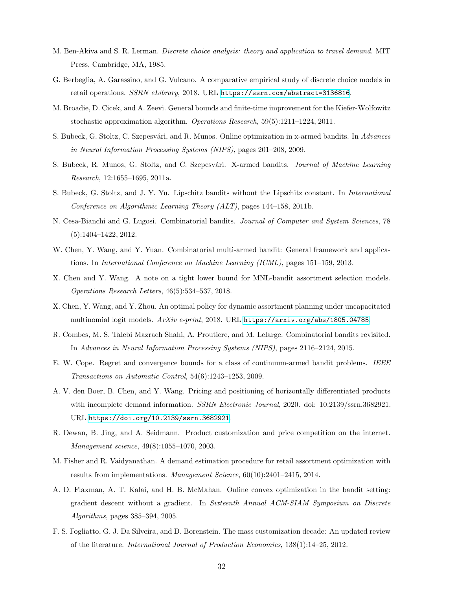- <span id="page-32-1"></span>M. Ben-Akiva and S. R. Lerman. Discrete choice analysis: theory and application to travel demand. MIT Press, Cambridge, MA, 1985.
- G. Berbeglia, A. Garassino, and G. Vulcano. A comparative empirical study of discrete choice models in retail operations. SSRN eLibrary, 2018. URL <https://ssrn.com/abstract=3136816>.
- <span id="page-32-15"></span>M. Broadie, D. Cicek, and A. Zeevi. General bounds and finite-time improvement for the Kiefer-Wolfowitz stochastic approximation algorithm. Operations Research, 59(5):1211–1224, 2011.
- <span id="page-32-7"></span>S. Bubeck, G. Stoltz, C. Szepesvári, and R. Munos. Online optimization in x-armed bandits. In Advances in Neural Information Processing Systems (NIPS), pages 201–208, 2009.
- <span id="page-32-9"></span>S. Bubeck, R. Munos, G. Stoltz, and C. Szepesvári. X-armed bandits. Journal of Machine Learning Research, 12:1655–1695, 2011a.
- <span id="page-32-10"></span>S. Bubeck, G. Stoltz, and J. Y. Yu. Lipschitz bandits without the Lipschitz constant. In International Conference on Algorithmic Learning Theory (ALT), pages 144–158, 2011b.
- <span id="page-32-12"></span>N. Cesa-Bianchi and G. Lugosi. Combinatorial bandits. Journal of Computer and System Sciences, 78 (5):1404–1422, 2012.
- <span id="page-32-13"></span>W. Chen, Y. Wang, and Y. Yuan. Combinatorial multi-armed bandit: General framework and applications. In International Conference on Machine Learning (ICML), pages 151–159, 2013.
- <span id="page-32-5"></span>X. Chen and Y. Wang. A note on a tight lower bound for MNL-bandit assortment selection models. Operations Research Letters, 46(5):534–537, 2018.
- <span id="page-32-6"></span>X. Chen, Y. Wang, and Y. Zhou. An optimal policy for dynamic assortment planning under uncapacitated multinomial logit models. ArXiv e-print, 2018. URL <https://arxiv.org/abs/1805.04785>.
- <span id="page-32-14"></span>R. Combes, M. S. Talebi Mazraeh Shahi, A. Proutiere, and M. Lelarge. Combinatorial bandits revisited. In Advances in Neural Information Processing Systems (NIPS), pages 2116–2124, 2015.
- <span id="page-32-8"></span>E. W. Cope. Regret and convergence bounds for a class of continuum-armed bandit problems. IEEE Transactions on Automatic Control, 54(6):1243–1253, 2009.
- <span id="page-32-2"></span>A. V. den Boer, B. Chen, and Y. Wang. Pricing and positioning of horizontally differentiated products with incomplete demand information. SSRN Electronic Journal, 2020. doi: 10.2139/ssrn.3682921. URL <https://doi.org/10.2139/ssrn.3682921>.
- <span id="page-32-4"></span>R. Dewan, B. Jing, and A. Seidmann. Product customization and price competition on the internet. Management science, 49(8):1055–1070, 2003.
- <span id="page-32-3"></span>M. Fisher and R. Vaidyanathan. A demand estimation procedure for retail assortment optimization with results from implementations. Management Science, 60(10):2401–2415, 2014.
- <span id="page-32-11"></span>A. D. Flaxman, A. T. Kalai, and H. B. McMahan. Online convex optimization in the bandit setting: gradient descent without a gradient. In Sixteenth Annual ACM-SIAM Symposium on Discrete Algorithms, pages 385–394, 2005.
- <span id="page-32-0"></span>F. S. Fogliatto, G. J. Da Silveira, and D. Borenstein. The mass customization decade: An updated review of the literature. International Journal of Production Economics, 138(1):14–25, 2012.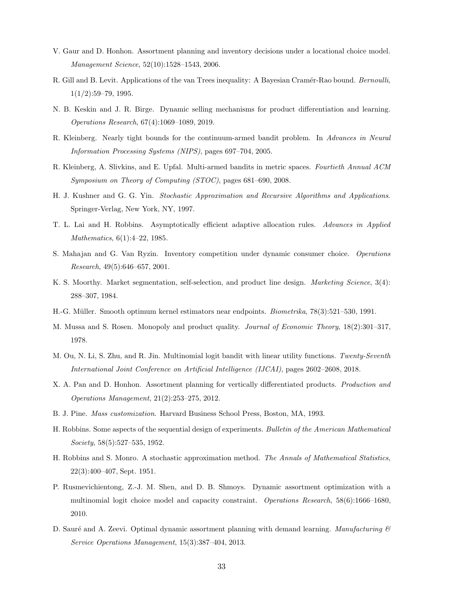- <span id="page-33-6"></span>V. Gaur and D. Honhon. Assortment planning and inventory decisions under a locational choice model. Management Science, 52(10):1528–1543, 2006.
- <span id="page-33-16"></span>R. Gill and B. Levit. Applications of the van Trees inequality: A Bayesian Cramér-Rao bound. Bernoulli,  $1(1/2):59-79, 1995.$
- <span id="page-33-5"></span>N. B. Keskin and J. R. Birge. Dynamic selling mechanisms for product differentiation and learning. Operations Research, 67(4):1069–1089, 2019.
- <span id="page-33-12"></span>R. Kleinberg. Nearly tight bounds for the continuum-armed bandit problem. In Advances in Neural Information Processing Systems (NIPS), pages 697–704, 2005.
- <span id="page-33-13"></span>R. Kleinberg, A. Slivkins, and E. Upfal. Multi-armed bandits in metric spaces. Fourtieth Annual ACM Symposium on Theory of Computing (STOC), pages 681–690, 2008.
- <span id="page-33-15"></span>H. J. Kushner and G. G. Yin. Stochastic Approximation and Recursive Algorithms and Applications. Springer-Verlag, New York, NY, 1997.
- <span id="page-33-11"></span>T. L. Lai and H. Robbins. Asymptotically efficient adaptive allocation rules. Advances in Applied Mathematics, 6(1):4–22, 1985.
- <span id="page-33-1"></span>S. Mahajan and G. Van Ryzin. Inventory competition under dynamic consumer choice. Operations Research, 49(5):646–657, 2001.
- <span id="page-33-3"></span>K. S. Moorthy. Market segmentation, self-selection, and product line design. Marketing Science, 3(4): 288–307, 1984.
- H.-G. M¨uller. Smooth optimum kernel estimators near endpoints. Biometrika, 78(3):521–530, 1991.
- <span id="page-33-2"></span>M. Mussa and S. Rosen. Monopoly and product quality. Journal of Economic Theory, 18(2):301–317, 1978.
- <span id="page-33-9"></span>M. Ou, N. Li, S. Zhu, and R. Jin. Multinomial logit bandit with linear utility functions. Twenty-Seventh International Joint Conference on Artificial Intelligence (IJCAI), pages 2602–2608, 2018.
- <span id="page-33-4"></span>X. A. Pan and D. Honhon. Assortment planning for vertically differentiated products. Production and Operations Management, 21(2):253–275, 2012.
- <span id="page-33-0"></span>B. J. Pine. Mass customization. Harvard Business School Press, Boston, MA, 1993.
- <span id="page-33-10"></span>H. Robbins. Some aspects of the sequential design of experiments. Bulletin of the American Mathematical Society, 58(5):527–535, 1952.
- <span id="page-33-14"></span>H. Robbins and S. Monro. A stochastic approximation method. The Annals of Mathematical Statistics, 22(3):400–407, Sept. 1951.
- <span id="page-33-7"></span>P. Rusmevichientong, Z.-J. M. Shen, and D. B. Shmoys. Dynamic assortment optimization with a multinomial logit choice model and capacity constraint. Operations Research, 58(6):1666–1680, 2010.
- <span id="page-33-8"></span>D. Sauré and A. Zeevi. Optimal dynamic assortment planning with demand learning. Manufacturing  $\mathcal{C}$ Service Operations Management, 15(3):387–404, 2013.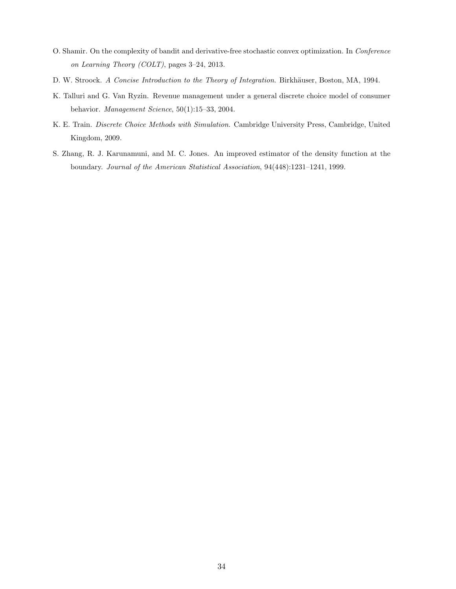- <span id="page-34-0"></span>O. Shamir. On the complexity of bandit and derivative-free stochastic convex optimization. In Conference on Learning Theory (COLT), pages 3–24, 2013.
- D. W. Stroock. A Concise Introduction to the Theory of Integration. Birkhäuser, Boston, MA, 1994.
- <span id="page-34-2"></span>K. Talluri and G. Van Ryzin. Revenue management under a general discrete choice model of consumer behavior. Management Science, 50(1):15–33, 2004.
- <span id="page-34-1"></span>K. E. Train. Discrete Choice Methods with Simulation. Cambridge University Press, Cambridge, United Kingdom, 2009.
- S. Zhang, R. J. Karunamuni, and M. C. Jones. An improved estimator of the density function at the boundary. Journal of the American Statistical Association, 94(448):1231–1241, 1999.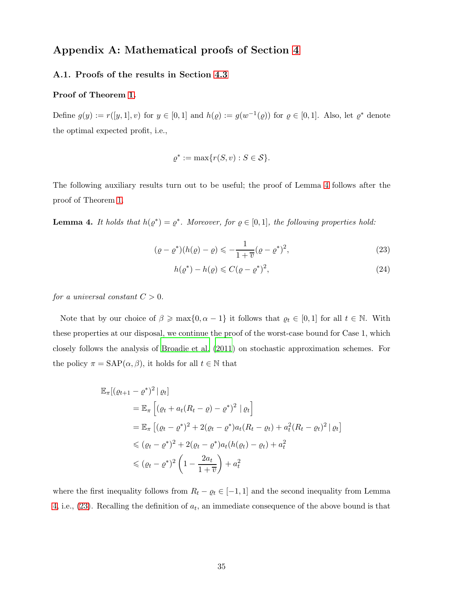## Appendix A: Mathematical proofs of Section [4](#page-10-0)

#### A.1. Proofs of the results in Section [4.3](#page-12-2)

#### Proof of Theorem [1.](#page-12-1)

Define  $g(y) := r([y, 1], v)$  for  $y \in [0, 1]$  and  $h(\varrho) := g(w^{-1}(\varrho))$  for  $\varrho \in [0, 1]$ . Also, let  $\varrho^*$  denote the optimal expected profit, i.e.,

$$
\varrho^* := \max\{r(S, v) : S \in \mathcal{S}\}.
$$

The following auxiliary results turn out to be useful; the proof of Lemma [4](#page-35-1) follows after the proof of Theorem [1.](#page-12-1)

<span id="page-35-1"></span>**Lemma 4.** It holds that  $h(\varrho^*) = \varrho^*$ . Moreover, for  $\varrho \in [0,1]$ , the following properties hold:

$$
(\varrho - \varrho^*)(h(\varrho) - \varrho) \leqslant -\frac{1}{1+\overline{v}}(\varrho - \varrho^*)^2,\tag{23}
$$

<span id="page-35-2"></span><span id="page-35-0"></span>
$$
h(\varrho^*) - h(\varrho) \leqslant C(\varrho - \varrho^*)^2,\tag{24}
$$

for a universal constant  $C > 0$ .

Note that by our choice of  $\beta \ge \max\{0, \alpha - 1\}$  it follows that  $\varrho_t \in [0, 1]$  for all  $t \in \mathbb{N}$ . With these properties at our disposal, we continue the proof of the worst-case bound for Case 1, which closely follows the analysis of [Broadie et al. \(2011](#page-32-15)) on stochastic approximation schemes. For the policy  $\pi = \text{SAP}(\alpha, \beta)$ , it holds for all  $t \in \mathbb{N}$  that

$$
\mathbb{E}_{\pi}[(\varrho_{t+1} - \varrho^{*})^{2} | \varrho_{t}]
$$
\n
$$
= \mathbb{E}_{\pi} [(\varrho_{t} + a_{t}(R_{t} - \varrho) - \varrho^{*})^{2} | \varrho_{t}]
$$
\n
$$
= \mathbb{E}_{\pi} [(\varrho_{t} - \varrho^{*})^{2} + 2(\varrho_{t} - \varrho^{*})a_{t}(R_{t} - \varrho_{t}) + a_{t}^{2}(R_{t} - \varrho_{t})^{2} | \varrho_{t}]
$$
\n
$$
\leq (\varrho_{t} - \varrho^{*})^{2} + 2(\varrho_{t} - \varrho^{*})a_{t}(h(\varrho_{t}) - \varrho_{t}) + a_{t}^{2}
$$
\n
$$
\leq (\varrho_{t} - \varrho^{*})^{2} \left(1 - \frac{2a_{t}}{1 + \overline{v}}\right) + a_{t}^{2}
$$

where the first inequality follows from  $R_t - \varrho_t \in [-1,1]$  and the second inequality from Lemma [4,](#page-35-1) i.e.,  $(23)$ . Recalling the definition of  $a_t$ , an immediate consequence of the above bound is that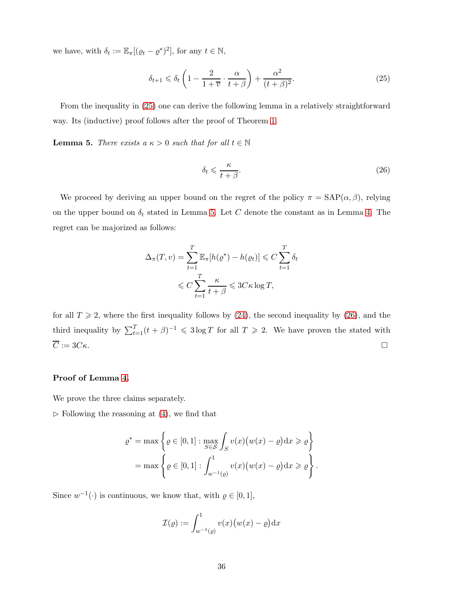we have, with  $\delta_t := \mathbb{E}_{\pi}[(\varrho_t - \varrho^*)^2]$ , for any  $t \in \mathbb{N}$ ,

$$
\delta_{t+1} \leq \delta_t \left( 1 - \frac{2}{1+\overline{v}} \cdot \frac{\alpha}{t+\beta} \right) + \frac{\alpha^2}{(t+\beta)^2}.
$$
\n(25)

From the inequality in [\(25\)](#page-36-0) one can derive the following lemma in a relatively straightforward way. Its (inductive) proof follows after the proof of Theorem [1.](#page-12-0)

<span id="page-36-1"></span>**Lemma 5.** There exists  $a \kappa > 0$  such that for all  $t \in \mathbb{N}$ 

<span id="page-36-2"></span><span id="page-36-0"></span>
$$
\delta_t \leqslant \frac{\kappa}{t+\beta}.\tag{26}
$$

We proceed by deriving an upper bound on the regret of the policy  $\pi = \text{SAP}(\alpha, \beta)$ , relying on the upper bound on  $\delta_t$  stated in Lemma [5.](#page-36-1) Let C denote the constant as in Lemma [4.](#page-35-0) The regret can be majorized as follows:

$$
\Delta_{\pi}(T, v) = \sum_{t=1}^{T} \mathbb{E}_{\pi}[h(\varrho^*) - h(\varrho_t)] \leq C \sum_{t=1}^{T} \delta_t
$$
  

$$
\leq C \sum_{t=1}^{T} \frac{\kappa}{t + \beta} \leq 3C\kappa \log T,
$$

for all  $T \geq 2$ , where the first inequality follows by [\(24\)](#page-35-1), the second inequality by [\(26\)](#page-36-2), and the third inequality by  $\sum_{t=1}^{T} (t + \beta)^{-1} \leq 3 \log T$  for all  $T \geq 2$ . We have proven the stated with  $\overline{C} := 3C\kappa.$ 

# Proof of Lemma [4.](#page-35-0)

We prove the three claims separately.

 $\triangleright$  Following the reasoning at [\(4\)](#page-10-0), we find that

$$
\varrho^* = \max \left\{ \varrho \in [0, 1] : \max_{S \in \mathcal{S}} \int_S v(x) (w(x) - \varrho) dx \geq \varrho \right\}
$$

$$
= \max \left\{ \varrho \in [0, 1] : \int_{w^{-1}(\varrho)}^1 v(x) (w(x) - \varrho) dx \geq \varrho \right\}.
$$

Since  $w^{-1}(\cdot)$  is continuous, we know that, with  $\varrho \in [0,1]$ ,

$$
\mathcal{I}(\varrho) := \int_{w^{-1}(\varrho)}^1 v(x) \big( w(x) - \varrho \big) \mathrm{d}x
$$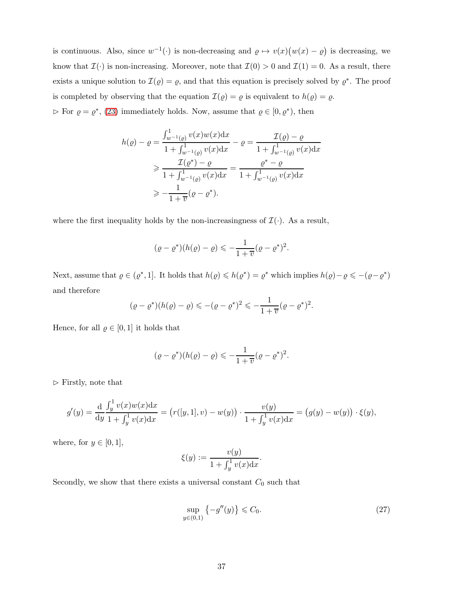is continuous. Also, since  $w^{-1}(\cdot)$  is non-decreasing and  $\rho \mapsto v(x)(w(x) - \rho)$  is decreasing, we know that  $\mathcal{I}(\cdot)$  is non-increasing. Moreover, note that  $\mathcal{I}(0) > 0$  and  $\mathcal{I}(1) = 0$ . As a result, there exists a unique solution to  $\mathcal{I}(\varrho) = \varrho$ , and that this equation is precisely solved by  $\varrho^*$ . The proof is completed by observing that the equation  $\mathcal{I}(\varrho) = \varrho$  is equivalent to  $h(\varrho) = \varrho$ .  $\rhd$  For  $\varrho = \varrho^*$ , [\(23\)](#page-35-2) immediately holds. Now, assume that  $\varrho \in [0, \varrho^*)$ , then

$$
h(\varrho) - \varrho = \frac{\int_{w^{-1}(\varrho)}^{1} v(x)w(x)dx}{1 + \int_{w^{-1}(\varrho)}^{1} v(x)dx} - \varrho = \frac{\mathcal{I}(\varrho) - \varrho}{1 + \int_{w^{-1}(\varrho)}^{1} v(x)dx}
$$

$$
\geq \frac{\mathcal{I}(\varrho^{*}) - \varrho}{1 + \int_{w^{-1}(\varrho)}^{1} v(x)dx} = \frac{\varrho^{*} - \varrho}{1 + \int_{w^{-1}(\varrho)}^{1} v(x)dx}
$$

$$
\geq -\frac{1}{1 + \overline{v}}(\varrho - \varrho^{*}).
$$

where the first inequality holds by the non-increasingness of  $\mathcal{I}(\cdot)$ . As a result,

$$
(\varrho - \varrho^*)(h(\varrho) - \varrho) \leqslant -\frac{1}{1+\overline{v}}(\varrho - \varrho^*)^2.
$$

Next, assume that  $\varrho \in (\varrho^*, 1]$ . It holds that  $h(\varrho) \leq h(\varrho^*) = \varrho^*$  which implies  $h(\varrho) - \varrho \leq -(\varrho - \varrho^*)$ and therefore

$$
(\varrho - \varrho^*)(h(\varrho) - \varrho) \leqslant -(\varrho - \varrho^*)^2 \leqslant -\frac{1}{1+\overline{v}}(\varrho - \varrho^*)^2.
$$

Hence, for all  $\varrho \in [0,1]$  it holds that

$$
(\varrho-\varrho^*)(h(\varrho)-\varrho)\leqslant-\frac{1}{1+\overline{v}}(\varrho-\varrho^*)^2.
$$

⊲ Firstly, note that

$$
g'(y) = \frac{d}{dy} \frac{\int_y^1 v(x)w(x)dx}{1 + \int_y^1 v(x)dx} = (r([y, 1], v) - w(y)) \cdot \frac{v(y)}{1 + \int_y^1 v(x)dx} = (g(y) - w(y)) \cdot \xi(y),
$$

where, for  $y \in [0,1]$ ,

$$
\xi(y) := \frac{v(y)}{1 + \int_y^1 v(x) dx}.
$$

Secondly, we show that there exists a universal constant  $C_0$  such that

<span id="page-37-0"></span>
$$
\sup_{y \in (0,1)} \{-g''(y)\} \leq C_0. \tag{27}
$$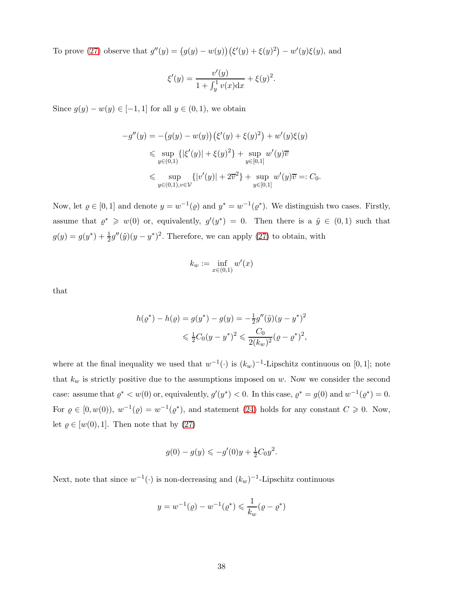To prove [\(27\)](#page-37-0) observe that  $g''(y) = (g(y) - w(y))(\xi'(y) + \xi(y)^2) - w'(y)\xi(y)$ , and

$$
\xi'(y) = \frac{v'(y)}{1 + \int_y^1 v(x) dx} + \xi(y)^2.
$$

Since  $g(y) - w(y) \in [-1, 1]$  for all  $y \in (0, 1)$ , we obtain

$$
-g''(y) = -(g(y) - w(y))(\xi'(y) + \xi(y)^2) + w'(y)\xi(y)
$$
  
\$\leq\$ sup { $|\xi'(y)| + \xi(y)^2$ } + sup<sub>y \in [0,1]</sub>  
\$\leq\$ sup<sub>y \in (0,1), v \in V\$</sub>  
\$\leq\$ sup<sub>y \in (0,1), v \in V\$</sub>  
\$\leq\$ y \in (0,1), v \in V\$

Now, let  $\varrho \in [0, 1]$  and denote  $y = w^{-1}(\varrho)$  and  $y^* = w^{-1}(\varrho^*)$ . We distinguish two cases. Firstly, assume that  $\varrho^* \geq w(0)$  or, equivalently,  $g'(y^*) = 0$ . Then there is a  $\tilde{y} \in (0,1)$  such that  $g(y) = g(y^*) + \frac{1}{2}g''(\tilde{y})(y - y^*)^2$ . Therefore, we can apply [\(27\)](#page-37-0) to obtain, with

$$
k_w := \inf_{x \in (0,1)} w'(x)
$$

that

$$
h(\varrho^*) - h(\varrho) = g(y^*) - g(y) = -\frac{1}{2}g''(\tilde{y})(y - y^*)^2
$$
  

$$
\leq \frac{1}{2}C_0(y - y^*)^2 \leq \frac{C_0}{2(k_w)^2}(\varrho - \varrho^*)^2,
$$

where at the final inequality we used that  $w^{-1}(\cdot)$  is  $(k_w)^{-1}$ -Lipschitz continuous on [0, 1]; note that  $k_w$  is strictly positive due to the assumptions imposed on w. Now we consider the second case: assume that  $\varrho^* < w(0)$  or, equivalently,  $g'(y^*) < 0$ . In this case,  $\varrho^* = g(0)$  and  $w^{-1}(\varrho^*) = 0$ . For  $\varrho \in [0, w(0)), w^{-1}(\varrho) = w^{-1}(\varrho^*)$ , and statement [\(24\)](#page-35-1) holds for any constant  $C \geq 0$ . Now, let  $\varrho \in [w(0), 1]$ . Then note that by  $(27)$ 

$$
g(0) - g(y) \leqslant -g'(0)y + \frac{1}{2}C_0y^2.
$$

Next, note that since  $w^{-1}(\cdot)$  is non-decreasing and  $(k_w)^{-1}$ -Lipschitz continuous

$$
y = w^{-1}(\varrho) - w^{-1}(\varrho^*) \leq \frac{1}{k_w}(\varrho - \varrho^*)
$$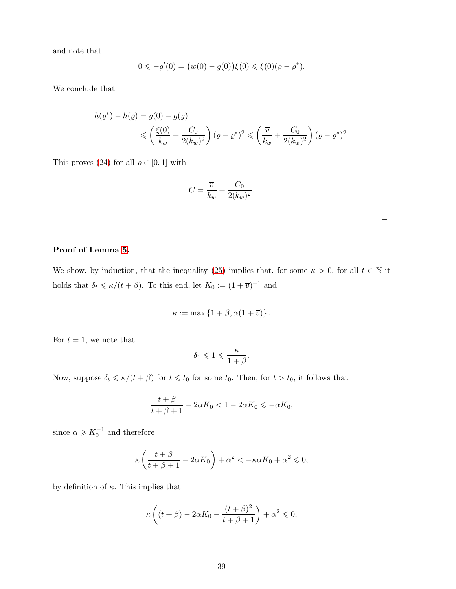and note that

$$
0 \leqslant -g'(0) = (w(0) - g(0))\xi(0) \leqslant \xi(0)(\varrho - \varrho^*).
$$

We conclude that

$$
h(\varrho^*) - h(\varrho) = g(0) - g(y)
$$
  
\$\leqslant \left(\frac{\xi(0)}{k\_w} + \frac{C\_0}{2(k\_w)^2}\right)(\varrho - \varrho^\*)^2 \leqslant \left(\frac{\overline{v}}{k\_w} + \frac{C\_0}{2(k\_w)^2}\right)(\varrho - \varrho^\*)^2\$.

This proves [\(24\)](#page-35-1) for all  $\varrho \in [0,1]$  with

$$
C = \frac{\overline{v}}{k_w} + \frac{C_0}{2(k_w)^2}.
$$

# Proof of Lemma [5.](#page-36-1)

We show, by induction, that the inequality [\(25\)](#page-36-0) implies that, for some  $\kappa > 0$ , for all  $t \in \mathbb{N}$  it holds that  $\delta_t \le \kappa/(t+\beta)$ . To this end, let  $K_0 := (1+\overline{v})^{-1}$  and

$$
\kappa := \max\left\{1 + \beta, \alpha(1+\overline{v})\right\}.
$$

For  $t = 1$ , we note that

$$
\delta_1 \leqslant 1 \leqslant \frac{\kappa}{1+\beta}.
$$

Now, suppose  $\delta_t \le \kappa/(t + \beta)$  for  $t \le t_0$  for some  $t_0$ . Then, for  $t > t_0$ , it follows that

$$
\frac{t+\beta}{t+\beta+1} - 2\alpha K_0 < 1 - 2\alpha K_0 \leqslant -\alpha K_0,
$$

since  $\alpha \geqslant K_0^{-1}$  and therefore

$$
\kappa \left( \frac{t+\beta}{t+\beta+1} - 2\alpha K_0 \right) + \alpha^2 < -\kappa \alpha K_0 + \alpha^2 \leqslant 0,
$$

by definition of  $\kappa$ . This implies that

$$
\kappa \left( (t + \beta) - 2\alpha K_0 - \frac{(t + \beta)^2}{t + \beta + 1} \right) + \alpha^2 \leq 0,
$$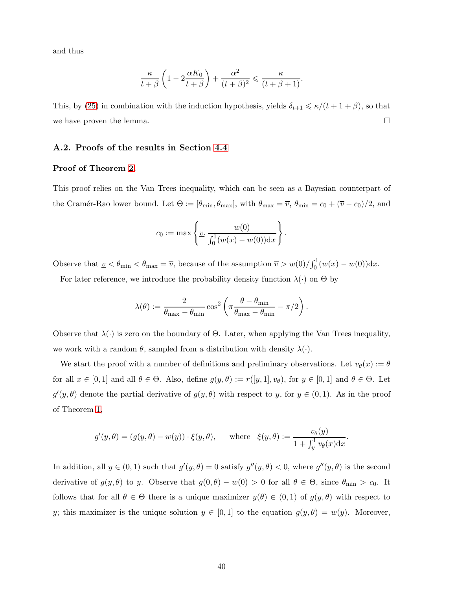and thus

$$
\frac{\kappa}{t+\beta}\left(1-2\frac{\alpha K_0}{t+\beta}\right)+\frac{\alpha^2}{(t+\beta)^2}\leqslant\frac{\kappa}{(t+\beta+1)}.
$$

This, by [\(25\)](#page-36-0) in combination with the induction hypothesis, yields  $\delta_{t+1} \le \kappa/(t+1+\beta)$ , so that we have proven the lemma.  $\Box$ 

#### A.2. Proofs of the results in Section [4.4](#page-13-0)

#### Proof of Theorem [2.](#page-13-1)

This proof relies on the Van Trees inequality, which can be seen as a Bayesian counterpart of the Cramér-Rao lower bound. Let  $\Theta := [\theta_{\min}, \theta_{\max}]$ , with  $\theta_{\max} = \overline{v}$ ,  $\theta_{\min} = c_0 + (\overline{v} - c_0)/2$ , and

$$
c_0 := \max \left\{ \underline{v}, \frac{w(0)}{\int_0^1 (w(x) - w(0)) dx} \right\}.
$$

Observe that  $\underline{v} < \theta_{\min} < \theta_{\max} = \overline{v}$ , because of the assumption  $\overline{v} > w(0) / \int_0^1 (w(x) - w(0)) dx$ .

For later reference, we introduce the probability density function  $\lambda(\cdot)$  on  $\Theta$  by

$$
\lambda(\theta) := \frac{2}{\theta_{\text{max}} - \theta_{\text{min}}} \cos^2 \left( \pi \frac{\theta - \theta_{\text{min}}}{\theta_{\text{max}} - \theta_{\text{min}}} - \pi/2 \right).
$$

Observe that  $\lambda(\cdot)$  is zero on the boundary of  $\Theta$ . Later, when applying the Van Trees inequality, we work with a random  $\theta$ , sampled from a distribution with density  $\lambda(\cdot)$ .

We start the proof with a number of definitions and preliminary observations. Let  $v_{\theta}(x) := \theta$ for all  $x \in [0,1]$  and all  $\theta \in \Theta$ . Also, define  $g(y,\theta) := r([y,1], v_{\theta})$ , for  $y \in [0,1]$  and  $\theta \in \Theta$ . Let  $g'(y, \theta)$  denote the partial derivative of  $g(y, \theta)$  with respect to y, for  $y \in (0, 1)$ . As in the proof of Theorem [1,](#page-12-0)

$$
g'(y,\theta) = (g(y,\theta) - w(y)) \cdot \xi(y,\theta), \quad \text{where} \quad \xi(y,\theta) := \frac{v_{\theta}(y)}{1 + \int_{y}^{1} v_{\theta}(x) dx}.
$$

In addition, all  $y \in (0,1)$  such that  $g'(y,\theta) = 0$  satisfy  $g''(y,\theta) < 0$ , where  $g''(y,\theta)$  is the second derivative of  $g(y, \theta)$  to y. Observe that  $g(0, \theta) - w(0) > 0$  for all  $\theta \in \Theta$ , since  $\theta_{\min} > c_0$ . It follows that for all  $\theta \in \Theta$  there is a unique maximizer  $y(\theta) \in (0,1)$  of  $g(y,\theta)$  with respect to y; this maximizer is the unique solution  $y \in [0,1]$  to the equation  $g(y,\theta) = w(y)$ . Moreover,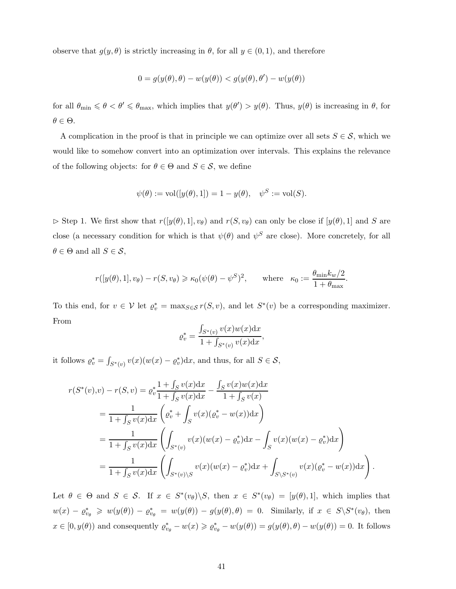observe that  $g(y, \theta)$  is strictly increasing in  $\theta$ , for all  $y \in (0, 1)$ , and therefore

$$
0 = g(y(\theta), \theta) - w(y(\theta)) < g(y(\theta), \theta') - w(y(\theta))
$$

for all  $\theta_{\min} \leq \theta < \theta' \leq \theta_{\max}$ , which implies that  $y(\theta') > y(\theta)$ . Thus,  $y(\theta)$  is increasing in  $\theta$ , for  $\theta \in \Theta$ .

A complication in the proof is that in principle we can optimize over all sets  $S \in \mathcal{S}$ , which we would like to somehow convert into an optimization over intervals. This explains the relevance of the following objects: for  $\theta \in \Theta$  and  $S \in \mathcal{S}$ , we define

$$
\psi(\theta):=\text{vol}([y(\theta),1])=1-y(\theta),\quad \psi^S:=\text{vol}(S).
$$

 $\triangleright$  Step 1. We first show that  $r([y(\theta), 1], v_{\theta})$  and  $r(S, v_{\theta})$  can only be close if  $[y(\theta), 1]$  and S are close (a necessary condition for which is that  $\psi(\theta)$  and  $\psi^S$  are close). More concretely, for all  $\theta \in \Theta$  and all  $S \in \mathcal{S}$ ,

$$
r([y(\theta), 1], v_{\theta}) - r(S, v_{\theta}) \ge \kappa_0(\psi(\theta) - \psi^S)^2
$$
, where  $\kappa_0 := \frac{\theta_{\min} k_w/2}{1 + \theta_{\max}}$ .

To this end, for  $v \in V$  let  $\varrho_v^* = \max_{S \in \mathcal{S}} r(S, v)$ , and let  $S^*(v)$  be a corresponding maximizer. From

$$
\varrho_v^* = \frac{\int_{S^*(v)} v(x)w(x) \mathrm{d}x}{1 + \int_{S^*(v)} v(x) \mathrm{d}x},
$$

it follows  $\varrho_v^* = \int_{S^*(v)} v(x)(w(x) - \varrho_v^*) dx$ , and thus, for all  $S \in \mathcal{S}$ ,

$$
r(S^*(v), v) - r(S, v) = \rho_v^* \frac{1 + \int_S v(x) dx}{1 + \int_S v(x) dx} - \frac{\int_S v(x)w(x) dx}{1 + \int_S v(x)} = \frac{1}{1 + \int_S v(x) dx} \left( \rho_v^* + \int_S v(x) (\rho_v^* - w(x)) dx \right) = \frac{1}{1 + \int_S v(x) dx} \left( \int_{S^*(v)} v(x) (w(x) - \rho_v^*) dx - \int_S v(x) (w(x) - \rho_v^*) dx \right) = \frac{1}{1 + \int_S v(x) dx} \left( \int_{S^*(v) \setminus S} v(x) (w(x) - \rho_v^*) dx + \int_{S \setminus S^*(v)} v(x) (\rho_v^* - w(x)) dx \right).
$$

Let  $\theta \in \Theta$  and  $S \in \mathcal{S}$ . If  $x \in S^*(v_{\theta}) \setminus S$ , then  $x \in S^*(v_{\theta}) = [y(\theta), 1]$ , which implies that  $w(x) - \varrho_{v_\theta}^* \geq w(y(\theta)) - \varrho_{v_\theta}^* = w(y(\theta)) - g(y(\theta), \theta) = 0.$  Similarly, if  $x \in S \setminus S^*(v_\theta)$ , then  $x \in [0, y(\theta))$  and consequently  $\varrho_{v_\theta}^* - w(x) \geq \varrho_{v_\theta}^* - w(y(\theta)) = g(y(\theta), \theta) - w(y(\theta)) = 0$ . It follows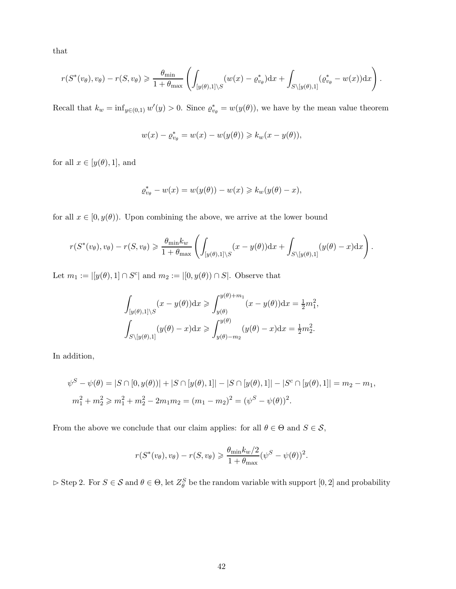that

$$
r(S^*(v_{\theta}), v_{\theta}) - r(S, v_{\theta}) \geq \frac{\theta_{\min}}{1 + \theta_{\max}} \left( \int_{[y(\theta),1] \setminus S} (w(x) - \varrho_{v_{\theta}}^*) dx + \int_{S \setminus [y(\theta),1]} (\varrho_{v_{\theta}}^* - w(x)) dx \right).
$$

Recall that  $k_w = \inf_{y \in (0,1)} w'(y) > 0$ . Since  $\varrho_{v_\theta}^* = w(y(\theta))$ , we have by the mean value theorem

$$
w(x) - \varrho_{v_{\theta}}^* = w(x) - w(y(\theta)) \ge k_w(x - y(\theta)),
$$

for all  $x \in [y(\theta), 1]$ , and

$$
\varrho_{v_{\theta}}^* - w(x) = w(y(\theta)) - w(x) \geq k_w(y(\theta) - x),
$$

for all  $x \in [0, y(\theta))$ . Upon combining the above, we arrive at the lower bound

$$
r(S^*(v_{\theta}), v_{\theta}) - r(S, v_{\theta}) \geq \frac{\theta_{\min} k_w}{1 + \theta_{\max}} \left( \int_{[y(\theta),1] \setminus S} (x - y(\theta)) dx + \int_{S \setminus [y(\theta),1]} (y(\theta) - x) dx \right).
$$

Let  $m_1 := |[y(\theta), 1] \cap S^c|$  and  $m_2 := |[0, y(\theta)) \cap S|$ . Observe that

$$
\int_{[y(\theta),1]\setminus S} (x - y(\theta))dx \ge \int_{y(\theta)}^{y(\theta)+m_1} (x - y(\theta))dx = \frac{1}{2}m_1^2,
$$
  

$$
\int_{S\setminus [y(\theta),1]} (y(\theta) - x)dx \ge \int_{y(\theta)-m_2}^{y(\theta)} (y(\theta) - x)dx = \frac{1}{2}m_2^2.
$$

In addition,

$$
\psi^S - \psi(\theta) = |S \cap [0, y(\theta))| + |S \cap [y(\theta), 1]| - |S \cap [y(\theta), 1]| - |S^c \cap [y(\theta), 1]| = m_2 - m_1,
$$
  

$$
m_1^2 + m_2^2 \ge m_1^2 + m_2^2 - 2m_1m_2 = (m_1 - m_2)^2 = (\psi^S - \psi(\theta))^2.
$$

From the above we conclude that our claim applies: for all  $\theta \in \Theta$  and  $S \in \mathcal{S},$ 

$$
r(S^*(v_{\theta}), v_{\theta}) - r(S, v_{\theta}) \geq \frac{\theta_{\min} k_w/2}{1 + \theta_{\max}} (\psi^S - \psi(\theta))^2.
$$

 $\triangleright$  Step 2. For  $S \in \mathcal{S}$  and  $\theta \in \Theta$ , let  $Z_{\theta}^S$  be the random variable with support  $[0,2]$  and probability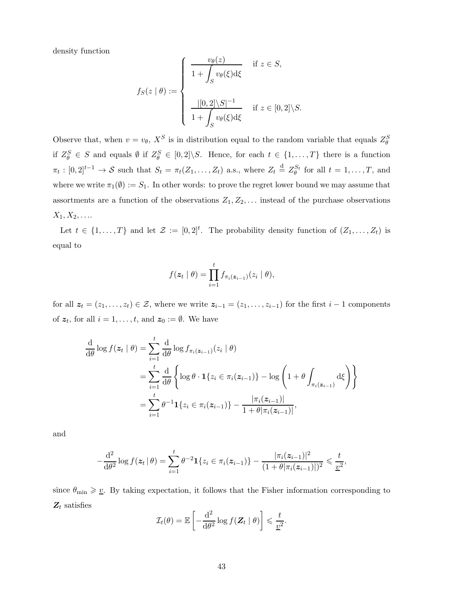density function

$$
f_S(z | \theta) := \begin{cases} \frac{v_{\theta}(z)}{1 + \int_S v_{\theta}(\xi) d\xi} & \text{if } z \in S, \\ & \\ \frac{|[0,2] \setminus S|^{-1}}{1 + \int_S v_{\theta}(\xi) d\xi} & \text{if } z \in [0,2] \setminus S. \end{cases}
$$

Observe that, when  $v = v_{\theta}$ ,  $X^S$  is in distribution equal to the random variable that equals  $Z_{\theta}^S$ if  $Z_{\theta}^{S} \in S$  and equals  $\emptyset$  if  $Z_{\theta}^{S} \in [0,2] \backslash S$ . Hence, for each  $t \in \{1, ..., T\}$  there is a function  $\pi_t: [0,2]^{t-1} \to \mathcal{S}$  such that  $S_t = \pi_t(Z_1,\ldots,Z_t)$  a.s., where  $Z_t \stackrel{d}{=} Z_{\theta}^{S_t}$  for all  $t = 1,\ldots,T$ , and where we write  $\pi_1(\emptyset) := S_1$ . In other words: to prove the regret lower bound we may assume that assortments are a function of the observations  $Z_1, Z_2, \ldots$  instead of the purchase observations  $X_1, X_2, \ldots$ 

Let  $t \in \{1, ..., T\}$  and let  $\mathcal{Z} := [0, 2]^t$ . The probability density function of  $(Z_1, ..., Z_t)$  is equal to

$$
f(\mathbf{z}_t | \theta) = \prod_{i=1}^t f_{\pi_i(\mathbf{z}_{i-1})}(z_i | \theta),
$$

for all  $z_t = (z_1, \ldots, z_t) \in \mathcal{Z}$ , where we write  $z_{i-1} = (z_1, \ldots, z_{i-1})$  for the first  $i-1$  components of  $z_t$ , for all  $i = 1, \ldots, t$ , and  $z_0 := \emptyset$ . We have

$$
\frac{\mathrm{d}}{\mathrm{d}\theta}\log f(z_t \mid \theta) = \sum_{i=1}^t \frac{\mathrm{d}}{\mathrm{d}\theta}\log f_{\pi_i(z_{i-1})}(z_i \mid \theta)
$$
\n
$$
= \sum_{i=1}^t \frac{\mathrm{d}}{\mathrm{d}\theta} \left\{ \log \theta \cdot \mathbf{1}\{z_i \in \pi_i(z_{i-1})\} - \log \left(1 + \theta \int_{\pi_i(z_{i-1})} \mathrm{d}\xi\right) \right\}
$$
\n
$$
= \sum_{i=1}^t \theta^{-1} \mathbf{1}\{z_i \in \pi_i(z_{i-1})\} - \frac{|\pi_i(z_{i-1})|}{1 + \theta |\pi_i(z_{i-1})|},
$$

and

$$
-\frac{\mathrm{d}^2}{\mathrm{d}\theta^2}\log f(z_t|\theta) = \sum_{i=1}^t \theta^{-2} \mathbf{1}\{z_i \in \pi_i(z_{i-1})\} - \frac{|\pi_i(z_{i-1})|^2}{(1+\theta|\pi_i(z_{i-1})|)^2} \leq \frac{t}{\underline{v}^2},
$$

since  $\theta_{\min} \geqslant \underline{v}$ . By taking expectation, it follows that the Fisher information corresponding to  $Z_t$  satisfies

$$
\mathcal{I}_t(\theta) = \mathbb{E}\left[-\frac{\mathrm{d}^2}{\mathrm{d}\theta^2}\log f(\mathbf{Z}_t \mid \theta)\right] \leqslant \frac{t}{\underline{v}^2}.
$$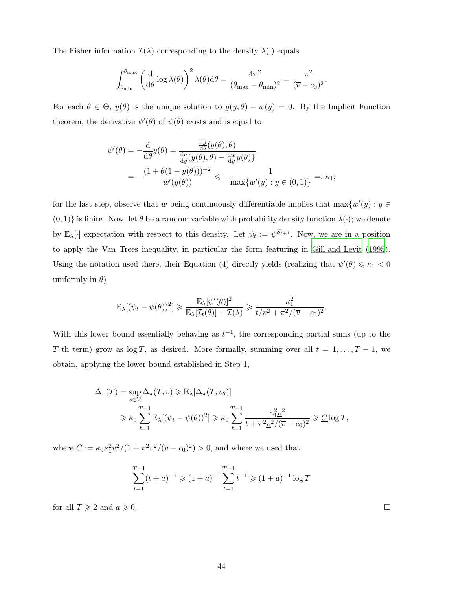The Fisher information  $\mathcal{I}(\lambda)$  corresponding to the density  $\lambda(\cdot)$  equals

$$
\int_{\theta_{\min}}^{\theta_{\max}} \left( \frac{d}{d\theta} \log \lambda(\theta) \right)^2 \lambda(\theta) d\theta = \frac{4\pi^2}{(\theta_{\max} - \theta_{\min})^2} = \frac{\pi^2}{(\overline{v} - c_0)^2}.
$$

For each  $\theta \in \Theta$ ,  $y(\theta)$  is the unique solution to  $g(y, \theta) - w(y) = 0$ . By the Implicit Function theorem, the derivative  $\psi'(\theta)$  of  $\psi(\theta)$  exists and is equal to

$$
\psi'(\theta) = -\frac{\mathrm{d}}{\mathrm{d}\theta}y(\theta) = \frac{\frac{\mathrm{d}g}{\mathrm{d}\theta}(y(\theta), \theta)}{\frac{\mathrm{d}g}{\mathrm{d}y}(y(\theta), \theta) - \frac{\mathrm{d}w}{\mathrm{d}y}y(\theta)} \\
= -\frac{(1 + \theta(1 - y(\theta)))^{-2}}{w'(y(\theta))} \le -\frac{1}{\max\{w'(y) : y \in (0, 1)\}} =: \kappa_1;
$$

for the last step, observe that w being continuously differentiable implies that  $\max\{w'(y) : y \in$  $(0, 1)$  is finite. Now, let  $\theta$  be a random variable with probability density function  $\lambda(\cdot)$ ; we denote by  $\mathbb{E}_{\lambda}[\cdot]$  expectation with respect to this density. Let  $\psi_t := \psi^{S_{t+1}}$ . Now, we are in a position to apply the Van Trees inequality, in particular the form featuring in [Gill and Levit \(1995](#page-33-0)). Using the notation used there, their Equation (4) directly yields (realizing that  $\psi'(\theta) \leq \kappa_1 < 0$ uniformly in  $\theta$ )

$$
\mathbb{E}_{\lambda}[(\psi_t - \psi(\theta))^2] \geq \frac{\mathbb{E}_{\lambda}[\psi'(\theta)]^2}{\mathbb{E}_{\lambda}[\mathcal{I}_t(\theta)] + \mathcal{I}(\lambda)} \geq \frac{\kappa_1^2}{t/\underline{v}^2 + \pi^2/(\overline{v} - c_0)^2}.
$$

With this lower bound essentially behaving as  $t^{-1}$ , the corresponding partial sums (up to the T-th term) grow as  $\log T$ , as desired. More formally, summing over all  $t = 1, ..., T - 1$ , we obtain, applying the lower bound established in Step 1,

$$
\Delta_{\pi}(T) = \sup_{v \in \mathcal{V}} \Delta_{\pi}(T, v) \geq \mathbb{E}_{\lambda}[\Delta_{\pi}(T, v_{\theta})]
$$
\n
$$
\geq \kappa_0 \sum_{t=1}^{T-1} \mathbb{E}_{\lambda}[(\psi_t - \psi(\theta))^2] \geq \kappa_0 \sum_{t=1}^{T-1} \frac{\kappa_1^2 v^2}{t + \pi^2 \underline{v}^2 / (\overline{v} - c_0)^2} \geq \underline{C} \log T,
$$

where  $\underline{C} := \kappa_0 \kappa_1^2 \underline{v}^2 / (1 + \pi^2 \underline{v}^2 / (\overline{v} - c_0)^2) > 0$ , and where we used that

$$
\sum_{t=1}^{T-1} (t+a)^{-1} \ge (1+a)^{-1} \sum_{t=1}^{T-1} t^{-1} \ge (1+a)^{-1} \log T
$$

for all  $T \geqslant 2$  and  $a \geqslant 0$ .

| ۰ |  |
|---|--|
|   |  |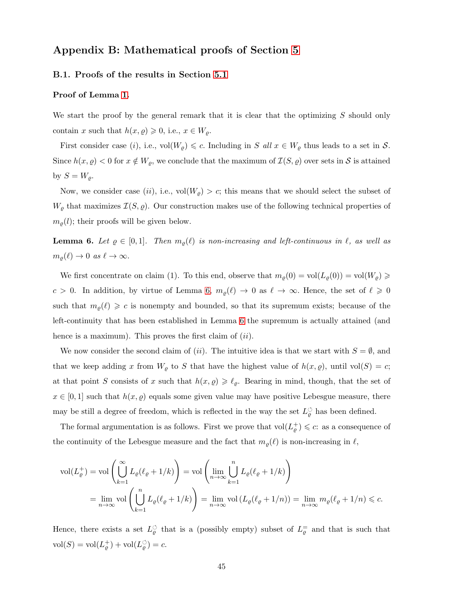# Appendix B: Mathematical proofs of Section [5](#page-13-2)

#### B.1. Proofs of the results in Section [5.1](#page-14-0)

#### Proof of Lemma [1.](#page-15-0)

We start the proof by the general remark that it is clear that the optimizing  $S$  should only contain x such that  $h(x, \varrho) \geq 0$ , i.e.,  $x \in W_{\varrho}$ .

First consider case (i), i.e.,  $vol(W_{\varrho}) \leq c$ . Including in S all  $x \in W_{\varrho}$  thus leads to a set in S. Since  $h(x, \varrho) < 0$  for  $x \notin W_{\varrho}$ , we conclude that the maximum of  $\mathcal{I}(S, \varrho)$  over sets in S is attained by  $S = W_{\rho}$ .

Now, we consider case (ii), i.e.,  $vol(W_{\rho}) > c$ ; this means that we should select the subset of  $W_{\varrho}$  that maximizes  $\mathcal{I}(S,\varrho)$ . Our construction makes use of the following technical properties of  $m<sub>o</sub>(l)$ ; their proofs will be given below.

<span id="page-45-0"></span>**Lemma 6.** Let  $\varrho \in [0,1]$ . Then  $m_{\varrho}(\ell)$  is non-increasing and left-continuous in  $\ell$ , as well as  $m_{\varrho}(\ell) \to 0 \text{ as } \ell \to \infty.$ 

We first concentrate on claim (1). To this end, observe that  $m_{\varrho}(0) = \text{vol}(L_{\varrho}(0)) = \text{vol}(W_{\varrho}) \geq$ c > 0. In addition, by virtue of Lemma [6,](#page-45-0)  $m_{\varrho}(\ell) \to 0$  as  $\ell \to \infty$ . Hence, the set of  $\ell \geq 0$ such that  $m_{\varrho}(\ell) \geq c$  is nonempty and bounded, so that its supremum exists; because of the left-continuity that has been established in Lemma [6](#page-45-0) the supremum is actually attained (and hence is a maximum). This proves the first claim of  $(ii)$ .

We now consider the second claim of (ii). The intuitive idea is that we start with  $S = \emptyset$ , and that we keep adding x from  $W_{\varrho}$  to S that have the highest value of  $h(x, \varrho)$ , until vol $(S) = c$ ; at that point S consists of x such that  $h(x, \varrho) \geq \ell_{\varrho}$ . Bearing in mind, though, that the set of  $x \in [0,1]$  such that  $h(x, \rho)$  equals some given value may have positive Lebesgue measure, there may be still a degree of freedom, which is reflected in the way the set  $L^{\circ}_{\varrho}$  has been defined.

The formal argumentation is as follows. First we prove that  $vol(L_{\rho}^{+}) \leq c$ : as a consequence of the continuity of the Lebesgue measure and the fact that  $m_\rho(\ell)$  is non-increasing in  $\ell$ ,

$$
\operatorname{vol}(L_{\varrho}^+) = \operatorname{vol}\left(\bigcup_{k=1}^{\infty} L_{\varrho}(\ell_{\varrho} + 1/k)\right) = \operatorname{vol}\left(\lim_{n \to \infty} \bigcup_{k=1}^{n} L_{\varrho}(\ell_{\varrho} + 1/k)\right)
$$
  
= 
$$
\lim_{n \to \infty} \operatorname{vol}\left(\bigcup_{k=1}^{n} L_{\varrho}(\ell_{\varrho} + 1/k)\right) = \lim_{n \to \infty} \operatorname{vol}\left(L_{\varrho}(\ell_{\varrho} + 1/n)\right) = \lim_{n \to \infty} m_{\varrho}(\ell_{\varrho} + 1/n) \leq c.
$$

Hence, there exists a set  $L^{\circ}_{\varrho}$  that is a (possibly empty) subset of  $L^{\pm}_{\varrho}$  and that is such that  $vol(S) = vol(L^+_{\varrho}) + vol(L^{\circ}_{\varrho}) = c.$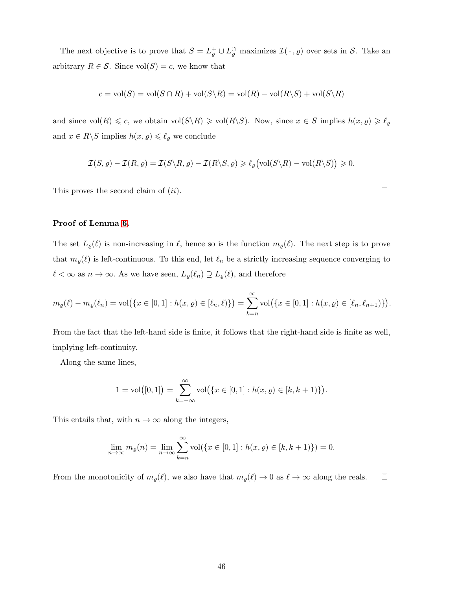The next objective is to prove that  $S = L^{\dagger}_{\varrho} \cup L^{\circ}$  maximizes  $\mathcal{I}(\cdot, \varrho)$  over sets in S. Take an arbitrary  $R \in \mathcal{S}$ . Since vol $(S) = c$ , we know that

$$
c = vol(S) = vol(S \cap R) + vol(S \setminus R) = vol(R) - vol(R \setminus S) + vol(S \setminus R)
$$

and since  $vol(R) \leq c$ , we obtain  $vol(S \backslash R) \geq vol(R \backslash S)$ . Now, since  $x \in S$  implies  $h(x, \varrho) \geq \ell_{\varrho}$ and  $x \in R \backslash S$  implies  $h(x, \varrho) \leq \ell_{\varrho}$  we conclude

$$
\mathcal{I}(S,\varrho)-\mathcal{I}(R,\varrho)=\mathcal{I}(S\backslash R,\varrho)-\mathcal{I}(R\backslash S,\varrho)\geqslant \ell_\varrho\big(\text{vol}(S\backslash R)-\text{vol}(R\backslash S)\big)\geqslant 0.
$$

This proves the second claim of  $(ii)$ .

#### Proof of Lemma [6.](#page-45-0)

The set  $L_{\varrho}(\ell)$  is non-increasing in  $\ell$ , hence so is the function  $m_{\varrho}(\ell)$ . The next step is to prove that  $m_{\varrho}(\ell)$  is left-continuous. To this end, let  $\ell_n$  be a strictly increasing sequence converging to  $\ell < \infty$  as  $n \to \infty$ . As we have seen,  $L_{\varrho}(\ell_n) \supseteq L_{\varrho}(\ell)$ , and therefore

$$
m_{\varrho}(\ell) - m_{\varrho}(\ell_n) = \text{vol}(\{x \in [0,1] : h(x,\varrho) \in [\ell_n,\ell)\}) = \sum_{k=n}^{\infty} \text{vol}(\{x \in [0,1] : h(x,\varrho) \in [\ell_n,\ell_{n+1})\}).
$$

From the fact that the left-hand side is finite, it follows that the right-hand side is finite as well, implying left-continuity.

Along the same lines,

$$
1 = \text{vol}([0, 1]) = \sum_{k=-\infty}^{\infty} \text{vol}(\{x \in [0, 1] : h(x, \varrho) \in [k, k+1)\}).
$$

This entails that, with  $n \to \infty$  along the integers,

$$
\lim_{n \to \infty} m_{\varrho}(n) = \lim_{n \to \infty} \sum_{k=n}^{\infty} \text{vol}(\{x \in [0, 1] : h(x, \varrho) \in [k, k+1)\}) = 0.
$$

From the monotonicity of  $m_{\varrho}(\ell)$ , we also have that  $m_{\varrho}(\ell) \to 0$  as  $\ell \to \infty$  along the reals.  $\square$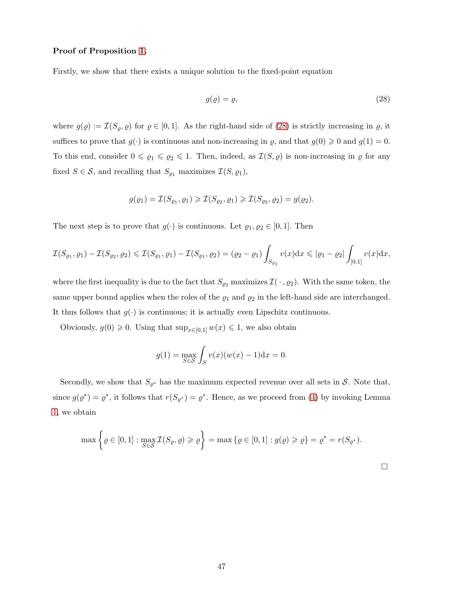#### Proof of Proposition [1.](#page-15-1)

Firstly, we show that there exists a unique solution to the fixed-point equation

<span id="page-47-0"></span>
$$
g(\varrho) = \varrho,\tag{28}
$$

where  $g(\varrho) := \mathcal{I}(S_{\varrho}, \varrho)$  for  $\varrho \in [0, 1]$ . As the right-hand side of [\(28\)](#page-47-0) is strictly increasing in  $\varrho$ , it suffices to prove that  $g(\cdot)$  is continuous and non-increasing in  $\varrho$ , and that  $g(0) \geq 0$  and  $g(1) = 0$ . To this end, consider  $0 \le \varrho_1 \le \varrho_2 \le 1$ . Then, indeed, as  $\mathcal{I}(S, \varrho)$  is non-increasing in  $\varrho$  for any fixed  $S \in \mathcal{S}$ , and recalling that  $S_{\varrho_1}$  maximizes  $\mathcal{I}(S, \varrho_1)$ ,

$$
g(\varrho_1)=\mathcal{I}(S_{\varrho_1},\varrho_1)\geqslant \mathcal{I}(S_{\varrho_2},\varrho_1)\geqslant \mathcal{I}(S_{\varrho_2},\varrho_2)=g(\varrho_2).
$$

The next step is to prove that  $g(\cdot)$  is continuous. Let  $\varrho_1, \varrho_2 \in [0, 1]$ . Then

$$
\mathcal{I}(S_{\varrho_1}, \varrho_1) - \mathcal{I}(S_{\varrho_2}, \varrho_2) \leq \mathcal{I}(S_{\varrho_1}, \varrho_1) - \mathcal{I}(S_{\varrho_1}, \varrho_2) = (\varrho_2 - \varrho_1) \int_{S_{\varrho_1}} v(x) dx \leqslant |\varrho_1 - \varrho_2| \int_{[0,1]} v(x) dx,
$$

where the first inequality is due to the fact that  $S_{\varrho_2}$  maximizes  $\mathcal{I}(\cdot, \varrho_2)$ . With the same token, the same upper bound applies when the roles of the  $\varrho_1$  and  $\varrho_2$  in the left-hand side are interchanged. It thus follows that  $g(\cdot)$  is continuous; it is actually even Lipschitz continuous.

Obviously,  $g(0) \geq 0$ . Using that  $\sup_{x \in [0,1]} w(x) \leq 1$ , we also obtain

$$
g(1) = \max_{S \in S} \int_{S} v(x)(w(x) - 1)dx = 0.
$$

Secondly, we show that  $S_{\varrho^*}$  has the maximum expected revenue over all sets in  $S$ . Note that, since  $g(\varrho^*) = \varrho^*$ , it follows that  $r(S_{\varrho^*}) = \varrho^*$ . Hence, as we proceed from [\(4\)](#page-10-0) by invoking Lemma [1,](#page-15-0) we obtain

$$
\max\left\{\varrho\in[0,1]:\max_{S\in\mathcal{S}}\mathcal{I}(S_{\varrho},\varrho)\geqslant\varrho\right\}=\max\left\{\varrho\in[0,1]:g(\varrho)\geqslant\varrho\right\}=\varrho^*=r(S_{\varrho^*}).
$$

 $\Box$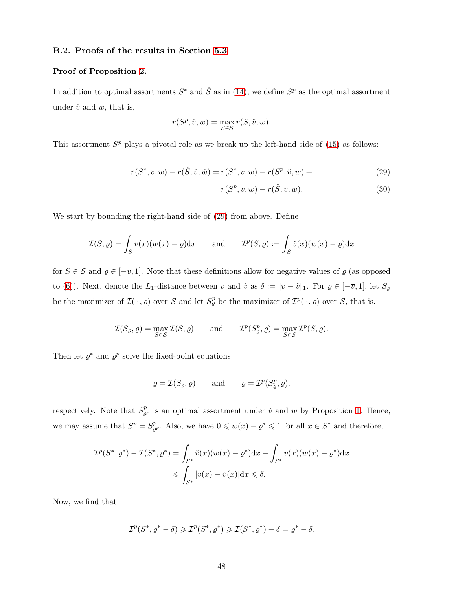### B.2. Proofs of the results in Section [5.3](#page-21-0)

#### Proof of Proposition [2.](#page-22-0)

In addition to optimal assortments  $S^*$  and  $\check{S}$  as in [\(14\)](#page-22-1), we define  $S^p$  as the optimal assortment under  $\check{v}$  and  $w$ , that is,

$$
r(S^p, \check{v}, w) = \max_{S \in \mathcal{S}} r(S, \check{v}, w).
$$

This assortment  $S<sup>p</sup>$  plays a pivotal role as we break up the left-hand side of  $(15)$  as follows:

$$
r(S^*, v, w) - r(\check{S}, \check{v}, \check{w}) = r(S^*, v, w) - r(S^p, \check{v}, w) +
$$
\n(29)

<span id="page-48-1"></span><span id="page-48-0"></span>
$$
r(S^p, \check{\nu}, w) - r(\check{S}, \check{\nu}, \check{w}).
$$
\n(30)

We start by bounding the right-hand side of [\(29\)](#page-48-0) from above. Define

$$
\mathcal{I}(S,\varrho) = \int_{S} v(x)(w(x) - \varrho) \mathrm{d}x \quad \text{and} \quad \mathcal{I}^{p}(S,\varrho) := \int_{S} \check{v}(x)(w(x) - \varrho) \mathrm{d}x
$$

for  $S \in \mathcal{S}$  and  $\varrho \in [-\overline{v}, 1]$ . Note that these definitions allow for negative values of  $\varrho$  (as opposed to [\(6\)](#page-14-1)). Next, denote the L<sub>1</sub>-distance between v and  $\hat{v}$  as  $\delta := ||v - \tilde{v}||_1$ . For  $\varrho \in [-\overline{v}, 1]$ , let  $S_{\varrho}$ be the maximizer of  $\mathcal{I}(\cdot, \varrho)$  over S and let  $S_{\varrho}^p$  be the maximizer of  $\mathcal{I}^p(\cdot, \varrho)$  over S, that is,

$$
\mathcal{I}(S_{\varrho}, \varrho) = \max_{S \in \mathcal{S}} \mathcal{I}(S, \varrho) \quad \text{and} \quad \mathcal{I}^p(S_{\varrho}^p, \varrho) = \max_{S \in \mathcal{S}} \mathcal{I}^p(S, \varrho).
$$

Then let  $\varrho^*$  and  $\varrho^p$  solve the fixed-point equations

$$
\varrho = \mathcal{I}(S_{\varrho}, \varrho) \qquad \text{and} \qquad \varrho = \mathcal{I}^p(S_{\varrho}^p, \varrho),
$$

respectively. Note that  $S^p_\rho$  $_{\varrho^p}^p$  is an optimal assortment under  $\check{v}$  and  $w$  by Proposition [1.](#page-15-1) Hence, we may assume that  $S^p = S^p_{\rho}$ <sup>*p*</sup><sub> $\varrho$ </sub><sup>*n*</sup>. Also, we have 0 ≤ *w*(*x*) −  $\varrho$ <sup>\*</sup> ≤ 1 for all *x* ∈ *S*<sup>\*</sup> and therefore,

$$
\mathcal{I}^p(S^*, \varrho^*) - \mathcal{I}(S^*, \varrho^*) = \int_{S^*} \check{v}(x)(w(x) - \varrho^*) dx - \int_{S^*} v(x)(w(x) - \varrho^*) dx
$$
  

$$
\leqslant \int_{S^*} |v(x) - \check{v}(x)| dx \leqslant \delta.
$$

Now, we find that

$$
\mathcal{I}^p(S^*,\varrho^*-\delta) \geqslant \mathcal{I}^p(S^*,\varrho^*) \geqslant \mathcal{I}(S^*,\varrho^*)-\delta = \varrho^*-\delta.
$$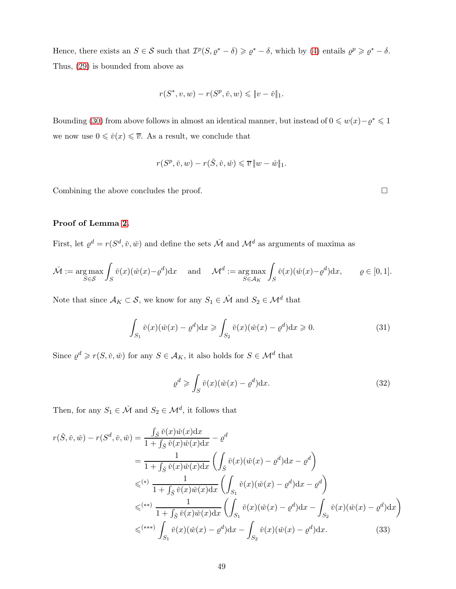Hence, there exists an  $S \in \mathcal{S}$  such that  $\mathcal{I}^p(S, \varrho^* - \delta) \geq \varrho^* - \delta$ , which by [\(4\)](#page-10-0) entails  $\varrho^p \geq \varrho^* - \delta$ . Thus, [\(29\)](#page-48-0) is bounded from above as

$$
r(S^*, v, w) - r(S^p, \check{v}, w) \leq \|v - \check{v}\|_1.
$$

Bounding [\(30\)](#page-48-1) from above follows in almost an identical manner, but instead of  $0 \leq w(x) - \varrho^* \leq 1$ we now use  $0\leqslant \check v(x)\leqslant \overline v.$  As a result, we conclude that

$$
r(S^p, \check{v}, w) - r(\check{S}, \check{v}, \check{w}) \leq \overline{v} ||w - \check{w}||_1.
$$

Combining the above concludes the proof.

## Proof of Lemma [2.](#page-22-2)

First, let  $\varrho^d = r(S^d, \check{v}, \check{w})$  and define the sets  $\check{\mathcal{M}}$  and  $\mathcal{M}^d$  as arguments of maxima as

$$
\check{\mathcal{M}} := \underset{S \in \mathcal{S}}{\arg \max} \int_{S} \check{v}(x) (\check{w}(x) - \varrho^{d}) \mathrm{d}x \quad \text{ and } \quad \mathcal{M}^{d} := \underset{S \in \mathcal{A}_{K}}{\arg \max} \int_{S} \check{v}(x) (\check{w}(x) - \varrho^{d}) \mathrm{d}x, \qquad \varrho \in [0, 1].
$$

Note that since  $A_K \subset \mathcal{S}$ , we know for any  $S_1 \in \tilde{\mathcal{M}}$  and  $S_2 \in \mathcal{M}^d$  that

<span id="page-49-1"></span>
$$
\int_{S_1} \check{v}(x)(\check{w}(x) - \varrho^d) \mathrm{d}x \geqslant \int_{S_2} \check{v}(x)(\check{w}(x) - \varrho^d) \mathrm{d}x \geqslant 0. \tag{31}
$$

Since  $\varrho^d \geq r(S, \check{v}, \check{w})$  for any  $S \in \mathcal{A}_K$ , it also holds for  $S \in \mathcal{M}^d$  that

<span id="page-49-2"></span><span id="page-49-0"></span>
$$
\varrho^d \geqslant \int_S \check{v}(x)(\check{w}(x) - \varrho^d) \mathrm{d}x. \tag{32}
$$

Then, for any  $S_1 \in \mathcal{M}$  and  $S_2 \in \mathcal{M}^d$ , it follows that

$$
r(\check{S}, \check{v}, \check{w}) - r(S^d, \check{v}, \check{w}) = \frac{\int_{\check{S}} \check{v}(x)\check{w}(x)dx}{1 + \int_{\check{S}} \check{v}(x)\check{w}(x)dx} - \varrho^d
$$
  
\n
$$
= \frac{1}{1 + \int_{\check{S}} \check{v}(x)\check{w}(x)dx} \left( \int_{\check{S}} \check{v}(x)(\check{w}(x) - \varrho^d)dx - \varrho^d \right)
$$
  
\n
$$
\leq^{\ast\ast} \frac{1}{1 + \int_{\check{S}} \check{v}(x)\check{w}(x)dx} \left( \int_{S_1} \check{v}(x)(\check{w}(x) - \varrho^d)dx - \varrho^d \right)
$$
  
\n
$$
\leq^{\ast\ast\ast} \frac{1}{1 + \int_{\check{S}} \check{v}(x)\check{w}(x)dx} \left( \int_{S_1} \check{v}(x)(\check{w}(x) - \varrho^d)dx - \int_{S_2} \check{v}(x)(\check{w}(x) - \varrho^d)dx \right)
$$
  
\n
$$
\leq^{\ast\ast\ast} \int_{S_1} \check{v}(x)(\check{w}(x) - \varrho^d)dx - \int_{S_2} \check{v}(x)(\check{w}(x) - \varrho^d)dx.
$$
 (33)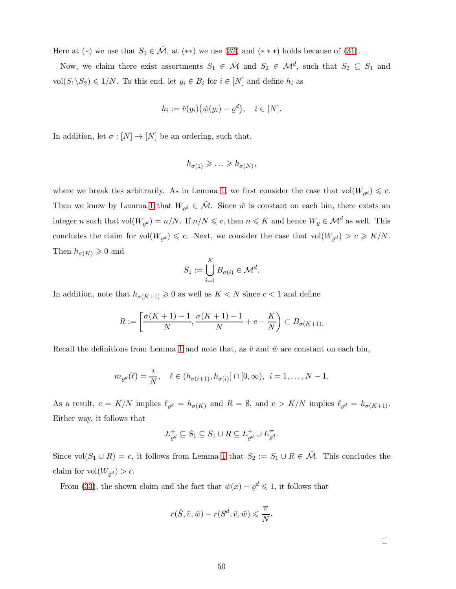Here at (\*) we use that  $S_1 \in \mathcal{M}$ , at (\*\*) we use [\(32\)](#page-49-0) and (\*\*\*) holds because of [\(31\)](#page-49-1).

Now, we claim there exist assortments  $S_1 \in \tilde{\mathcal{M}}$  and  $S_2 \in \mathcal{M}^d$ , such that  $S_2 \subseteq S_1$  and  $vol(S_1 \backslash S_2) \leq 1/N$ . To this end, let  $y_i \in B_i$  for  $i \in [N]$  and define  $h_i$  as

$$
h_i := \check{\nu}(y_i) \big( \check{\nu}(y_i) - \varrho^d \big), \quad i \in [N].
$$

In addition, let  $\sigma : [N] \to [N]$  be an ordering, such that,

$$
h_{\sigma(1)} \geqslant \ldots \geqslant h_{\sigma(N)},
$$

where we break ties arbitrarily. As in Lemma [1,](#page-15-0) we first consider the case that  $vol(W_{\varrho^d}) \leq c$ . Then we know by Lemma [1](#page-15-0) that  $W_{\varrho^d} \in \check{\mathcal{M}}$ . Since  $\check{w}$  is constant on each bin, there exists an integer n such that vol $(W_{\varrho^d}) = n/N$ . If  $n/N \leq c$ , then  $n \leq K$  and hence  $W_{\varrho} \in \mathcal{M}^d$  as well. This concludes the claim for  $vol(W_{\varrho^d}) \leq c$ . Next, we consider the case that  $vol(W_{\varrho^d}) > c \geq K/N$ . Then  $h_{\sigma(K)} \geq 0$  and

$$
S_1 := \bigcup_{i=1}^K B_{\sigma(i)} \in \mathcal{M}^d.
$$

In addition, note that  $h_{\sigma(K+1)} \geq 0$  as well as  $K < N$  since  $c < 1$  and define

$$
R := \left[\frac{\sigma(K+1)-1}{N}, \frac{\sigma(K+1)-1}{N} + c - \frac{K}{N}\right) \subset B_{\sigma(K+1)}.
$$

Recall the definitions from Lemma [1](#page-15-0) and note that, as  $\check{v}$  and  $\check{w}$  are constant on each bin,

$$
m_{\varrho^d}(\ell)=\frac{i}{N}, \quad \ell\in (h_{\sigma(i+1)}, h_{\sigma(i)}]\cap [0,\infty), \ \ i=1,\ldots,N-1.
$$

As a result,  $c = K/N$  implies  $\ell_{\varrho^d} = h_{\sigma(K)}$  and  $R = \emptyset$ , and  $c > K/N$  implies  $\ell_{\varrho^d} = h_{\sigma(K+1)}$ . Either way, it follows that

$$
L_{\varrho^d}^+ \subseteq S_1 \subseteq S_1 \cup R \subseteq L_{\varrho^d}^+ \cup L_{\varrho^d}^-.
$$

Since vol $(S_1 \cup R) = c$ , it follows from Lemma [1](#page-15-0) that  $S_2 := S_1 \cup R \in \mathcal{M}$ . This concludes the claim for  $vol(W_{\varrho^d}) > c$ .

From [\(33\)](#page-49-2), the shown claim and the fact that  $\check{w}(x) - \varrho^d \leq 1$ , it follows that

$$
r(\check{S},\check{v},\check{w}) - r(S^d,\check{v},\check{w}) \leq \frac{\overline{v}}{N}.
$$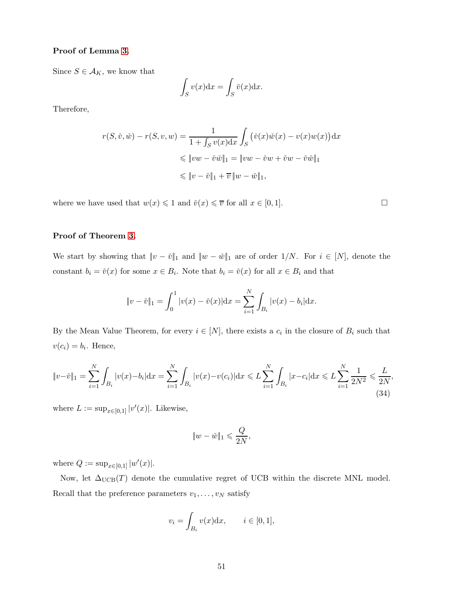## Proof of Lemma [3.](#page-23-0)

Since  $S \in \mathcal{A}_K$ , we know that

$$
\int_{S} v(x) \mathrm{d}x = \int_{S} \check{v}(x) \mathrm{d}x.
$$

Therefore,

$$
r(S, \check{v}, \check{w}) - r(S, v, w) = \frac{1}{1 + \int_S v(x) dx} \int_S (\check{v}(x)\check{w}(x) - v(x)w(x)) dx
$$
  
\$\leqslant \|vw - \check{v}\check{w}\|\_1 = \|vw - \check{v}w + \check{v}w - \check{v}\check{w}\|\_1\$  
\$\leqslant \|v - \check{v}\|\_1 + \overline{v} \|w - \check{w}\|\_1\$,

where we have used that  $w(x) \leq 1$  and  $\check{v}(x) \leq \overline{v}$  for all  $x \in [0, 1]$ .

#### Proof of Theorem [3.](#page-21-1)

We start by showing that  $||v - \check{v}||_1$  and  $||w - \check{w}||_1$  are of order  $1/N$ . For  $i \in [N]$ , denote the constant  $b_i = \check{v}(x)$  for some  $x \in B_i$ . Note that  $b_i = \check{v}(x)$  for all  $x \in B_i$  and that

$$
||v - \check{v}||_1 = \int_0^1 |v(x) - \check{v}(x)| dx = \sum_{i=1}^N \int_{B_i} |v(x) - b_i| dx.
$$

By the Mean Value Theorem, for every  $i \in [N]$ , there exists a  $c_i$  in the closure of  $B_i$  such that  $v(c_i) = b_i$ . Hence,

$$
\|v - \check{v}\|_1 = \sum_{i=1}^N \int_{B_i} |v(x) - b_i| \mathrm{d}x = \sum_{i=1}^N \int_{B_i} |v(x) - v(c_i)| \mathrm{d}x \le L \sum_{i=1}^N \int_{B_i} |x - c_i| \mathrm{d}x \le L \sum_{i=1}^N \frac{1}{2N^2} \le \frac{L}{2N},\tag{34}
$$

where  $L := \sup_{x \in [0,1]} |v'(x)|$ . Likewise,

$$
\|w-\check{w}\|_1\leqslant \frac{Q}{2N},
$$

where  $Q := \sup_{x \in [0,1]} |w'(x)|$ .

Now, let  $\Delta_{UCB}(T)$  denote the cumulative regret of UCB within the discrete MNL model. Recall that the preference parameters  $v_1, \ldots, v_N$  satisfy

$$
v_i = \int_{B_i} v(x) \mathrm{d}x, \qquad i \in [0, 1],
$$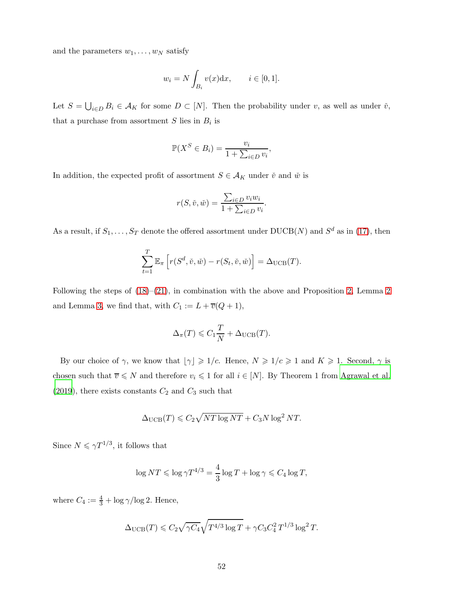and the parameters  $w_1, \ldots, w_N$  satisfy

$$
w_i = N \int_{B_i} v(x) \mathrm{d}x, \qquad i \in [0, 1].
$$

Let  $S = \bigcup_{i \in D} B_i \in \mathcal{A}_K$  for some  $D \subset [N]$ . Then the probability under v, as well as under  $\check{v}$ , that a purchase from assortment  $S$  lies in  $B_i$  is

$$
\mathbb{P}(X^S \in B_i) = \frac{v_i}{1 + \sum_{i \in D} v_i},
$$

In addition, the expected profit of assortment  $S \in \mathcal{A}_K$  under  $\check{v}$  and  $\check{w}$  is

$$
r(S, \check{v}, \check{w}) = \frac{\sum_{i \in D} v_i w_i}{1 + \sum_{i \in D} v_i}.
$$

As a result, if  $S_1, \ldots, S_T$  denote the offered assortment under  $\mathrm{DUCB}(N)$  and  $S^d$  as in [\(17\)](#page-22-3), then

$$
\sum_{t=1}^{T} \mathbb{E}_{\pi} \left[ r(S^d, \check{v}, \check{w}) - r(S_t, \check{v}, \check{w}) \right] = \Delta_{\text{UCB}}(T).
$$

Following the steps of  $(18)–(21)$  $(18)–(21)$ , in combination with the above and Proposition [2,](#page-22-0) Lemma [2](#page-22-2) and Lemma [3,](#page-23-0) we find that, with  $C_1 := L + \overline{v}(Q + 1)$ ,

$$
\Delta_{\pi}(T) \leqslant C_1 \frac{T}{N} + \Delta_{\text{UCB}}(T).
$$

By our choice of  $\gamma$ , we know that  $\lfloor \gamma \rfloor \geq 1/c$ . Hence,  $N \geq 1/c \geq 1$  and  $K \geq 1$ . Second,  $\gamma$  is chosen such that  $\overline{v} \leq N$  and therefore  $v_i \leq 1$  for all  $i \in [N]$ . By Theorem 1 from [Agrawal et al.](#page-31-0) [\(2019\)](#page-31-0), there exists constants  $C_2$  and  $C_3$  such that

$$
\Delta_{\text{UCB}}(T) \leq C_2 \sqrt{NT \log NT} + C_3 N \log^2 NT.
$$

Since  $N \leq \gamma T^{1/3}$ , it follows that

$$
\log NT \leq \log \gamma T^{4/3} = \frac{4}{3} \log T + \log \gamma \leq C_4 \log T,
$$

where  $C_4 := \frac{4}{3} + \log \gamma / \log 2$ . Hence,

$$
\Delta_{\text{UCB}}(T) \leq C_2 \sqrt{\gamma C_4} \sqrt{T^{4/3} \log T} + \gamma C_3 C_4^2 T^{1/3} \log^2 T.
$$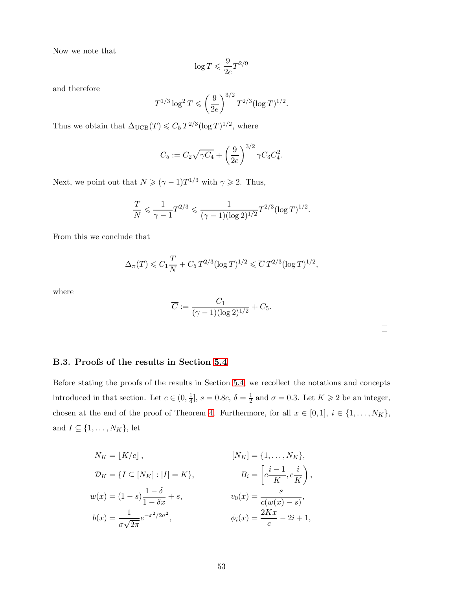Now we note that

$$
\log T \leqslant \frac{9}{2e} T^{2/9}
$$

and therefore

$$
T^{1/3} \log^2 T \leqslant \left(\frac{9}{2e}\right)^{3/2} T^{2/3} (\log T)^{1/2}.
$$

Thus we obtain that  $\Delta_{UCB}(T) \leq C_5 T^{2/3} (\log T)^{1/2}$ , where

$$
C_5 := C_2 \sqrt{\gamma C_4} + \left(\frac{9}{2e}\right)^{3/2} \gamma C_3 C_4^2.
$$

Next, we point out that  $N \geqslant (\gamma - 1) T^{1/3}$  with  $\gamma \geqslant 2$ . Thus,

$$
\frac{T}{N} \leqslant \frac{1}{\gamma - 1} T^{2/3} \leqslant \frac{1}{(\gamma - 1)(\log 2)^{1/2}} T^{2/3} (\log T)^{1/2}.
$$

From this we conclude that

$$
\Delta_{\pi}(T) \leq C_1 \frac{T}{N} + C_5 T^{2/3} (\log T)^{1/2} \leq \overline{C} T^{2/3} (\log T)^{1/2},
$$

where

$$
\overline{C} := \frac{C_1}{(\gamma - 1)(\log 2)^{1/2}} + C_5.
$$

# B.3. Proofs of the results in Section [5.4](#page-24-0)

Before stating the proofs of the results in Section [5.4,](#page-24-0) we recollect the notations and concepts introduced in that section. Let  $c \in (0, \frac{1}{4})$  $\frac{1}{4}$ ,  $s = 0.8c$ ,  $\delta = \frac{1}{2}$  and  $\sigma = 0.3$ . Let  $K \geq 2$  be an integer, chosen at the end of the proof of Theorem [4.](#page-27-0) Furthermore, for all  $x \in [0,1], i \in \{1,\ldots,N_K\},\$ and  $I \subseteq \{1, \ldots, N_K\}$ , let

$$
N_K = [K/c],
$$
  
\n
$$
D_K = \{I \subseteq [N_K] : |I| = K\},
$$
  
\n
$$
W(x) = (1 - s)\frac{1 - \delta}{1 - \delta x} + s,
$$
  
\n
$$
N_K = \left[c\frac{i - 1}{K}, c\frac{i}{K}\right),
$$
  
\n
$$
V_0(x) = \frac{s}{c(w(x) - s)},
$$
  
\n
$$
V_1(x) = \frac{1}{\sigma\sqrt{2\pi}}e^{-x^2/2\sigma^2},
$$
  
\n
$$
\phi_i(x) = \frac{2Kx}{c} - 2i + 1,
$$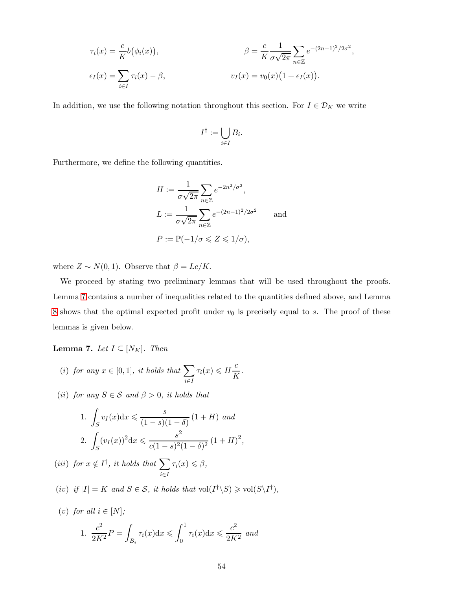$$
\tau_i(x) = \frac{c}{K}b(\phi_i(x)), \qquad \beta = \frac{c}{K} \frac{1}{\sigma\sqrt{2\pi}} \sum_{n \in \mathbb{Z}} e^{-(2n-1)^2/2\sigma^2}
$$

$$
\epsilon_I(x) = \sum_{i \in I} \tau_i(x) - \beta, \qquad v_I(x) = v_0(x) \big(1 + \epsilon_I(x)\big).
$$

,

In addition, we use the following notation throughout this section. For  $I \in \mathcal{D}_K$  we write

$$
I^{\dagger} := \bigcup_{i \in I} B_i.
$$

Furthermore, we define the following quantities.

$$
H := \frac{1}{\sigma\sqrt{2\pi}} \sum_{n \in \mathbb{Z}} e^{-2n^2/\sigma^2},
$$
  
\n
$$
L := \frac{1}{\sigma\sqrt{2\pi}} \sum_{n \in \mathbb{Z}} e^{-(2n-1)^2/2\sigma^2} \quad \text{and}
$$
  
\n
$$
P := \mathbb{P}(-1/\sigma \leqslant Z \leqslant 1/\sigma),
$$

where  $Z \sim N(0, 1)$ . Observe that  $\beta = Lc/K$ .

We proceed by stating two preliminary lemmas that will be used throughout the proofs. Lemma [7](#page-54-0) contains a number of inequalities related to the quantities defined above, and Lemma [8](#page-55-0) shows that the optimal expected profit under  $v_0$  is precisely equal to s. The proof of these lemmas is given below.

<span id="page-54-0"></span>**Lemma 7.** Let  $I \subseteq [N_K]$ . Then

(i) for any 
$$
x \in [0,1]
$$
, it holds that  $\sum_{i \in I} \tau_i(x) \leq H \frac{c}{K}$ .

(ii) for any  $S \in \mathcal{S}$  and  $\beta > 0$ , it holds that

1. 
$$
\int_{S} v_I(x) dx \le \frac{s}{(1-s)(1-\delta)} (1+H)
$$
 and  
2.  $\int_{S} (v_I(x))^2 dx \le \frac{s^2}{c(1-s)^2(1-\delta)^2} (1+H)^2$ 

- (iii) for  $x \notin I^{\dagger}$ , it holds that  $\sum$ i∈I  $\tau_i(x) \leq \beta,$
- $(iv)$  if  $|I| = K$  and  $S \in \mathcal{S}$ , it holds that  $vol(I^{\dagger} \backslash S) \geq vol(S \backslash I^{\dagger}),$
- (v) for all  $i \in [N]$ ; 1.  $\frac{c^2}{2L}$  $\frac{c^2}{2K^2}P = \int$  $B_i$  $\tau_i(x)dx \leqslant$  $\int_1^1$ 0  $\tau_i(x)dx \leqslant \frac{c^2}{2K}$  $\frac{c}{2K^2}$  and

,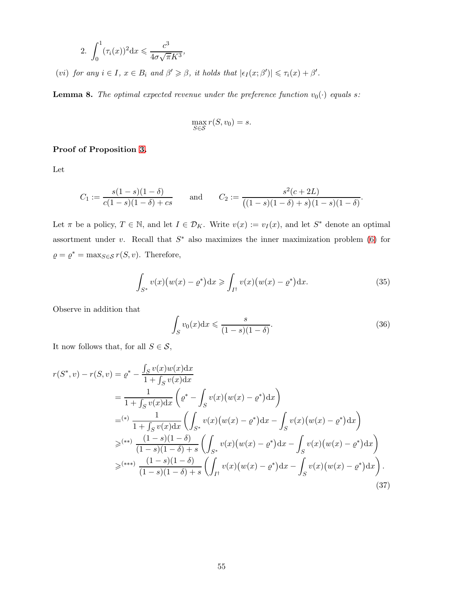2. 
$$
\int_0^1 (\tau_i(x))^2 dx \leq \frac{c^3}{4\sigma\sqrt{\pi}K^3},
$$

(vi) for any  $i \in I$ ,  $x \in B_i$  and  $\beta' \geq \beta$ , it holds that  $|\epsilon_I(x; \beta')| \leq \tau_i(x) + \beta'$ .

<span id="page-55-0"></span>**Lemma 8.** The optimal expected revenue under the preference function  $v_0(\cdot)$  equals s:

$$
\max_{S \in \mathcal{S}} r(S, v_0) = s.
$$

#### Proof of Proposition [3.](#page-26-0)

Let

$$
C_1 := \frac{s(1-s)(1-\delta)}{c(1-s)(1-\delta)+cs} \quad \text{and} \quad C_2 := \frac{s^2(c+2L)}{((1-s)(1-\delta)+s)(1-s)(1-\delta)}.
$$

Let  $\pi$  be a policy,  $T \in \mathbb{N}$ , and let  $I \in \mathcal{D}_K$ . Write  $v(x) := v_I(x)$ , and let  $S^*$  denote an optimal assortment under v. Recall that  $S^*$  also maximizes the inner maximization problem [\(6\)](#page-14-1) for  $\varrho = \varrho^* = \max_{S \in \mathcal{S}} r(S, v)$ . Therefore,

<span id="page-55-2"></span>
$$
\int_{S^*} v(x) \big( w(x) - \varrho^* \big) \mathrm{d}x \geqslant \int_{I^{\dagger}} v(x) \big( w(x) - \varrho^* \big) \mathrm{d}x. \tag{35}
$$

Observe in addition that

<span id="page-55-3"></span><span id="page-55-1"></span>
$$
\int_{S} v_0(x) dx \leqslant \frac{s}{(1-s)(1-\delta)}.
$$
\n(36)

It now follows that, for all  $S \in \mathcal{S}$ ,

$$
r(S^*, v) - r(S, v) = \varrho^* - \frac{\int_S v(x)w(x)dx}{1 + \int_S v(x)dx}
$$
  
\n
$$
= \frac{1}{1 + \int_S v(x)dx} \left( \varrho^* - \int_S v(x) (w(x) - \varrho^*) dx \right)
$$
  
\n
$$
=^{(*)} \frac{1}{1 + \int_S v(x)dx} \left( \int_{S^*} v(x) (w(x) - \varrho^*) dx - \int_S v(x) (w(x) - \varrho^*) dx \right)
$$
  
\n
$$
\geq^{(**)} \frac{(1 - s)(1 - \delta)}{(1 - s)(1 - \delta) + s} \left( \int_{S^*} v(x) (w(x) - \varrho^*) dx - \int_S v(x) (w(x) - \varrho^*) dx \right)
$$
  
\n
$$
\geq^{(**)} \frac{(1 - s)(1 - \delta)}{(1 - s)(1 - \delta) + s} \left( \int_{I^{\dagger}} v(x) (w(x) - \varrho^*) dx - \int_S v(x) (w(x) - \varrho^*) dx \right).
$$
  
\n(37)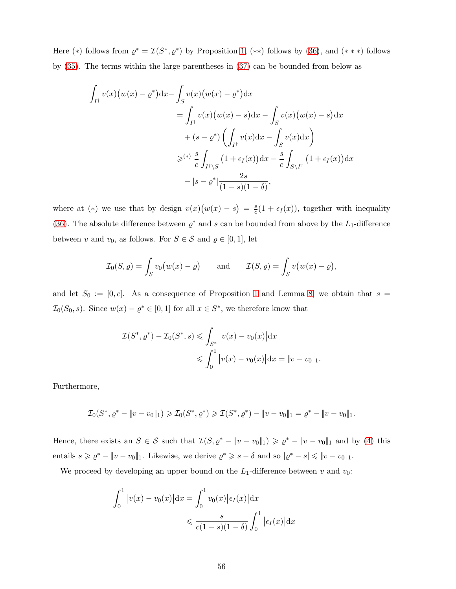Here (\*) follows from  $\varrho^* = \mathcal{I}(S^*, \varrho^*)$  by Proposition [1,](#page-15-1) (\*\*) follows by [\(36\)](#page-55-1), and (\*\*\*) follows by [\(35\)](#page-55-2). The terms within the large parentheses in [\(37\)](#page-55-3) can be bounded from below as

$$
\int_{I^{\dagger}} v(x)(w(x) - \varrho^*) dx - \int_{S} v(x)(w(x) - \varrho^*) dx
$$
\n
$$
= \int_{I^{\dagger}} v(x)(w(x) - s) dx - \int_{S} v(x)(w(x) - s) dx
$$
\n
$$
+ (s - \varrho^*) \left( \int_{I^{\dagger}} v(x) dx - \int_{S} v(x) dx \right)
$$
\n
$$
\geq \sum_{i=1}^{N} \sum_{j=1}^{N} \int_{S} (1 + \epsilon_{I}(x)) dx - \frac{s}{c} \int_{S \setminus I^{\dagger}} (1 + \epsilon_{I}(x)) dx
$$
\n
$$
- |s - \varrho^*| \frac{2s}{(1 - s)(1 - \delta)},
$$

where at (\*) we use that by design  $v(x)(w(x) - s) = \frac{s}{c}$  $\frac{s}{c}(1 + \epsilon_I(x))$ , together with inequality [\(36\)](#page-55-1). The absolute difference between  $\varrho^*$  and s can be bounded from above by the  $L_1$ -difference between  $v$  and  $v_0$ , as follows. For  $S \in \mathcal{S}$  and  $\varrho \in [0,1]$ , let

$$
\mathcal{I}_0(S,\varrho) = \int_S v_0(w(x) - \varrho) \quad \text{and} \quad \mathcal{I}(S,\varrho) = \int_S v(w(x) - \varrho),
$$

and let  $S_0 := [0, c]$ . As a consequence of Proposition [1](#page-15-1) and Lemma [8,](#page-55-0) we obtain that  $s =$  $\mathcal{I}_0(S_0, s)$ . Since  $w(x) - \varrho^* \in [0, 1]$  for all  $x \in S^*$ , we therefore know that

$$
\mathcal{I}(S^*, \varrho^*) - \mathcal{I}_0(S^*, s) \le \int_{S^*} |v(x) - v_0(x)| dx
$$
  
 
$$
\le \int_0^1 |v(x) - v_0(x)| dx = \|v - v_0\|_1.
$$

Furthermore,

$$
\mathcal{I}_0(S^*, \varrho^* - \|v - v_0\|_1) \geq \mathcal{I}_0(S^*, \varrho^*) \geq \mathcal{I}(S^*, \varrho^*) - \|v - v_0\|_1 = \varrho^* - \|v - v_0\|_1.
$$

Hence, there exists an  $S \in \mathcal{S}$  such that  $\mathcal{I}(S, \varrho^* - ||v - v_0||_1) \geq \varrho^* - ||v - v_0||_1$  and by [\(4\)](#page-10-0) this entails  $s \geq \varrho^* - ||v - v_0||_1$ . Likewise, we derive  $\varrho^* \geq s - \delta$  and so  $|\varrho^* - s| \leq ||v - v_0||_1$ .

We proceed by developing an upper bound on the  $L_1$ -difference between v and  $v_0$ :

$$
\int_0^1 |v(x) - v_0(x)| dx = \int_0^1 v_0(x) |\epsilon_I(x)| dx
$$
  

$$
\leq \frac{s}{c(1-s)(1-\delta)} \int_0^1 |\epsilon_I(x)| dx
$$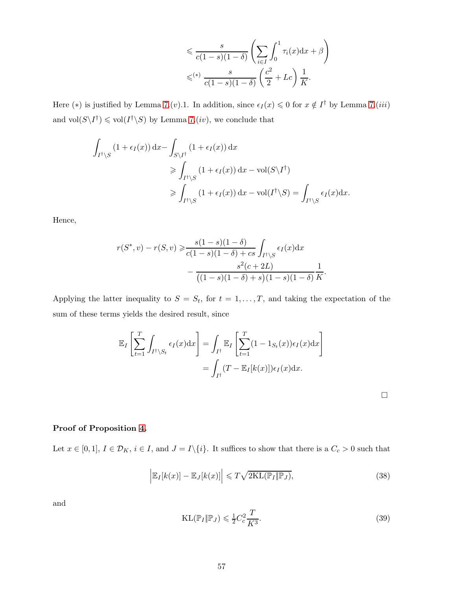$$
\leq \frac{s}{c(1-s)(1-\delta)} \left( \sum_{i \in I} \int_0^1 \tau_i(x) dx + \beta \right)
$$
  

$$
\leqslant^{(*)} \frac{s}{c(1-s)(1-\delta)} \left( \frac{c^2}{2} + Lc \right) \frac{1}{K}.
$$

Here (\*) is justified by Lemma [7.](#page-54-0)(v).1. In addition, since  $\epsilon_I(x) \leq 0$  for  $x \notin I^{\dagger}$  by Lemma 7.(*iii*) and  $\text{vol}(S\backslash I^{\dagger}) \leq \text{vol}(I^{\dagger} \backslash S)$  by Lemma [7.](#page-54-0)(*iv*), we conclude that

$$
\int_{I^{\dagger}\backslash S} (1 + \epsilon_I(x)) dx - \int_{S\backslash I^{\dagger}} (1 + \epsilon_I(x)) dx
$$
\n
$$
\geq \int_{I^{\dagger}\backslash S} (1 + \epsilon_I(x)) dx - \text{vol}(S\backslash I^{\dagger})
$$
\n
$$
\geq \int_{I^{\dagger}\backslash S} (1 + \epsilon_I(x)) dx - \text{vol}(I^{\dagger}\backslash S) = \int_{I^{\dagger}\backslash S} \epsilon_I(x) dx.
$$

Hence,

$$
r(S^*, v) - r(S, v) \ge \frac{s(1 - s)(1 - \delta)}{c(1 - s)(1 - \delta) + cs} \int_{I^{\dagger} \backslash S} \epsilon_I(x) dx
$$
  
- 
$$
\frac{s^2(c + 2L)}{((1 - s)(1 - \delta) + s)(1 - s)(1 - \delta)} \frac{1}{K}.
$$

Applying the latter inequality to  $S = S_t$ , for  $t = 1, \ldots, T$ , and taking the expectation of the sum of these terms yields the desired result, since

$$
\mathbb{E}_{I}\left[\sum_{t=1}^{T}\int_{I^{\dagger}\setminus S_{t}}\epsilon_{I}(x)\mathrm{d}x\right] = \int_{I^{\dagger}}\mathbb{E}_{I}\left[\sum_{t=1}^{T}(1-\mathbb{1}_{S_{t}}(x))\epsilon_{I}(x)\mathrm{d}x\right]
$$

$$
= \int_{I^{\dagger}}(T-\mathbb{E}_{I}[k(x)])\epsilon_{I}(x)\mathrm{d}x.
$$

## Proof of Proposition [4.](#page-27-1)

Let  $x \in [0,1], I \in \mathcal{D}_K, i \in I$ , and  $J = I \setminus \{i\}$ . It suffices to show that there is a  $C_c > 0$  such that

<span id="page-57-0"></span>
$$
\left| \mathbb{E}_I[k(x)] - \mathbb{E}_J[k(x)] \right| \leqslant T\sqrt{2\text{KL}(\mathbb{P}_I \| \mathbb{P}_J)},\tag{38}
$$

and

<span id="page-57-1"></span>
$$
KL(\mathbb{P}_I \| \mathbb{P}_J) \leq \frac{1}{2} C_c^2 \frac{T}{K^3}.
$$
\n(39)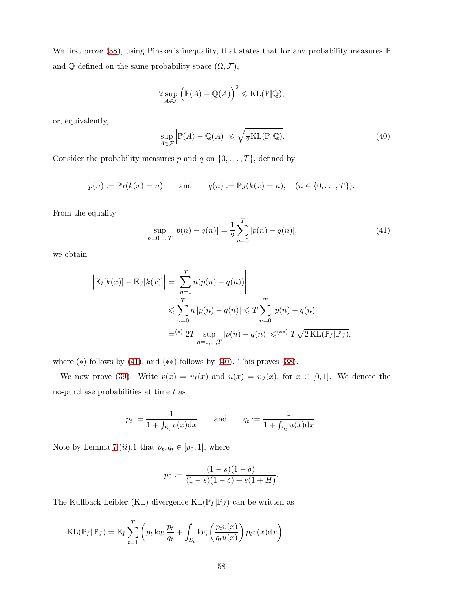We first prove  $(38)$ , using Pinsker's inequality, that states that for any probability measures  $\mathbb P$ and  ${\mathbb Q}$  defined on the same probability space  $(\Omega, {\mathcal F}),$ 

$$
2 \sup_{A \in \mathcal{F}} \left( \mathbb{P}(A) - \mathbb{Q}(A) \right)^2 \leqslant \mathrm{KL}(\mathbb{P} \| \mathbb{Q}),
$$

or, equivalently,

<span id="page-58-1"></span>
$$
\sup_{A \in \mathcal{F}} \left| \mathbb{P}(A) - \mathbb{Q}(A) \right| \leqslant \sqrt{\frac{1}{2} \text{KL}(\mathbb{P} \| \mathbb{Q})}. \tag{40}
$$

Consider the probability measures  $p$  and  $q$  on  $\{0, \ldots, T\}$ , defined by

$$
p(n) := \mathbb{P}_I(k(x) = n)
$$
 and  $q(n) := \mathbb{P}_J(k(x) = n)$ ,  $(n \in \{0, ..., T\})$ .

From the equality

<span id="page-58-0"></span>
$$
\sup_{n=0,\dots,T} |p(n) - q(n)| = \frac{1}{2} \sum_{n=0}^{T} |p(n) - q(n)|.
$$
 (41)

we obtain

$$
\begin{aligned} \left| \mathbb{E}_{I}[k(x)] - \mathbb{E}_{J}[k(x)] \right| &= \left| \sum_{n=0}^{T} n(p(n) - q(n)) \right| \\ &\leqslant \sum_{n=0}^{T} n \left| p(n) - q(n) \right| \leqslant T \sum_{n=0}^{T} \left| p(n) - q(n) \right| \\ &=^{(*)} 2T \sup_{n=0,...,T} \left| p(n) - q(n) \right| \leqslant {}^{(**)} T \sqrt{2 \, \text{KL}(\mathbb{P}_{I} \|\mathbb{P}_{J})}, \end{aligned}
$$

where  $(*)$  follows by  $(41)$ , and  $(**)$  follows by  $(40)$ . This proves  $(38)$ .

We now prove [\(39\)](#page-57-1). Write  $v(x) = v_I(x)$  and  $u(x) = v_J(x)$ , for  $x \in [0,1]$ . We denote the no-purchase probabilities at time  $t$  as

$$
p_t := \frac{1}{1 + \int_{S_t} v(x) dx} \quad \text{and} \quad q_t := \frac{1}{1 + \int_{S_t} u(x) dx}.
$$

Note by Lemma [7.](#page-54-0) $(ii)$ .1 that  $p_t, q_t \in [p_0, 1]$ , where

$$
p_0 := \frac{(1-s)(1-\delta)}{(1-s)(1-\delta) + s(1+H)}.
$$

The Kullback-Leibler (KL) divergence  $KL(\mathbb{P}_I | \mathbb{P}_J)$  can be written as

$$
KL(\mathbb{P}_I \| \mathbb{P}_J) = \mathbb{E}_I \sum_{t=1}^T \left( p_t \log \frac{p_t}{q_t} + \int_{S_t} \log \left( \frac{p_t v(x)}{q_t u(x)} \right) p_t v(x) dx \right)
$$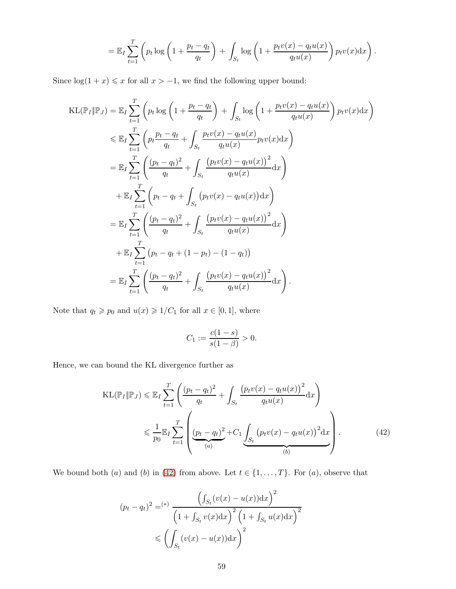$$
= \mathbb{E}_I \sum_{t=1}^T \left( p_t \log \left( 1 + \frac{p_t - q_t}{q_t} \right) + \int_{S_t} \log \left( 1 + \frac{p_t v(x) - q_t u(x)}{q_t u(x)} \right) p_t v(x) dx \right).
$$

Since  $log(1 + x) \leq x$  for all  $x > -1$ , we find the following upper bound:

$$
KL(\mathbb{P}_{I} \| \mathbb{P}_{J}) = \mathbb{E}_{I} \sum_{t=1}^{T} \left( p_{t} \log \left( 1 + \frac{p_{t} - q_{t}}{q_{t}} \right) + \int_{S_{t}} \log \left( 1 + \frac{p_{t}v(x) - q_{t}u(x)}{q_{t}u(x)} \right) p_{t}v(x) dx \right)
$$
  
\n
$$
\leq \mathbb{E}_{I} \sum_{t=1}^{T} \left( p_{t} \frac{p_{t} - q_{t}}{q_{t}} + \int_{S_{t}} \frac{p_{t}v(x) - q_{t}u(x)}{q_{t}u(x)} p_{t}v(x) dx \right)
$$
  
\n
$$
= \mathbb{E}_{I} \sum_{t=1}^{T} \left( \frac{(p_{t} - q_{t})^{2}}{q_{t}} + \int_{S_{t}} \frac{(p_{t}v(x) - q_{t}u(x))^{2}}{q_{t}u(x)} dx \right)
$$
  
\n
$$
+ \mathbb{E}_{I} \sum_{t=1}^{T} \left( p_{t} - q_{t} + \int_{S_{t}} (p_{t}v(x) - q_{t}u(x)) dx \right)
$$
  
\n
$$
= \mathbb{E}_{I} \sum_{t=1}^{T} \left( \frac{(p_{t} - q_{t})^{2}}{q_{t}} + \int_{S_{t}} \frac{(p_{t}v(x) - q_{t}u(x))^{2}}{q_{t}u(x)} dx \right)
$$
  
\n
$$
+ \mathbb{E}_{I} \sum_{t=1}^{T} (p_{t} - q_{t} + (1 - p_{t}) - (1 - q_{t}))
$$
  
\n
$$
= \mathbb{E}_{I} \sum_{t=1}^{T} \left( \frac{(p_{t} - q_{t})^{2}}{q_{t}} + \int_{S_{t}} \frac{(p_{t}v(x) - q_{t}u(x))^{2}}{q_{t}u(x)} dx \right).
$$

Note that  $q_t \geqslant p_0$  and  $u(x) \geqslant 1/C_1$  for all  $x \in [0,1],$  where

<span id="page-59-0"></span>
$$
C_1 := \frac{c(1-s)}{s(1-\beta)} > 0.
$$

Hence, we can bound the KL divergence further as

$$
KL(\mathbb{P}_{I} \| \mathbb{P}_{J}) \leq \mathbb{E}_{I} \sum_{t=1}^{T} \left( \frac{(p_{t} - q_{t})^{2}}{q_{t}} + \int_{S_{t}} \frac{(p_{t}v(x) - q_{t}u(x))^{2}}{q_{t}u(x)} dx \right)
$$
  

$$
\leq \frac{1}{p_{0}} \mathbb{E}_{I} \sum_{t=1}^{T} \left( \underbrace{(p_{t} - q_{t})^{2}}_{(a)} + C_{1} \underbrace{\int_{S_{t}} (p_{t}v(x) - q_{t}u(x))^{2} dx}_{(b)} \right).
$$
(42)

We bound both (a) and (b) in [\(42\)](#page-59-0) from above. Let  $t \in \{1, ..., T\}$ . For (a), observe that

$$
(p_t - q_t)^2 = {(*)} \frac{\left(\int_{S_t} (v(x) - u(x)) dx\right)^2}{\left(1 + \int_{S_t} v(x) dx\right)^2 \left(1 + \int_{S_t} u(x) dx\right)^2} \le \left(\int_{S_t} (v(x) - u(x)) dx\right)^2
$$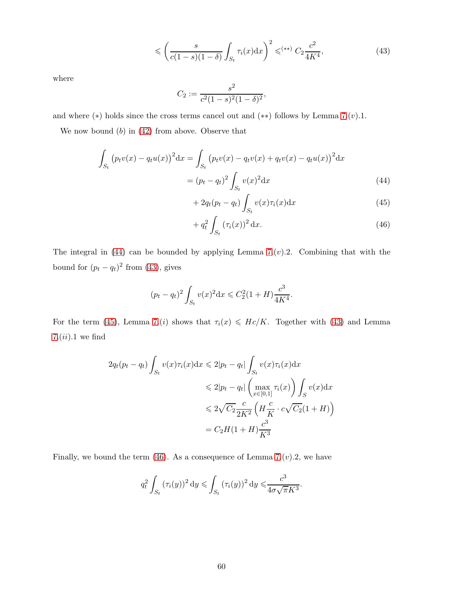$$
\leqslant \left(\frac{s}{c(1-s)(1-\delta)} \int_{S_t} \tau_i(x) dx\right)^2 \leqslant^{(**)} C_2 \frac{c^2}{4K^4},\tag{43}
$$

where

<span id="page-60-1"></span>
$$
C_2 := \frac{s^2}{c^2(1-s)^2(1-\delta)^2},
$$

and where  $(*)$  holds since the cross terms cancel out and  $(**)$  follows by Lemma [7.](#page-54-0) $(v).1$ .

We now bound  $(b)$  in  $(42)$  from above. Observe that

$$
\int_{S_t} (p_t v(x) - q_t u(x))^2 dx = \int_{S_t} (p_t v(x) - q_t v(x) + q_t v(x) - q_t u(x))^2 dx
$$

$$
= (p_t - q_t)^2 \int_{S_t} v(x)^2 dx
$$
(44)

<span id="page-60-2"></span><span id="page-60-0"></span>
$$
+2q_t(p_t-q_t)\int_{S_t}v(x)\tau_i(x)\mathrm{d}x\tag{45}
$$

<span id="page-60-3"></span>
$$
+ q_t^2 \int_{S_t} \left(\tau_i(x)\right)^2 \mathrm{d}x. \tag{46}
$$

The integral in  $(44)$  can be bounded by applying Lemma [7.](#page-54-0) $(v)$ . 2. Combining that with the bound for  $(p_t - q_t)^2$  from [\(43\)](#page-60-1), gives

$$
(p_t - q_t)^2 \int_{S_t} v(x)^2 dx \leq C_2^2 (1 + H) \frac{c^3}{4K^4}.
$$

For the term [\(45\)](#page-60-2), Lemma [7.](#page-54-0)(i) shows that  $\tau_i(x) \leqslant Hc/K$ . Together with [\(43\)](#page-60-1) and Lemma  $7.(ii).1$  $7.(ii).1$  we find

$$
2q_t(p_t - q_t) \int_{S_t} v(x)\tau_i(x)dx \le 2|p_t - q_t| \int_{S_t} v(x)\tau_i(x)dx
$$
  
\n
$$
\le 2|p_t - q_t| \left(\max_{x \in [0,1]} \tau_i(x)\right) \int_S v(x)dx
$$
  
\n
$$
\le 2\sqrt{C_2} \frac{c}{2K^2} \left(H\frac{c}{K} \cdot c\sqrt{C_2}(1+H)\right)
$$
  
\n
$$
= C_2H(1+H)\frac{c^3}{K^3}
$$

Finally, we bound the term [\(46\)](#page-60-3). As a consequence of Lemma [7.](#page-54-0) $(v)$ .2, we have

$$
q_t^2 \int_{S_t} \left(\tau_i(y)\right)^2 dy \leqslant \int_{S_t} \left(\tau_i(y)\right)^2 dy \leqslant \frac{c^3}{4\sigma\sqrt{\pi}K^3}.
$$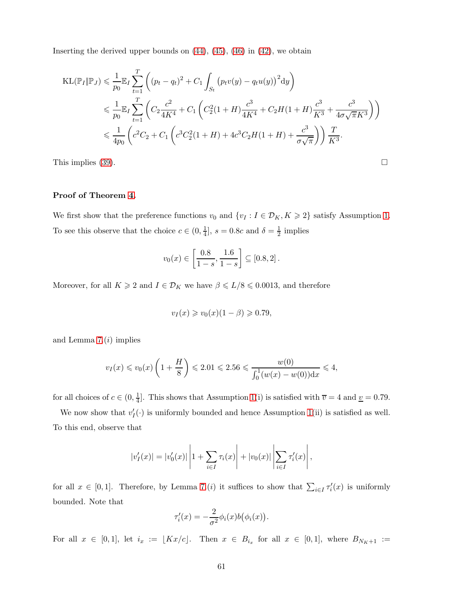Inserting the derived upper bounds on  $(44)$ ,  $(45)$ ,  $(46)$  in  $(42)$ , we obtain

$$
KL(\mathbb{P}_{I} \| \mathbb{P}_{J}) \leq \frac{1}{p_{0}} \mathbb{E}_{I} \sum_{t=1}^{T} \left( (p_{t} - q_{t})^{2} + C_{1} \int_{S_{t}} (p_{t}v(y) - q_{t}u(y))^{2} dy \right)
$$
  

$$
\leq \frac{1}{p_{0}} \mathbb{E}_{I} \sum_{t=1}^{T} \left( C_{2} \frac{c^{2}}{4K^{4}} + C_{1} \left( C_{2}^{2} (1+H) \frac{c^{3}}{4K^{4}} + C_{2} H (1+H) \frac{c^{3}}{K^{3}} + \frac{c^{3}}{4\sigma\sqrt{\pi}K^{3}} \right) \right)
$$
  

$$
\leq \frac{1}{4p_{0}} \left( c^{2} C_{2} + C_{1} \left( c^{3} C_{2}^{2} (1+H) + 4c^{3} C_{2} H (1+H) + \frac{c^{3}}{\sigma\sqrt{\pi}} \right) \right) \frac{T}{K^{3}}.
$$

This implies [\(39\)](#page-57-1).

#### Proof of Theorem [4.](#page-27-0)

We first show that the preference functions  $v_0$  and  $\{v_I : I \in \mathcal{D}_K, K \geq 2\}$  satisfy Assumption [1.](#page-8-0) To see this observe that the choice  $c \in (0, \frac{1}{4})$  $\frac{1}{4}$ , s = 0.8c and  $\delta = \frac{1}{2}$  $\frac{1}{2}$  implies

$$
v_0(x) \in \left[\frac{0.8}{1-s}, \frac{1.6}{1-s}\right] \subseteq [0.8, 2].
$$

Moreover, for all  $K \geq 2$  and  $I \in \mathcal{D}_K$  we have  $\beta \leq L/8 \leq 0.0013$ , and therefore

$$
v_I(x) \geq v_0(x)(1 - \beta) \geq 0.79,
$$

and Lemma  $7.(i)$  implies

$$
v_I(x) \le v_0(x) \left(1 + \frac{H}{8}\right) \le 2.01 \le 2.56 \le \frac{w(0)}{\int_0^1 (w(x) - w(0)) dx} \le 4,
$$

for all choices of  $c \in (0, \frac{1}{4})$  $\frac{1}{4}$ . This shows that Assumption [1\(](#page-8-0)i) is satisfied with  $\overline{v} = 4$  and  $\underline{v} = 0.79$ .

We now show that  $v_I'(\cdot)$  is uniformly bounded and hence Assumption [1\(](#page-8-0)ii) is satisfied as well. To this end, observe that

$$
|v'_I(x)| = |v'_0(x)| \left| 1 + \sum_{i \in I} \tau_i(x) \right| + |v_0(x)| \left| \sum_{i \in I} \tau'_i(x) \right|,
$$

for all  $x \in [0,1]$ . Therefore, by Lemma [7.](#page-54-0)(*i*) it suffices to show that  $\sum_{i \in I} \tau'_i(x)$  is uniformly bounded. Note that

$$
\tau'_i(x) = -\frac{2}{\sigma^2} \phi_i(x) b(\phi_i(x)).
$$

For all  $x \in [0,1]$ , let  $i_x := \lfloor Kx/c \rfloor$ . Then  $x \in B_{i_x}$  for all  $x \in [0,1]$ , where  $B_{N_K+1} :=$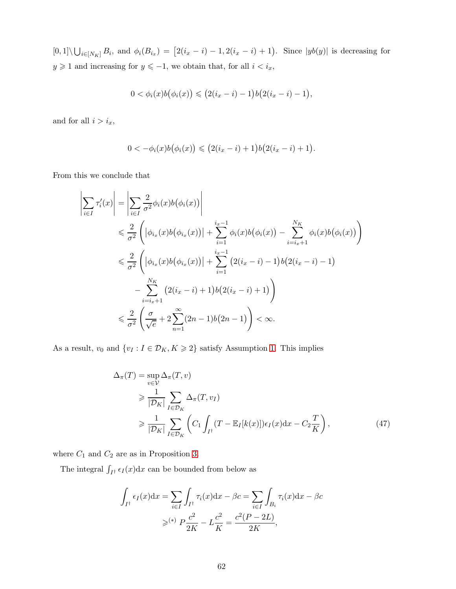$[0,1] \setminus \bigcup_{i \in [N_K]} B_i$ , and  $\phi_i(B_{i_x}) = [2(i_x - i) - 1, 2(i_x - i) + 1]$ . Since  $|yb(y)|$  is decreasing for  $y\geqslant 1$  and increasing for  $y\leqslant -1,$  we obtain that, for all  $i< i_x,$ 

$$
0 < \phi_i(x)b(\phi_i(x)) \leq (2(i_x - i) - 1)b(2(i_x - i) - 1),
$$

and for all  $i > i_x$ ,

$$
0 < -\phi_i(x)b(\phi_i(x)) \leq (2(i_x - i) + 1)b(2(i_x - i) + 1).
$$

From this we conclude that

$$
\left| \sum_{i \in I} \tau'_i(x) \right| = \left| \sum_{i \in I} \frac{2}{\sigma^2} \phi_i(x) b(\phi_i(x)) \right|
$$
  
\n
$$
\leq \frac{2}{\sigma^2} \left( \left| \phi_{i_x}(x) b(\phi_{i_x}(x)) \right| + \sum_{i=1}^{i_x - 1} \phi_i(x) b(\phi_i(x)) - \sum_{i=i_x + 1}^{N_K} \phi_i(x) b(\phi_i(x)) \right)
$$
  
\n
$$
\leq \frac{2}{\sigma^2} \left( \left| \phi_{i_x}(x) b(\phi_{i_x}(x)) \right| + \sum_{i=1}^{i_x - 1} \left( 2(i_x - i) - 1 \right) b(2(i_x - i) - 1)
$$
  
\n
$$
- \sum_{i=i_x + 1}^{N_K} \left( 2(i_x - i) + 1 \right) b(2(i_x - i) + 1) \right)
$$
  
\n
$$
\leq \frac{2}{\sigma^2} \left( \frac{\sigma}{\sqrt{e}} + 2 \sum_{n=1}^{\infty} (2n - 1) b(2n - 1) \right) < \infty.
$$

As a result,  $v_0$  and  $\{v_I : I \in \mathcal{D}_K, K \geq 2\}$  satisfy Assumption [1.](#page-8-0) This implies

<span id="page-62-0"></span>
$$
\Delta_{\pi}(T) = \sup_{v \in \mathcal{V}} \Delta_{\pi}(T, v)
$$
\n
$$
\geq \frac{1}{|\mathcal{D}_K|} \sum_{I \in \mathcal{D}_K} \Delta_{\pi}(T, v_I)
$$
\n
$$
\geq \frac{1}{|\mathcal{D}_K|} \sum_{I \in \mathcal{D}_K} \left( C_1 \int_{I^{\dagger}} (T - \mathbb{E}_I[k(x)]) \epsilon_I(x) dx - C_2 \frac{T}{K} \right), \tag{47}
$$

where  $C_1$  and  $C_2$  are as in Proposition [3.](#page-26-0)

The integral  $\int_{I^{\dagger}} \epsilon_I(x) dx$  can be bounded from below as

$$
\int_{I^{\dagger}} \epsilon_I(x) dx = \sum_{i \in I} \int_{I^{\dagger}} \tau_i(x) dx - \beta c = \sum_{i \in I} \int_{B_i} \tau_i(x) dx - \beta c
$$

$$
\geqslant^{(*)} P \frac{c^2}{2K} - L \frac{c^2}{K} = \frac{c^2 (P - 2L)}{2K},
$$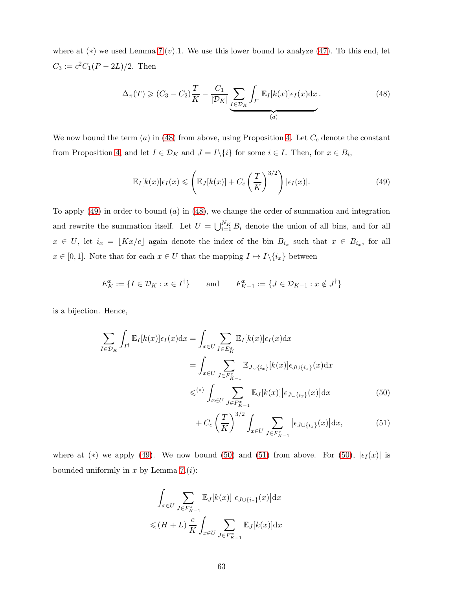where at  $(*)$  we used Lemma [7.](#page-54-0) $(v)$ .1. We use this lower bound to analyze [\(47\)](#page-62-0). To this end, let  $C_3 := c^2 C_1 (P - 2L)/2$ . Then

<span id="page-63-0"></span>
$$
\Delta_{\pi}(T) \geqslant (C_3 - C_2) \frac{T}{K} - \frac{C_1}{|\mathcal{D}_K|} \underbrace{\sum_{I \in \mathcal{D}_K} \int_{I^{\dagger}} \mathbb{E}_I[k(x)] \epsilon_I(x) dx}_{(a)}.
$$
\n
$$
(48)
$$

We now bound the term  $(a)$  in [\(48\)](#page-63-0) from above, using Proposition [4.](#page-27-1) Let  $C_c$  denote the constant from Proposition [4,](#page-27-1) and let  $I \in \mathcal{D}_K$  and  $J = I \setminus \{i\}$  for some  $i \in I$ . Then, for  $x \in B_i$ ,

<span id="page-63-1"></span>
$$
\mathbb{E}_I[k(x)]\epsilon_I(x) \leqslant \left(\mathbb{E}_J[k(x)] + C_c\left(\frac{T}{K}\right)^{3/2}\right)|\epsilon_I(x)|. \tag{49}
$$

To apply  $(49)$  in order to bound  $(a)$  in  $(48)$ , we change the order of summation and integration and rewrite the summation itself. Let  $U = \bigcup_{i=1}^{N_K} B_i$  denote the union of all bins, and for all  $x \in U$ , let  $i_x = \lfloor Kx/c \rfloor$  again denote the index of the bin  $B_{i_x}$  such that  $x \in B_{i_x}$ , for all  $x \in [0,1]$ . Note that for each  $x \in U$  that the mapping  $I \mapsto I \setminus \{i_x\}$  between

 $E_K^x := \{ I \in \mathcal{D}_K : x \in I^{\dagger} \}$  and  $F_{K-1}^x := \{ J \in \mathcal{D}_{K-1} : x \notin J^{\dagger} \}$ 

is a bijection. Hence,

$$
\sum_{I \in \mathcal{D}_K} \int_{I^{\dagger}} \mathbb{E}_I[k(x)] \epsilon_I(x) dx = \int_{x \in U} \sum_{I \in E_K^x} \mathbb{E}_I[k(x)] \epsilon_I(x) dx
$$

$$
= \int_{x \in U} \sum_{J \in F_{K-1}^x} \mathbb{E}_{J \cup \{i_x\}}[k(x)] \epsilon_{J \cup \{i_x\}}(x) dx
$$

$$
\leqslant^{(*)} \int_{x \in U} \sum_{J \in F_{K-1}^x} \mathbb{E}_J[k(x)] \epsilon_{J \cup \{i_x\}}(x) dx \tag{50}
$$

<span id="page-63-3"></span><span id="page-63-2"></span>
$$
+ C_c \left(\frac{I}{K}\right)' \int_{x \in U} \sum_{J \in F_{K-1}^x} \left| \epsilon_{J \cup \{i_x\}}(x) \right| \mathrm{d}x, \tag{51}
$$

where at (\*) we apply [\(49\)](#page-63-1). We now bound [\(50\)](#page-63-2) and [\(51\)](#page-63-3) from above. For (50),  $|\epsilon_I(x)|$  is bounded uniformly in x by Lemma [7.](#page-54-0) $(i)$ :

$$
\int_{x \in U} \sum_{J \in F_{K-1}^x} \mathbb{E}_J[k(x)] \Big| \epsilon_{J \cup \{i_x\}}(x) \Big| \mathrm{d}x
$$
  

$$
\leq (H+L) \frac{c}{K} \int_{x \in U} \sum_{J \in F_{K-1}^x} \mathbb{E}_J[k(x)] \mathrm{d}x
$$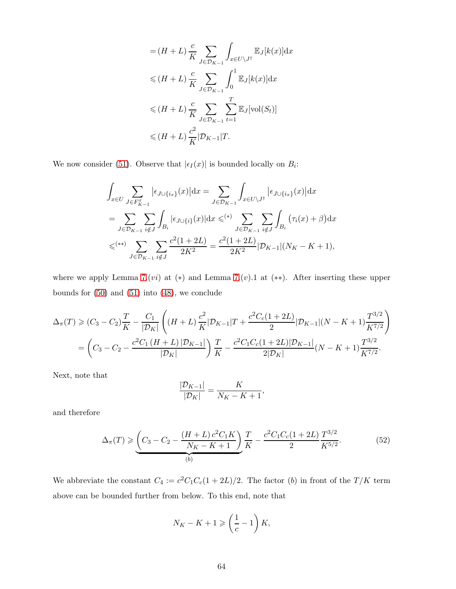$$
= (H+L)\frac{c}{K}\sum_{J\in\mathcal{D}_{K-1}}\int_{x\in U\backslash J^{\dagger}}\mathbb{E}_{J}[k(x)]\mathrm{d}x
$$
  
\n
$$
\leq (H+L)\frac{c}{K}\sum_{J\in\mathcal{D}_{K-1}}\int_{0}^{1}\mathbb{E}_{J}[k(x)]\mathrm{d}x
$$
  
\n
$$
\leq (H+L)\frac{c}{K}\sum_{J\in\mathcal{D}_{K-1}}\sum_{t=1}^{T}\mathbb{E}_{J}[\text{vol}(S_{t})]
$$
  
\n
$$
\leq (H+L)\frac{c^{2}}{K}|\mathcal{D}_{K-1}|T.
$$

We now consider [\(51\)](#page-63-3). Observe that  $|\epsilon_I(x)|$  is bounded locally on  $B_i$ :

$$
\int_{x \in U} \sum_{J \in F_{K-1}^x} \left| \epsilon_{J \cup \{i_x\}}(x) \right| dx = \sum_{J \in \mathcal{D}_{K-1}} \int_{x \in U \setminus J^{\dagger}} \left| \epsilon_{J \cup \{i_x\}}(x) \right| dx
$$
\n
$$
= \sum_{J \in \mathcal{D}_{K-1}} \sum_{i \notin J} \int_{B_i} \left| \epsilon_{J \cup \{i\}}(x) \right| dx \leqslant^{(*)} \sum_{J \in \mathcal{D}_{K-1}} \sum_{i \notin J} \int_{B_i} \left( \tau_i(x) + \beta \right) dx
$$
\n
$$
\leqslant^{(**)} \sum_{J \in \mathcal{D}_{K-1}} \sum_{i \notin J} \frac{c^2 (1 + 2L)}{2K^2} = \frac{c^2 (1 + 2L)}{2K^2} |\mathcal{D}_{K-1}| (N_K - K + 1),
$$

where we apply Lemma [7.](#page-54-0) $(vi)$  at  $(*)$  and Lemma 7. $(v).1$  at  $(**)$ . After inserting these upper bounds for  $(50)$  and  $(51)$  into  $(48)$ , we conclude

$$
\Delta_{\pi}(T) \geq (C_3 - C_2) \frac{T}{K} - \frac{C_1}{|\mathcal{D}_K|} \left( (H + L) \frac{c^2}{K} |\mathcal{D}_{K-1}| T + \frac{c^2 C_c (1 + 2L)}{2} |\mathcal{D}_{K-1}| (N - K + 1) \frac{T^{3/2}}{K^{7/2}} \right)
$$
  
= 
$$
\left( C_3 - C_2 - \frac{c^2 C_1 (H + L) |\mathcal{D}_{K-1}|}{|\mathcal{D}_K|} \right) \frac{T}{K} - \frac{c^2 C_1 C_c (1 + 2L) |\mathcal{D}_{K-1}|}{2|\mathcal{D}_K|} (N - K + 1) \frac{T^{3/2}}{K^{7/2}}.
$$

Next, note that

$$
\frac{|\mathcal{D}_{K-1}|}{|\mathcal{D}_{K}|} = \frac{K}{N_K - K + 1},
$$

and therefore

<span id="page-64-0"></span>
$$
\Delta_{\pi}(T) \geq \underbrace{\left(C_3 - C_2 - \frac{(H+L)c^2 C_1 K}{N_K - K + 1}\right)}_{(b)} \frac{T}{K} - \frac{c^2 C_1 C_c (1 + 2L)}{2} \frac{T^{3/2}}{K^{5/2}}.
$$
\n
$$
(52)
$$

We abbreviate the constant  $C_4 := c^2 C_1 C_c (1 + 2L)/2$ . The factor (b) in front of the  $T/K$  term above can be bounded further from below. To this end, note that

$$
N_K - K + 1 \geqslant \left(\frac{1}{c} - 1\right)K,
$$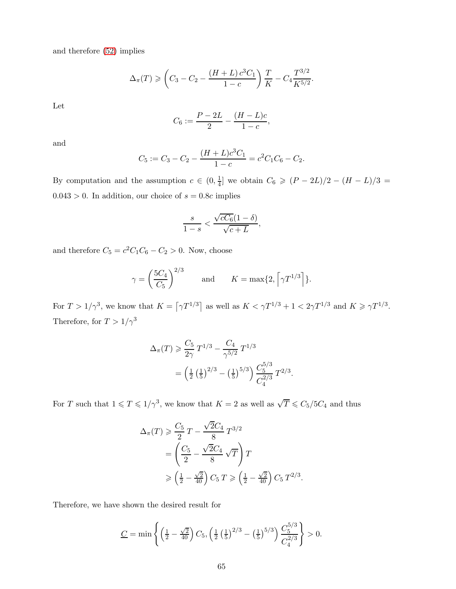and therefore [\(52\)](#page-64-0) implies

$$
\Delta_{\pi}(T) \ge \left(C_3 - C_2 - \frac{(H+L)c^3C_1}{1-c}\right)\frac{T}{K} - C_4\frac{T^{3/2}}{K^{5/2}}
$$

.

Let

$$
C_6 := \frac{P - 2L}{2} - \frac{(H - L)c}{1 - c},
$$

and

$$
C_5 := C_3 - C_2 - \frac{(H+L)c^3C_1}{1-c} = c^2C_1C_6 - C_2.
$$

By computation and the assumption  $c \in (0, \frac{1}{4})$  $\frac{1}{4}$ ] we obtain  $C_6 \geq (P - 2L)/2 - (H - L)/3 =$  $0.043 > 0$ . In addition, our choice of  $s = 0.8c$  implies

$$
\frac{s}{1-s} < \frac{\sqrt{cC_6}(1-\delta)}{\sqrt{c+L}},
$$

and therefore  $C_5 = c^2 C_1 C_6 - C_2 > 0$ . Now, choose

$$
\gamma = \left(\frac{5C_4}{C_5}\right)^{2/3}
$$
 and  $K = \max\{2, \left[\gamma T^{1/3}\right]\}.$ 

For  $T > 1/\gamma^3$ , we know that  $K = \lceil \gamma T^{1/3} \rceil$  as well as  $K < \gamma T^{1/3} + 1 < 2\gamma T^{1/3}$  and  $K \geq \gamma T^{1/3}$ . Therefore, for  $T>1/\gamma^3$ 

$$
\Delta_{\pi}(T) \geq \frac{C_5}{2\gamma} T^{1/3} - \frac{C_4}{\gamma^{5/2}} T^{1/3}
$$
  
=  $\left(\frac{1}{2} \left(\frac{1}{5}\right)^{2/3} - \left(\frac{1}{5}\right)^{5/3}\right) \frac{C_5^{5/3}}{C_4^{2/3}} T^{2/3}.$ 

For T such that  $1 \leqslant T \leqslant 1/\gamma^3$ , we know that  $K = 2$  as well as  $\sqrt{T} \leqslant C_5/5C_4$  and thus

$$
\Delta_{\pi}(T) \geq \frac{C_5}{2}T - \frac{\sqrt{2}C_4}{8}T^{3/2}
$$
  
= 
$$
\left(\frac{C_5}{2} - \frac{\sqrt{2}C_4}{8}\sqrt{T}\right)T
$$
  

$$
\geq \left(\frac{1}{2} - \frac{\sqrt{2}}{40}\right)C_5 T \geq \left(\frac{1}{2} - \frac{\sqrt{2}}{40}\right)C_5 T^{2/3}.
$$

Therefore, we have shown the desired result for

$$
\underline{C} = \min \left\{ \left( \frac{1}{2} - \frac{\sqrt{2}}{40} \right) C_5, \left( \frac{1}{2} \left( \frac{1}{5} \right)^{2/3} - \left( \frac{1}{5} \right)^{5/3} \right) \frac{C_5^{5/3}}{C_4^{2/3}} \right\} > 0.
$$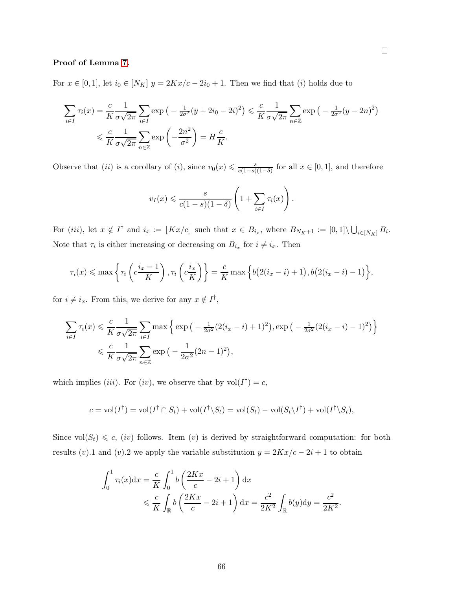#### Proof of Lemma [7.](#page-54-0)

For  $x \in [0,1]$ , let  $i_0 \in [N_K]$   $y = 2Kx/c - 2i_0 + 1$ . Then we find that  $(i)$  holds due to

$$
\sum_{i \in I} \tau_i(x) = \frac{c}{K} \frac{1}{\sigma \sqrt{2\pi}} \sum_{i \in I} \exp\left(-\frac{1}{2\sigma^2} (y + 2i_0 - 2i)^2\right) \le \frac{c}{K} \frac{1}{\sigma \sqrt{2\pi}} \sum_{n \in \mathbb{Z}} \exp\left(-\frac{1}{2\sigma^2} (y - 2n)^2\right)
$$

$$
\le \frac{c}{K} \frac{1}{\sigma \sqrt{2\pi}} \sum_{n \in \mathbb{Z}} \exp\left(-\frac{2n^2}{\sigma^2}\right) = H\frac{c}{K}.
$$

Observe that (ii) is a corollary of (i), since  $v_0(x) \leq \frac{s}{c(1-s)(1-\delta)}$  for all  $x \in [0,1]$ , and therefore

$$
v_I(x) \leqslant \frac{s}{c(1-s)(1-\delta)} \left(1 + \sum_{i \in I} \tau_i(x)\right).
$$

For (iii), let  $x \notin I^{\dagger}$  and  $i_x := \lfloor Kx/c \rfloor$  such that  $x \in B_{i_x}$ , where  $B_{N_K+1} := [0,1] \setminus \bigcup_{i \in [N_K]} B_i$ . Note that  $\tau_i$  is either increasing or decreasing on  $B_{i_x}$  for  $i \neq i_x$ . Then

$$
\tau_i(x) \le \max\left\{\tau_i\left(c\frac{i_x - 1}{K}\right), \tau_i\left(c\frac{i_x}{K}\right)\right\} = \frac{c}{K} \max\left\{b\left(2(i_x - i) + 1\right), b\left(2(i_x - i) - 1\right)\right\},\
$$

for  $i \neq i_x$ . From this, we derive for any  $x \notin I^{\dagger}$ ,

$$
\sum_{i \in I} \tau_i(x) \leq \frac{c}{K} \frac{1}{\sigma \sqrt{2\pi}} \sum_{i \in I} \max \left\{ \exp \left( -\frac{1}{2\sigma^2} (2(i_x - i) + 1)^2 \right), \exp \left( -\frac{1}{2\sigma^2} (2(i_x - i) - 1)^2 \right) \right\}
$$
  

$$
\leq \frac{c}{K} \frac{1}{\sigma \sqrt{2\pi}} \sum_{n \in \mathbb{Z}} \exp \left( -\frac{1}{2\sigma^2} (2n - 1)^2 \right),
$$

which implies (*iii*). For (*iv*), we observe that by  $vol(I^{\dagger}) = c$ ,

$$
c = \text{vol}(I^{\dagger}) = \text{vol}(I^{\dagger} \cap S_t) + \text{vol}(I^{\dagger} \backslash S_t) = \text{vol}(S_t) - \text{vol}(S_t \backslash I^{\dagger}) + \text{vol}(I^{\dagger} \backslash S_t),
$$

Since  $vol(S_t) \leq c$ , (iv) follows. Item (v) is derived by straightforward computation: for both results (v).1 and (v).2 we apply the variable substitution  $y = 2Kx/c - 2i + 1$  to obtain

$$
\int_0^1 \tau_i(x) dx = \frac{c}{K} \int_0^1 b\left(\frac{2Kx}{c} - 2i + 1\right) dx
$$
  
\$\leqslant \frac{c}{K} \int\_{\mathbb{R}} b\left(\frac{2Kx}{c} - 2i + 1\right) dx = \frac{c^2}{2K^2} \int\_{\mathbb{R}} b(y) dy = \frac{c^2}{2K^2}.

66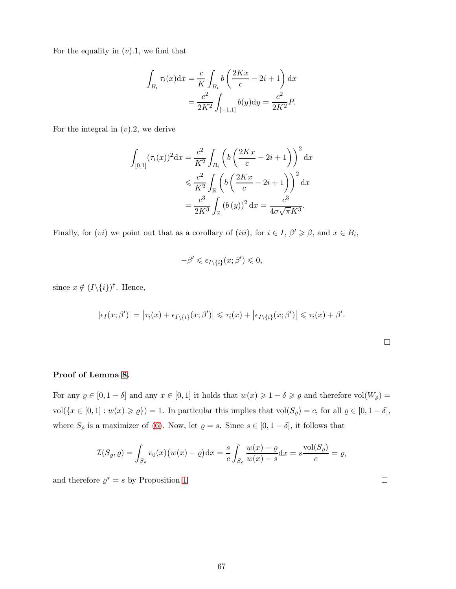For the equality in  $(v)$ .1, we find that

$$
\int_{B_i} \tau_i(x) dx = \frac{c}{K} \int_{B_i} b\left(\frac{2Kx}{c} - 2i + 1\right) dx
$$

$$
= \frac{c^2}{2K^2} \int_{[-1,1]} b(y) dy = \frac{c^2}{2K^2} P.
$$

For the integral in  $(v)$ . 2, we derive

$$
\int_{[0,1]} (\tau_i(x))^2 dx = \frac{c^2}{K^2} \int_{B_i} \left( b \left( \frac{2Kx}{c} - 2i + 1 \right) \right)^2 dx
$$
  

$$
\leq \frac{c^2}{K^2} \int_{\mathbb{R}} \left( b \left( \frac{2Kx}{c} - 2i + 1 \right) \right)^2 dx
$$
  

$$
= \frac{c^3}{2K^3} \int_{\mathbb{R}} (b(y))^2 dx = \frac{c^3}{4\sigma\sqrt{\pi}K^3}.
$$

Finally, for  $(vi)$  we point out that as a corollary of  $(iii)$ , for  $i \in I$ ,  $\beta' \geq \beta$ , and  $x \in B_i$ ,

$$
-\beta' \leq \epsilon_{I \setminus \{i\}}(x;\beta') \leq 0,
$$

since  $x \notin (I \setminus \{i\})^{\dagger}$ . Hence,

$$
|\epsilon_I(x;\beta')| = |\tau_i(x) + \epsilon_{I\setminus\{i\}}(x;\beta')| \leq \tau_i(x) + |\epsilon_{I\setminus\{i\}}(x;\beta')| \leq \tau_i(x) + \beta'.
$$

#### Proof of Lemma [8.](#page-55-0)

For any  $\varrho \in [0, 1 - \delta]$  and any  $x \in [0, 1]$  it holds that  $w(x) \geq 1 - \delta \geq \varrho$  and therefore  $vol(W_{\varrho}) =$  $vol({x \in [0, 1]: w(x) \geq \varrho}) = 1.$  In particular this implies that  $vol(S_{\varrho}) = c$ , for all  $\varrho \in [0, 1 - \delta]$ , where  $S_{\varrho}$  is a maximizer of [\(6\)](#page-14-1). Now, let  $\varrho = s$ . Since  $s \in [0, 1 - \delta]$ , it follows that

$$
\mathcal{I}(S_{\varrho}, \varrho) = \int_{S_{\varrho}} v_0(x) \big( w(x) - \varrho \big) \mathrm{d}x = \frac{s}{c} \int_{S_{\varrho}} \frac{w(x) - \varrho}{w(x) - s} \mathrm{d}x = s \frac{\mathrm{vol}(S_{\varrho})}{c} = \varrho,
$$

and therefore  $\varrho^* = s$  by Proposition [1.](#page-15-1)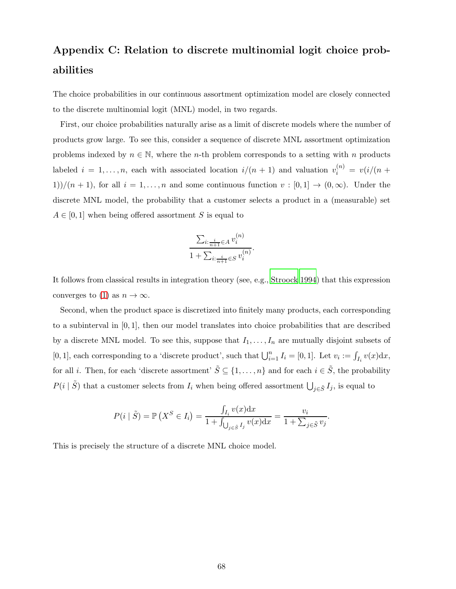# Appendix C: Relation to discrete multinomial logit choice probabilities

The choice probabilities in our continuous assortment optimization model are closely connected to the discrete multinomial logit (MNL) model, in two regards.

First, our choice probabilities naturally arise as a limit of discrete models where the number of products grow large. To see this, consider a sequence of discrete MNL assortment optimization problems indexed by  $n \in \mathbb{N}$ , where the *n*-th problem corresponds to a setting with *n* products labeled  $i = 1, ..., n$ , each with associated location  $i/(n + 1)$  and valuation  $v_i^{(n)} = v(i/(n + 1))$ 1))/(n + 1), for all  $i = 1, ..., n$  and some continuous function  $v : [0, 1] \rightarrow (0, \infty)$ . Under the discrete MNL model, the probability that a customer selects a product in a (measurable) set  $A \in [0, 1]$  when being offered assortment S is equal to

$$
\frac{\sum_{i:\frac{i}{n+1}\in A} v_i^{(n)}}{1 + \sum_{i:\frac{i}{n+1}\in S} v_i^{(n)}}.
$$

It follows from classical results in integration theory (see, e.g., [Stroock 1994\)](#page-34-0) that this expression converges to [\(1\)](#page-7-0) as  $n \to \infty$ .

Second, when the product space is discretized into finitely many products, each corresponding to a subinterval in [0, 1], then our model translates into choice probabilities that are described by a discrete MNL model. To see this, suppose that  $I_1, \ldots, I_n$  are mutually disjoint subsets of [0, 1], each corresponding to a 'discrete product', such that  $\bigcup_{i=1}^{n} I_i = [0, 1]$ . Let  $v_i := \int_{I_i} v(x) dx$ , for all *i*. Then, for each 'discrete assortment'  $\tilde{S} \subseteq \{1, \ldots, n\}$  and for each  $i \in \tilde{S}$ , the probability  $P(i | \tilde{S})$  that a customer selects from  $I_i$  when being offered assortment  $\bigcup_{j \in \tilde{S}} I_j$ , is equal to

$$
P(i \mid \tilde{S}) = \mathbb{P}\left(X^S \in I_i\right) = \frac{\int_{I_i} v(x) \mathrm{d}x}{1 + \int_{\bigcup_{j \in \tilde{S}} I_j} v(x) \mathrm{d}x} = \frac{v_i}{1 + \sum_{j \in \tilde{S}} v_j}.
$$

This is precisely the structure of a discrete MNL choice model.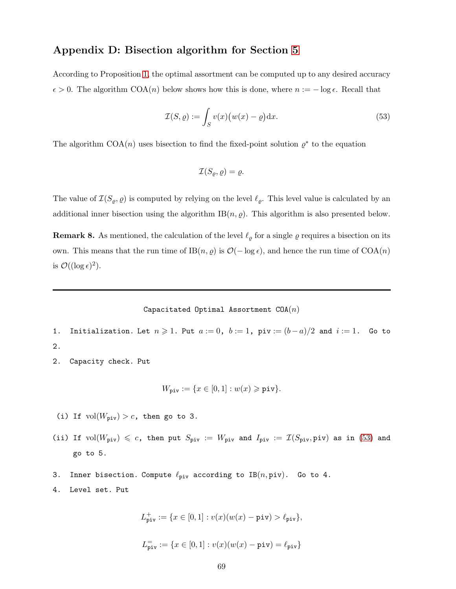# Appendix D: Bisection algorithm for Section [5](#page-13-2)

According to Proposition [1,](#page-15-1) the optimal assortment can be computed up to any desired accuracy  $\epsilon > 0$ . The algorithm COA(n) below shows how this is done, where  $n := -\log \epsilon$ . Recall that

<span id="page-69-0"></span>
$$
\mathcal{I}(S,\varrho) := \int_{S} v(x) \big( w(x) - \varrho \big) \mathrm{d}x. \tag{53}
$$

The algorithm  $COA(n)$  uses bisection to find the fixed-point solution  $\varrho^*$  to the equation

$$
\mathcal{I}(S_{\varrho},\varrho)=\varrho.
$$

The value of  $\mathcal{I}(S_{\rho}, \rho)$  is computed by relying on the level  $\ell_{\rho}$ . This level value is calculated by an additional inner bisection using the algorithm  $IB(n, \rho)$ . This algorithm is also presented below.

**Remark 8.** As mentioned, the calculation of the level  $\ell_{\varrho}$  for a single  $\varrho$  requires a bisection on its own. This means that the run time of  $IB(n, \rho)$  is  $\mathcal{O}(-\log \epsilon)$ , and hence the run time of  $COA(n)$ is  $\mathcal{O}((\log \epsilon)^2)$ .

Capacitated Optimal Assortment  $COA(n)$ 

- 1. Initialization. Let  $n \geqslant 1$ . Put  $a := 0$ ,  $b := 1$ ,  $\text{piv} := (b-a)/2$  and  $i := 1$ . Go to 2.
- 2. Capacity check. Put

$$
W_{\texttt{piv}} := \{ x \in [0,1] : w(x) \geqslant \texttt{piv} \}.
$$

(i) If  $vol(W_{\text{piv}}) > c$ , then go to 3.

- (ii) If  $vol(W_{\text{piv}}) \leqslant c$ , then put  $S_{\text{piv}} := W_{\text{piv}}$  and  $I_{\text{piv}} := \mathcal{I}(S_{\text{piv}}, \text{piv})$  as in [\(53\)](#page-69-0) and go to 5.
- 3. Inner bisection. Compute  $\ell_{\text{piv}}$  according to IB $(n, \text{piv})$ . Go to 4.
- 4. Level set. Put

$$
L_{\text{piv}}^{+} := \{ x \in [0,1] : v(x)(w(x) - \text{piv}) > \ell_{\text{piv}} \},
$$
  

$$
L_{\text{piv}}^{-} := \{ x \in [0,1] : v(x)(w(x) - \text{piv}) = \ell_{\text{piv}} \}
$$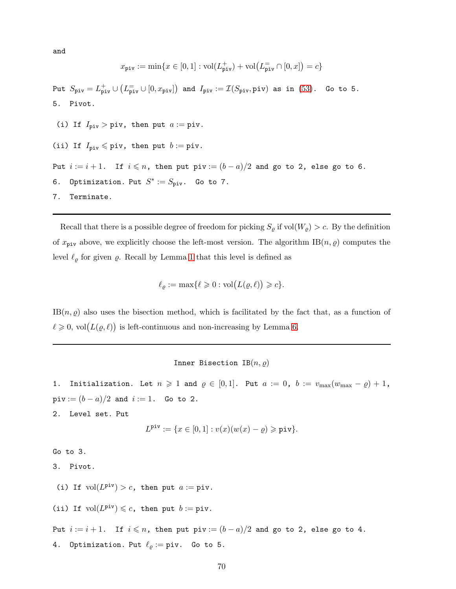and

$$
x_{\mathbf{piv}} := \min\{x \in [0,1] : \text{vol}(L_{\mathbf{piv}}^+) + \text{vol}\left(L_{\mathbf{piv}}^- \cap [0,x]\right) = c\}
$$

Put  $S_{\text{piv}} = L_{\text{piv}}^+ \cup \left( L_{\text{piv}}^- \cup [0, x_{\text{piv}}] \right)$  and  $I_{\text{piv}} := \mathcal{I}(S_{\text{piv}}, \text{piv})$  as in  $(53)$ . Go to 5. 5. Pivot.

- (i) If  $I_{\text{piv}} > \text{piv}$ , then put  $a := \text{piv}$ .
- (ii) If  $I_{\text{piv}} \leqslant \text{piv}$ , then put  $b := \text{piv}$ .
- Put  $i := i + 1$ . If  $i \leq n$ , then put  $\text{piv} := (b a)/2$  and go to 2, else go to 6.
- 6. Optimization. Put  $S^*:=S_{\text{piv}}$ . Go to 7.
- 7. Terminate.

Recall that there is a possible degree of freedom for picking  $S_{\varrho}$  if vol $(W_{\varrho}) > c$ . By the definition of  $x_{\text{piv}}$  above, we explicitly choose the left-most version. The algorithm IB $(n, \rho)$  computes the level  $\ell_{\rho}$  for given  $\varrho$ . Recall by Lemma [1](#page-15-0) that this level is defined as

$$
\ell_{\varrho} := \max\{\ell \geq 0 : \text{vol}\big(L(\varrho,\ell)\big) \geqslant c\}.
$$

 $IB(n, \rho)$  also uses the bisection method, which is facilitated by the fact that, as a function of  $\ell \geq 0$ , vol $(L(\varrho, \ell))$  is left-continuous and non-increasing by Lemma [6.](#page-45-0)

Inner Bisection IB $(n, \rho)$ 

1. Initialization. Let  $n \geq 1$  and  $\varrho \in [0,1]$ . Put  $a := 0$ ,  $b := v_{\max}(w_{\max} - \varrho) + 1$ ,  $\text{pi } v := (b - a)/2$  and  $i := 1$ . Go to 2.

2. Level set. Put

$$
L^{\text{piv}} := \{x \in [0,1] : v(x)(w(x) - \varrho) \geqslant \text{piv}\}.
$$

Go to 3.

3. Pivot.

(i) If  $vol(L^{piv}) > c$ , then put  $a := piv$ .

(ii) If  $vol(L^{piv}) \leq c$ , then put  $b := piv$ .

Put  $i := i + 1$ . If  $i \leq n$ , then put  $\text{piv} := (b - a)/2$  and go to 2, else go to 4.

4. Optimization. Put  $\ell_{\varrho} := \text{piv}$ . Go to 5.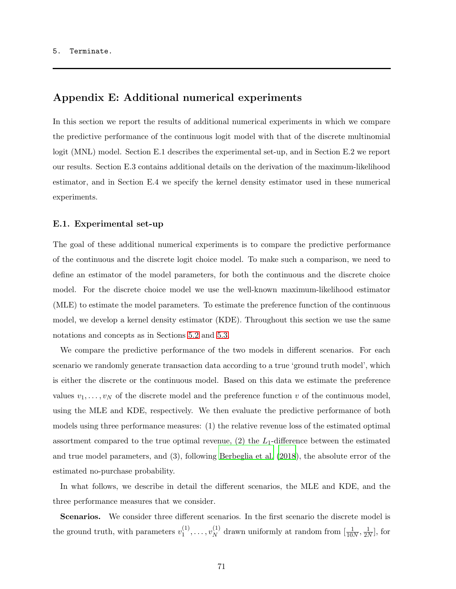# Appendix E: Additional numerical experiments

In this section we report the results of additional numerical experiments in which we compare the predictive performance of the continuous logit model with that of the discrete multinomial logit (MNL) model. Section E.1 describes the experimental set-up, and in Section E.2 we report our results. Section E.3 contains additional details on the derivation of the maximum-likelihood estimator, and in Section E.4 we specify the kernel density estimator used in these numerical experiments.

### E.1. Experimental set-up

The goal of these additional numerical experiments is to compare the predictive performance of the continuous and the discrete logit choice model. To make such a comparison, we need to define an estimator of the model parameters, for both the continuous and the discrete choice model. For the discrete choice model we use the well-known maximum-likelihood estimator (MLE) to estimate the model parameters. To estimate the preference function of the continuous model, we develop a kernel density estimator (KDE). Throughout this section we use the same notations and concepts as in Sections [5.2](#page-18-0) and [5.3.](#page-21-0)

We compare the predictive performance of the two models in different scenarios. For each scenario we randomly generate transaction data according to a true 'ground truth model', which is either the discrete or the continuous model. Based on this data we estimate the preference values  $v_1, \ldots, v_N$  of the discrete model and the preference function v of the continuous model, using the MLE and KDE, respectively. We then evaluate the predictive performance of both models using three performance measures: (1) the relative revenue loss of the estimated optimal assortment compared to the true optimal revenue,  $(2)$  the  $L_1$ -difference between the estimated and true model parameters, and (3), following [Berbeglia et al. \(2018](#page-32-0)), the absolute error of the estimated no-purchase probability.

In what follows, we describe in detail the different scenarios, the MLE and KDE, and the three performance measures that we consider.

Scenarios. We consider three different scenarios. In the first scenario the discrete model is the ground truth, with parameters  $v_1^{(1)}$  $v_1^{(1)}, \ldots, v_N^{(1)}$  $_N^{(1)}$  drawn uniformly at random from  $\left[\frac{1}{10N}, \frac{1}{2N}\right]$  $\frac{1}{2N}$ , for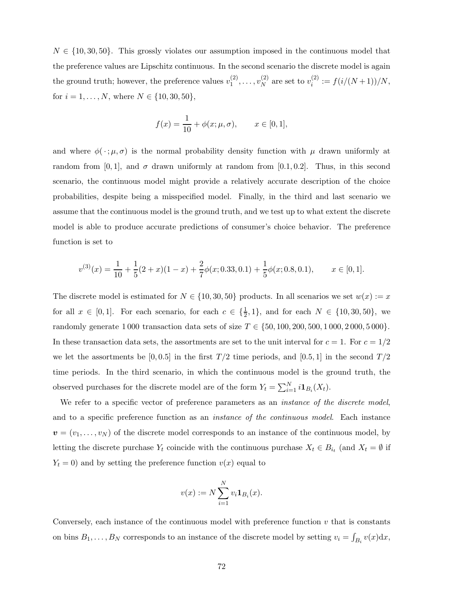$N \in \{10, 30, 50\}$ . This grossly violates our assumption imposed in the continuous model that the preference values are Lipschitz continuous. In the second scenario the discrete model is again the ground truth; however, the preference values  $v_1^{(2)}$  $\binom{2}{1}, \ldots, \binom{2}{N}$  $\binom{2}{N}$  are set to  $v_i^{(2)}$  $i^{(2)} := f(i/(N+1))/N,$ for  $i = 1, ..., N$ , where  $N \in \{10, 30, 50\}$ ,

$$
f(x) = \frac{1}{10} + \phi(x; \mu, \sigma), \qquad x \in [0, 1],
$$

and where  $\phi(\cdot;\mu,\sigma)$  is the normal probability density function with  $\mu$  drawn uniformly at random from [0, 1], and  $\sigma$  drawn uniformly at random from [0.1, 0.2]. Thus, in this second scenario, the continuous model might provide a relatively accurate description of the choice probabilities, despite being a misspecified model. Finally, in the third and last scenario we assume that the continuous model is the ground truth, and we test up to what extent the discrete model is able to produce accurate predictions of consumer's choice behavior. The preference function is set to

$$
v^{(3)}(x) = \frac{1}{10} + \frac{1}{5}(2+x)(1-x) + \frac{2}{7}\phi(x; 0.33, 0.1) + \frac{1}{5}\phi(x; 0.8, 0.1), \qquad x \in [0, 1].
$$

The discrete model is estimated for  $N \in \{10, 30, 50\}$  products. In all scenarios we set  $w(x) := x$ for all  $x \in [0,1]$ . For each scenario, for each  $c \in \{\frac{1}{2}, 1\}$ , and for each  $N \in \{10, 30, 50\}$ , we randomly generate 1 000 transaction data sets of size  $T \in \{50, 100, 200, 500, 1000, 2000, 5000\}.$ In these transaction data sets, the assortments are set to the unit interval for  $c = 1$ . For  $c = 1/2$ we let the assortments be [0,0.5] in the first  $T/2$  time periods, and [0.5, 1] in the second  $T/2$ time periods. In the third scenario, in which the continuous model is the ground truth, the observed purchases for the discrete model are of the form  $Y_t = \sum_{i=1}^{N} i \mathbf{1}_{B_i}(X_t)$ .

We refer to a specific vector of preference parameters as an *instance of the discrete model*, and to a specific preference function as an instance of the continuous model. Each instance  $v = (v_1, \ldots, v_N)$  of the discrete model corresponds to an instance of the continuous model, by letting the discrete purchase  $Y_t$  coincide with the continuous purchase  $X_t \in B_{i_t}$  (and  $X_t = \emptyset$  if  $Y_t = 0$ ) and by setting the preference function  $v(x)$  equal to

$$
v(x) := N \sum_{i=1}^{N} v_i \mathbf{1}_{B_i}(x).
$$

Conversely, each instance of the continuous model with preference function  $v$  that is constants on bins  $B_1, \ldots, B_N$  corresponds to an instance of the discrete model by setting  $v_i = \int_{B_i} v(x) dx$ ,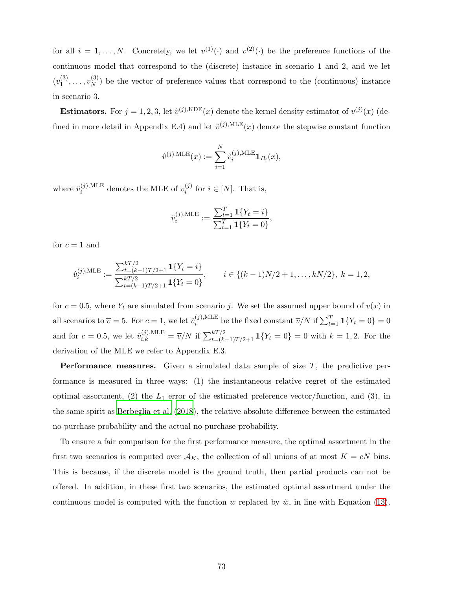for all  $i = 1, ..., N$ . Concretely, we let  $v^{(1)}(\cdot)$  and  $v^{(2)}(\cdot)$  be the preference functions of the continuous model that correspond to the (discrete) instance in scenario 1 and 2, and we let  $(v_1^{(3)}$  $\binom{3}{1}, \ldots, \binom{3}{N}$  $N \choose N$  be the vector of preference values that correspond to the (continuous) instance in scenario 3.

**Estimators.** For  $j = 1, 2, 3$ , let  $\hat{v}^{(j),\text{KDE}}(x)$  denote the kernel density estimator of  $v^{(j)}(x)$  (defined in more detail in Appendix E.4) and let  $\hat{v}^{(j),\text{MLE}}(x)$  denote the stepwise constant function

$$
\hat{v}^{(j),\text{MLE}}(x) := \sum_{i=1}^{N} \hat{v}_i^{(j),\text{MLE}} \mathbf{1}_{B_i}(x),
$$

where  $\hat{v}_i^{(j),\text{MLE}}$  $(i)$ , MLE denotes the MLE of  $v_i^{(j)}$  $i^{(j)}$  for  $i \in [N]$ . That is,

$$
\hat{v}_i^{(j),\text{MLE}} := \frac{\sum_{t=1}^T \mathbf{1}\{Y_t = i\}}{\sum_{t=1}^T \mathbf{1}\{Y_t = 0\}},
$$

for  $c = 1$  and

$$
\hat{v}_i^{(j),\text{MLE}} := \frac{\sum_{t=(k-1)T/2+1}^{kT/2} \mathbf{1}\{Y_t = i\}}{\sum_{t=(k-1)T/2+1}^{kT/2} \mathbf{1}\{Y_t = 0\}}, \qquad i \in \{(k-1)N/2+1,\dots, kN/2\}, k = 1, 2,
$$

for  $c = 0.5$ , where  $Y_t$  are simulated from scenario j. We set the assumed upper bound of  $v(x)$  in all scenarios to  $\overline{v} = 5$ . For  $c = 1$ , we let  $\hat{v}_i^{(j),\text{MLE}}$  $\sum_{i=1}^{(j),\text{MLE}}$  be the fixed constant  $\overline{v}/N$  if  $\sum_{t=1}^{T} \mathbf{1}{Y_t = 0} = 0$ and for  $c = 0.5$ , we let  $\hat{v}_{i,k}^{(j),\text{MLE}} = \overline{v}/N$  if  $\sum_{t=(k-1)T/2+1}^{kT/2} \mathbf{1}{Y_t = 0} = 0$  with  $k = 1,2$ . For the derivation of the MLE we refer to Appendix E.3.

**Performance measures.** Given a simulated data sample of size  $T$ , the predictive performance is measured in three ways: (1) the instantaneous relative regret of the estimated optimal assortment, (2) the  $L_1$  error of the estimated preference vector/function, and (3), in the same spirit as [Berbeglia et al. \(2018](#page-32-0)), the relative absolute difference between the estimated no-purchase probability and the actual no-purchase probability.

To ensure a fair comparison for the first performance measure, the optimal assortment in the first two scenarios is computed over  $A_K$ , the collection of all unions of at most  $K = cN$  bins. This is because, if the discrete model is the ground truth, then partial products can not be offered. In addition, in these first two scenarios, the estimated optimal assortment under the continuous model is computed with the function w replaced by  $\check{w}$ , in line with Equation [\(13\)](#page-21-0).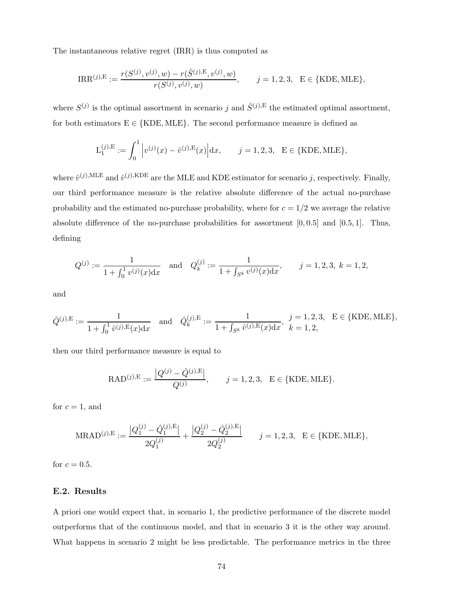The instantaneous relative regret (IRR) is thus computed as

$$
IRR^{(j),E} := \frac{r(S^{(j)}, v^{(j)}, w) - r(\hat{S}^{(j),E}, v^{(j)}, w)}{r(S^{(j)}, v^{(j)}, w)}, \qquad j = 1, 2, 3, \ E \in \{KDE, MLE\},\
$$

where  $S^{(j)}$  is the optimal assortment in scenario j and  $\hat{S}^{(j),E}$  the estimated optimal assortment, for both estimators  $E \in \{KDE, MLE\}$ . The second performance measure is defined as

$$
L_1^{(j),E} := \int_0^1 \left| v^{(j)}(x) - \hat{v}^{(j),E}(x) \right| dx, \qquad j = 1,2,3, \ E \in \{\text{KDE}, \text{MLE}\},\
$$

where  $\hat{v}^{(j),\text{MLE}}$  and  $\hat{v}^{(j),\text{KDE}}$  are the MLE and KDE estimator for scenario j, respectively. Finally, our third performance measure is the relative absolute difference of the actual no-purchase probability and the estimated no-purchase probability, where for  $c = 1/2$  we average the relative absolute difference of the no-purchase probabilities for assortment  $[0, 0.5]$  and  $[0.5, 1]$ . Thus, defining

$$
Q^{(j)} := \frac{1}{1 + \int_0^1 v^{(j)}(x) dx} \quad \text{and} \quad Q_k^{(j)} := \frac{1}{1 + \int_{S^k} v^{(j)}(x) dx}, \qquad j = 1, 2, 3, k = 1, 2,
$$

and

$$
\hat{Q}^{(j),\mathrm{E}}:=\frac{1}{1+\int_0^1\hat{v}^{(j),\mathrm{E}}(x)\mathrm{d}x}\quad\text{and}\quad \hat{Q}^{(j),\mathrm{E}}_k:=\frac{1}{1+\int_{S^k}\hat{v}^{(j),\mathrm{E}}(x)\mathrm{d}x},\ \frac{j=1,2,3,\quad \mathrm{E}\in\{\mathrm{KDE},\mathrm{MLE}\},
$$

then our third performance measure is equal to

$$
RAD^{(j),E} := \frac{|Q^{(j)} - \hat{Q}^{(j),E}|}{Q^{(j)}}, \qquad j = 1,2,3, \quad E \in \{KDE, MLE\}.
$$

for  $c = 1$ , and

$$
\text{MRAD}^{(j),\text{E}} := \frac{\left|Q_1^{(j)} - \hat{Q}_1^{(j),\text{E}}\right|}{2Q_1^{(j)}} + \frac{\left|Q_2^{(j)} - \hat{Q}_2^{(j),\text{E}}\right|}{2Q_2^{(j)}} \qquad j = 1,2,3, \ \ \text{E} \in \{\text{KDE}, \text{MLE}\},
$$

for  $c = 0.5$ .

## E.2. Results

A priori one would expect that, in scenario 1, the predictive performance of the discrete model outperforms that of the continuous model, and that in scenario 3 it is the other way around. What happens in scenario 2 might be less predictable. The performance metrics in the three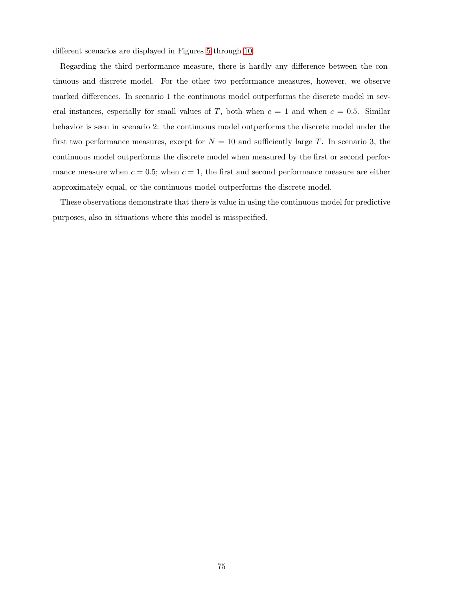different scenarios are displayed in Figures [5](#page-76-0) through [10.](#page-81-0)

Regarding the third performance measure, there is hardly any difference between the continuous and discrete model. For the other two performance measures, however, we observe marked differences. In scenario 1 the continuous model outperforms the discrete model in several instances, especially for small values of T, both when  $c = 1$  and when  $c = 0.5$ . Similar behavior is seen in scenario 2: the continuous model outperforms the discrete model under the first two performance measures, except for  $N = 10$  and sufficiently large T. In scenario 3, the continuous model outperforms the discrete model when measured by the first or second performance measure when  $c = 0.5$ ; when  $c = 1$ , the first and second performance measure are either approximately equal, or the continuous model outperforms the discrete model.

These observations demonstrate that there is value in using the continuous model for predictive purposes, also in situations where this model is misspecified.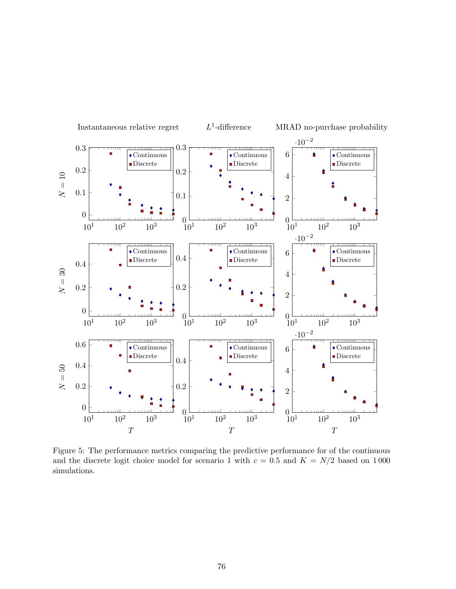

<span id="page-76-0"></span>Figure 5: The performance metrics comparing the predictive performance for of the continuous and the discrete logit choice model for scenario 1 with  $c = 0.5$  and  $K = N/2$  based on 1000 simulations.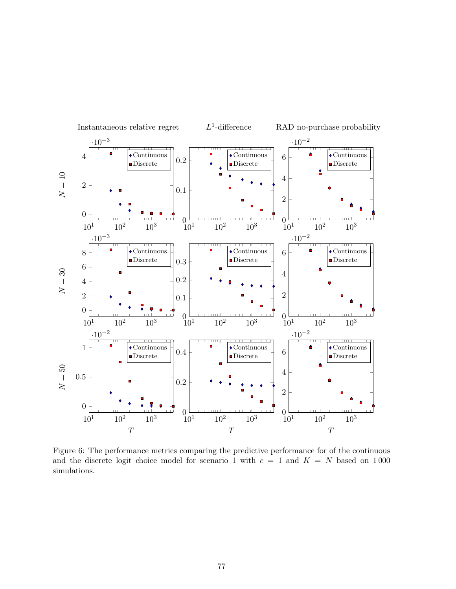

Figure 6: The performance metrics comparing the predictive performance for of the continuous and the discrete logit choice model for scenario 1 with  $c = 1$  and  $K = N$  based on 1000 simulations.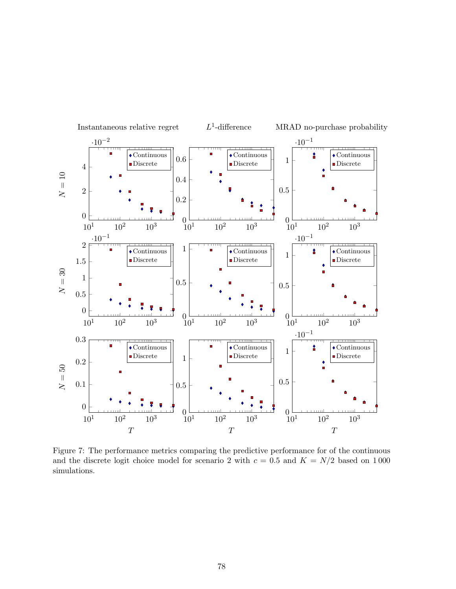

Figure 7: The performance metrics comparing the predictive performance for of the continuous and the discrete logit choice model for scenario 2 with  $c = 0.5$  and  $K = N/2$  based on 1000 simulations.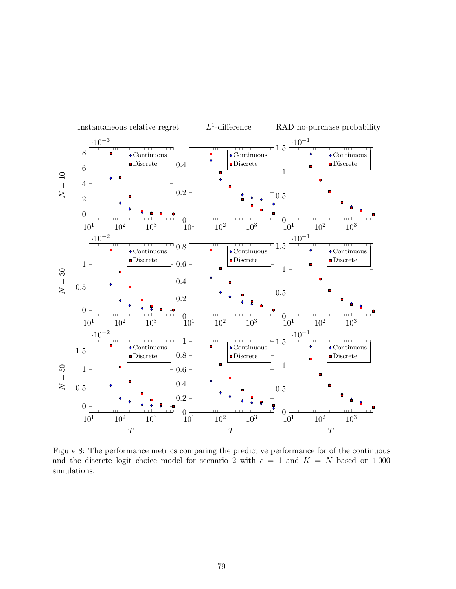

Figure 8: The performance metrics comparing the predictive performance for of the continuous and the discrete logit choice model for scenario 2 with  $c = 1$  and  $K = N$  based on 1000 simulations.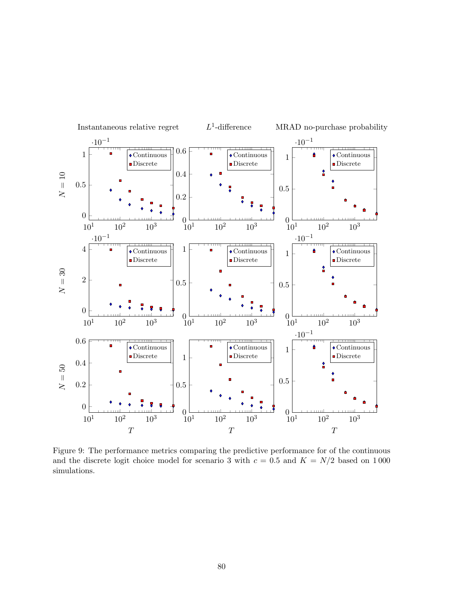

Figure 9: The performance metrics comparing the predictive performance for of the continuous and the discrete logit choice model for scenario 3 with  $c = 0.5$  and  $K = N/2$  based on 1000 simulations.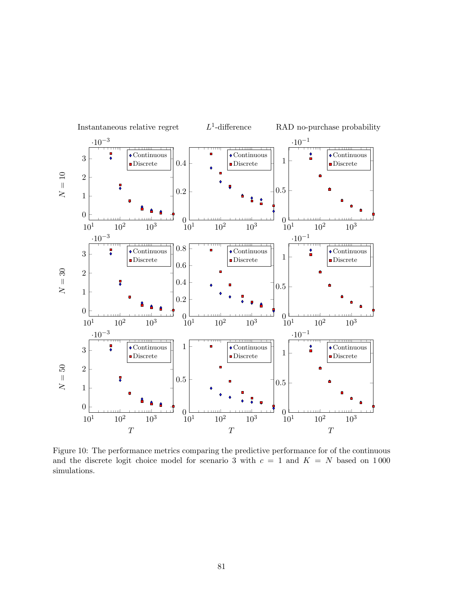

<span id="page-81-0"></span>Figure 10: The performance metrics comparing the predictive performance for of the continuous and the discrete logit choice model for scenario 3 with  $c = 1$  and  $K = N$  based on 1000 simulations.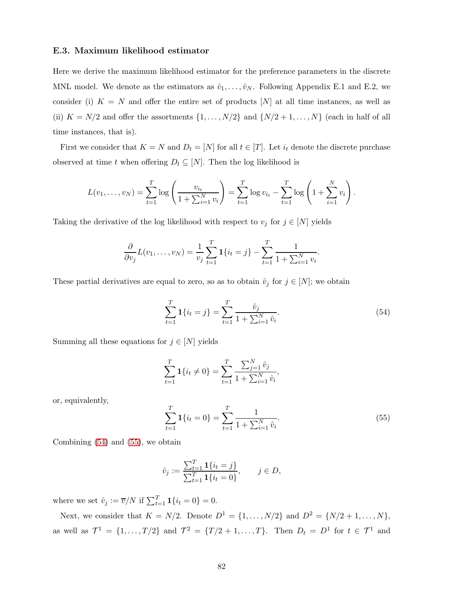## E.3. Maximum likelihood estimator

Here we derive the maximum likelihood estimator for the preference parameters in the discrete MNL model. We denote as the estimators as  $\hat{v}_1, \ldots, \hat{v}_N$ . Following Appendix E.1 and E.2, we consider (i)  $K = N$  and offer the entire set of products [N] at all time instances, as well as (ii)  $K = N/2$  and offer the assortments  $\{1, \ldots, N/2\}$  and  $\{N/2 + 1, \ldots, N\}$  (each in half of all time instances, that is).

First we consider that  $K = N$  and  $D_t = [N]$  for all  $t \in [T]$ . Let  $i_t$  denote the discrete purchase observed at time t when offering  $D_t \subseteq [N]$ . Then the log likelihood is

$$
L(v_1, ..., v_N) = \sum_{t=1}^T \log \left( \frac{v_{i_t}}{1 + \sum_{i=1}^N v_i} \right) = \sum_{t=1}^T \log v_{i_t} - \sum_{t=1}^T \log \left( 1 + \sum_{i=1}^N v_i \right).
$$

Taking the derivative of the log likelihood with respect to  $v_j$  for  $j \in [N]$  yields

$$
\frac{\partial}{\partial v_j}L(v_1,\ldots,v_N)=\frac{1}{v_j}\sum_{t=1}^T\mathbf{1}\{i_t=j\}-\sum_{t=1}^T\frac{1}{1+\sum_{i=1}^N v_i}.
$$

These partial derivatives are equal to zero, so as to obtain  $\hat{v}_j$  for  $j \in [N]$ ; we obtain

<span id="page-82-0"></span>
$$
\sum_{t=1}^{T} \mathbf{1} \{ i_t = j \} = \sum_{t=1}^{T} \frac{\hat{v}_j}{1 + \sum_{i=1}^{N} \hat{v}_i}.
$$
\n(54)

Summing all these equations for  $j \in [N]$  yields

$$
\sum_{t=1}^{T} \mathbf{1}\{i_t \neq 0\} = \sum_{t=1}^{T} \frac{\sum_{j=1}^{N} \hat{v}_j}{1 + \sum_{i=1}^{N} \hat{v}_i}
$$

or, equivalently,

<span id="page-82-1"></span>
$$
\sum_{t=1}^{T} \mathbf{1}\{i_t = 0\} = \sum_{t=1}^{T} \frac{1}{1 + \sum_{i=1}^{N} \hat{v}_i}.
$$
\n(55)

,

Combining [\(54\)](#page-82-0) and [\(55\)](#page-82-1), we obtain

$$
\hat{v}_j := \frac{\sum_{t=1}^T \mathbf{1}\{i_t = j\}}{\sum_{t=1}^T \mathbf{1}\{i_t = 0\}}, \quad j \in D,
$$

where we set  $\hat{v}_j := \overline{v}/N$  if  $\sum_{t=1}^T \mathbf{1}\{i_t = 0\} = 0$ .

Next, we consider that  $K = N/2$ . Denote  $D^1 = \{1, ..., N/2\}$  and  $D^2 = \{N/2 + 1, ..., N\}$ , as well as  $\mathcal{T}^1 = \{1, ..., T/2\}$  and  $\mathcal{T}^2 = \{T/2 + 1, ..., T\}$ . Then  $D_t = D^1$  for  $t \in \mathcal{T}^1$  and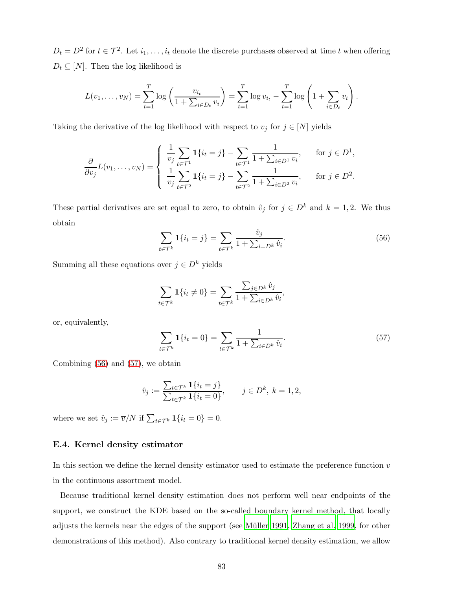$D_t = D^2$  for  $t \in \mathcal{T}^2$ . Let  $i_1, \ldots, i_t$  denote the discrete purchases observed at time t when offering  $D_t \subseteq [N].$  Then the log likelihood is

$$
L(v_1, ..., v_N) = \sum_{t=1}^T \log \left( \frac{v_{i_t}}{1 + \sum_{i \in D_t} v_i} \right) = \sum_{t=1}^T \log v_{i_t} - \sum_{t=1}^T \log \left( 1 + \sum_{i \in D_t} v_i \right).
$$

Taking the derivative of the log likelihood with respect to  $v_j$  for  $j \in [N]$  yields

$$
\frac{\partial}{\partial v_j} L(v_1, \dots, v_N) = \begin{cases} \frac{1}{v_j} \sum_{t \in \mathcal{T}^1} \mathbf{1} \{i_t = j\} - \sum_{t \in \mathcal{T}^1} \frac{1}{1 + \sum_{i \in D^1} v_i}, & \text{for } j \in D^1, \\ \frac{1}{v_j} \sum_{t \in \mathcal{T}^2} \mathbf{1} \{i_t = j\} - \sum_{t \in \mathcal{T}^2} \frac{1}{1 + \sum_{i \in D^2} v_i}, & \text{for } j \in D^2. \end{cases}
$$

These partial derivatives are set equal to zero, to obtain  $\hat{v}_j$  for  $j \in D^k$  and  $k = 1, 2$ . We thus obtain

<span id="page-83-0"></span>
$$
\sum_{t \in \mathcal{T}^k} \mathbf{1} \{ i_t = j \} = \sum_{t \in \mathcal{T}^k} \frac{\hat{v}_j}{1 + \sum_{i = D^k} \hat{v}_i}.
$$
\n(56)

Summing all these equations over  $j \in D^k$  yields

$$
\sum_{t \in \mathcal{T}^k} \mathbf{1} \{ i_t \neq 0 \} = \sum_{t \in \mathcal{T}^k} \frac{\sum_{j \in D^k} \hat{v}_j}{1 + \sum_{i \in D^k} \hat{v}_i},
$$

or, equivalently,

<span id="page-83-1"></span>
$$
\sum_{t \in \mathcal{T}^k} \mathbf{1} \{ i_t = 0 \} = \sum_{t \in \mathcal{T}^k} \frac{1}{1 + \sum_{i \in D^k} \hat{v}_i}.
$$
 (57)

Combining [\(56\)](#page-83-0) and [\(57\)](#page-83-1), we obtain

$$
\hat{v}_j := \frac{\sum_{t \in \mathcal{T}^k} \mathbf{1}\{i_t = j\}}{\sum_{t \in \mathcal{T}^k} \mathbf{1}\{i_t = 0\}}, \qquad j \in D^k, \ k = 1, 2,
$$

where we set  $\hat{v}_j := \overline{v}/N$  if  $\sum_{t \in \mathcal{T}^k} \mathbf{1}\{i_t = 0\} = 0$ .

## E.4. Kernel density estimator

In this section we define the kernel density estimator used to estimate the preference function  $v$ in the continuous assortment model.

Because traditional kernel density estimation does not perform well near endpoints of the support, we construct the KDE based on the so-called boundary kernel method, that locally adjusts the kernels near the edges of the support (see Müller 1991, [Zhang et al. 1999](#page-34-0), for other demonstrations of this method). Also contrary to traditional kernel density estimation, we allow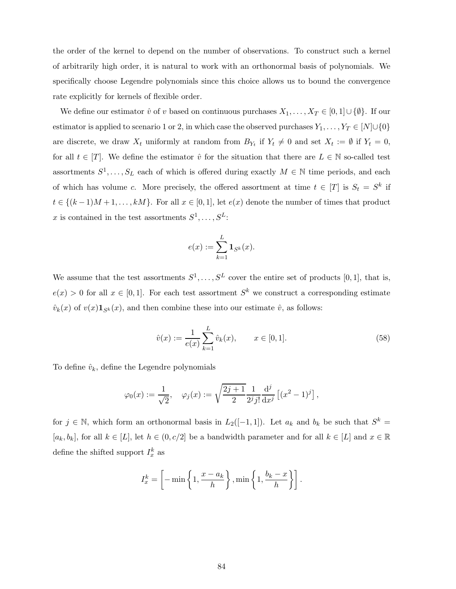the order of the kernel to depend on the number of observations. To construct such a kernel of arbitrarily high order, it is natural to work with an orthonormal basis of polynomials. We specifically choose Legendre polynomials since this choice allows us to bound the convergence rate explicitly for kernels of flexible order.

We define our estimator  $\hat{v}$  of v based on continuous purchases  $X_1, \ldots, X_T \in [0,1] \cup \{\emptyset\}$ . If our estimator is applied to scenario 1 or 2, in which case the observed purchases  $Y_1, \ldots, Y_T \in [N] \cup \{0\}$ are discrete, we draw  $X_t$  uniformly at random from  $B_{Y_t}$  if  $Y_t \neq 0$  and set  $X_t := \emptyset$  if  $Y_t = 0$ , for all  $t \in [T]$ . We define the estimator  $\hat{v}$  for the situation that there are  $L \in \mathbb{N}$  so-called test assortments  $S^1, \ldots, S_L$  each of which is offered during exactly  $M \in \mathbb{N}$  time periods, and each of which has volume c. More precisely, the offered assortment at time  $t \in [T]$  is  $S_t = S^k$  if  $t \in \{(k-1)M+1,\ldots,kM\}$ . For all  $x \in [0,1]$ , let  $e(x)$  denote the number of times that product x is contained in the test assortments  $S^1, \ldots, S^L$ :

$$
e(x) := \sum_{k=1}^{L} \mathbf{1}_{S^k}(x).
$$

We assume that the test assortments  $S^1, \ldots, S^L$  cover the entire set of products [0, 1], that is,  $e(x) > 0$  for all  $x \in [0, 1]$ . For each test assortment  $S<sup>k</sup>$  we construct a corresponding estimate  $\hat{v}_k(x)$  of  $v(x) \mathbf{1}_{S^k}(x)$ , and then combine these into our estimate  $\hat{v}$ , as follows:

<span id="page-84-0"></span>
$$
\hat{v}(x) := \frac{1}{e(x)} \sum_{k=1}^{L} \hat{v}_k(x), \qquad x \in [0, 1].
$$
\n(58)

To define  $\hat{v}_k$ , define the Legendre polynomials

$$
\varphi_0(x) := \frac{1}{\sqrt{2}}, \quad \varphi_j(x) := \sqrt{\frac{2j+1}{2}} \frac{1}{2^j j!} \frac{d^j}{dx^j} [(x^2 - 1)^j],
$$

for  $j \in \mathbb{N}$ , which form an orthonormal basis in  $L_2([-1,1])$ . Let  $a_k$  and  $b_k$  be such that  $S^k =$  $[a_k, b_k]$ , for all  $k \in [L]$ , let  $h \in (0, c/2]$  be a bandwidth parameter and for all  $k \in [L]$  and  $x \in \mathbb{R}$ define the shifted support  $I_x^k$  as

$$
I_x^k = \left[ -\min\left\{1, \frac{x - a_k}{h}\right\}, \min\left\{1, \frac{b_k - x}{h}\right\} \right].
$$